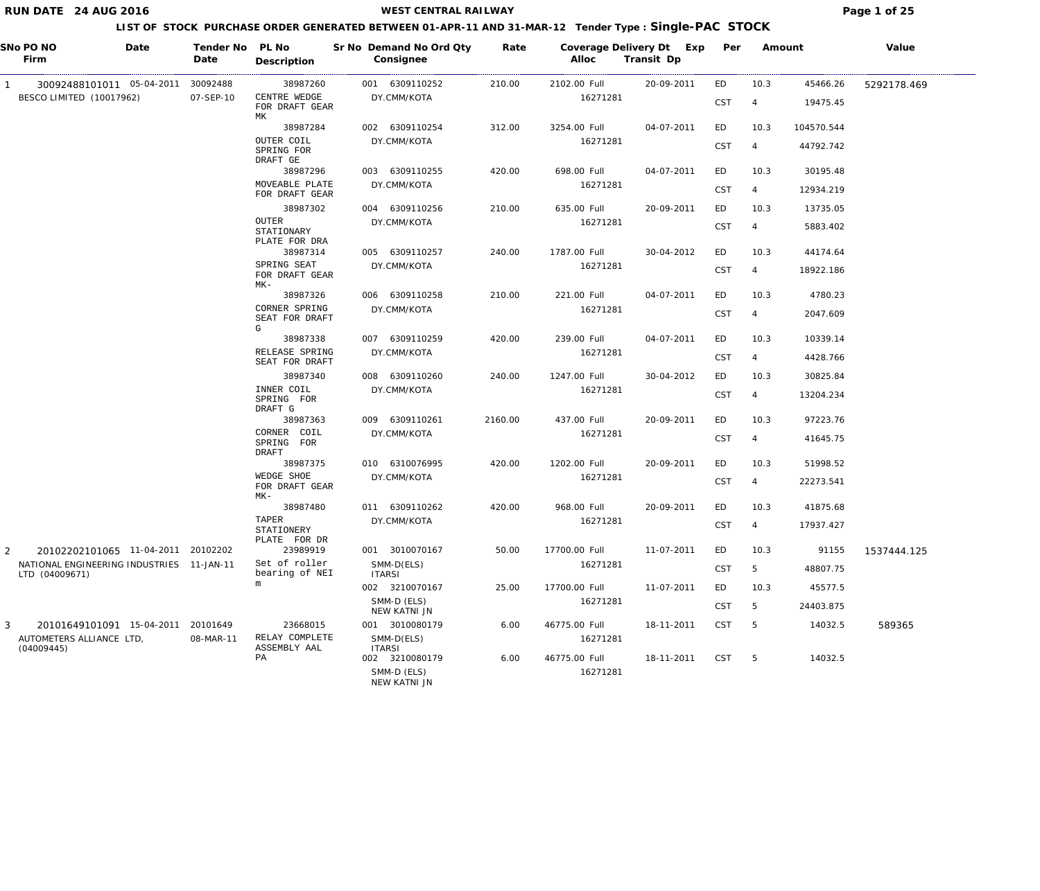## **WEST CENTRAL RAILWAY Page 1 of 25**

| SNo PO NO<br>Date<br>Firm                                   |                                    | Tender No PL No<br>Date | Description                           | Sr No Demand No Ord Qty<br>Consignee | Rate    | Coverage Delivery Dt Exp Per<br>Alloc | Transit Dp |            | Amount         |            | Value       |
|-------------------------------------------------------------|------------------------------------|-------------------------|---------------------------------------|--------------------------------------|---------|---------------------------------------|------------|------------|----------------|------------|-------------|
|                                                             | 30092488101011 05-04-2011          | 30092488                | 38987260                              | 001 6309110252                       | 210.00  | 2102.00 Full                          | 20-09-2011 | ED         | 10.3           | 45466.26   | 5292178.469 |
| BESCO LIMITED (10017962)                                    |                                    | 07-SEP-10               | CENTRE WEDGE<br>FOR DRAFT GEAR<br>МK  | DY.CMM/KOTA                          |         | 16271281                              |            | <b>CST</b> | $\overline{4}$ | 19475.45   |             |
|                                                             |                                    |                         | 38987284                              | 002 6309110254                       | 312.00  | 3254.00 Full                          | 04-07-2011 | ED         | 10.3           | 104570.544 |             |
|                                                             |                                    |                         | OUTER COIL<br>SPRING FOR<br>DRAFT GE  | DY.CMM/KOTA                          |         | 16271281                              |            | <b>CST</b> | $\overline{4}$ | 44792.742  |             |
|                                                             |                                    |                         | 38987296                              | 003 6309110255                       | 420.00  | 698.00 Full                           | 04-07-2011 | ED         | 10.3           | 30195.48   |             |
|                                                             |                                    |                         | MOVEABLE PLATE<br>FOR DRAFT GEAR      | DY.CMM/KOTA                          |         | 16271281                              |            | <b>CST</b> | 4              | 12934.219  |             |
|                                                             |                                    |                         | 38987302                              | 004 6309110256                       | 210.00  | 635.00 Full                           | 20-09-2011 | ED         | 10.3           | 13735.05   |             |
|                                                             |                                    |                         | OUTER<br>STATIONARY<br>PLATE FOR DRA  | DY.CMM/KOTA                          |         | 16271281                              |            | <b>CST</b> | 4              | 5883.402   |             |
|                                                             |                                    |                         | 38987314                              | 005 6309110257                       | 240.00  | 1787.00 Full                          | 30-04-2012 | ED         | 10.3           | 44174.64   |             |
|                                                             |                                    |                         | SPRING SEAT<br>FOR DRAFT GEAR<br>MK-  | DY.CMM/KOTA                          |         | 16271281                              |            | <b>CST</b> | $\overline{4}$ | 18922.186  |             |
|                                                             |                                    |                         | 38987326                              | 006 6309110258                       | 210.00  | 221.00 Full                           | 04-07-2011 | ED         | 10.3           | 4780.23    |             |
|                                                             |                                    |                         | CORNER SPRING<br>SEAT FOR DRAFT<br>G  | DY.CMM/KOTA                          |         | 16271281                              |            | <b>CST</b> | $\overline{4}$ | 2047.609   |             |
|                                                             |                                    |                         | 38987338                              | 007 6309110259                       | 420.00  | 239.00 Full                           | 04-07-2011 | ED         | 10.3           | 10339.14   |             |
|                                                             |                                    |                         | RELEASE SPRING<br>SEAT FOR DRAFT      | DY.CMM/KOTA                          |         | 16271281                              |            | CST        | $\overline{4}$ | 4428.766   |             |
|                                                             |                                    |                         | 38987340                              | 008 6309110260                       | 240.00  | 1247.00 Full                          | 30-04-2012 | ED         | 10.3           | 30825.84   |             |
|                                                             |                                    |                         | INNER COIL<br>SPRING FOR<br>DRAFT G   | DY.CMM/KOTA                          |         | 16271281                              |            | <b>CST</b> | $\overline{4}$ | 13204.234  |             |
|                                                             |                                    |                         | 38987363                              | 009 6309110261                       | 2160.00 | 437.00 Full                           | 20-09-2011 | ED         | 10.3           | 97223.76   |             |
|                                                             |                                    |                         | CORNER COIL<br>SPRING FOR<br>DRAFT    | DY.CMM/KOTA                          |         | 16271281                              |            | <b>CST</b> | $\overline{4}$ | 41645.75   |             |
|                                                             |                                    |                         | 38987375                              | 010 6310076995                       | 420.00  | 1202.00 Full                          | 20-09-2011 | ED         | 10.3           | 51998.52   |             |
|                                                             |                                    |                         | WEDGE SHOE<br>FOR DRAFT GEAR<br>$MK-$ | DY.CMM/KOTA                          |         | 16271281                              |            | <b>CST</b> | $\overline{4}$ | 22273.541  |             |
|                                                             |                                    |                         | 38987480                              | 011 6309110262                       | 420.00  | 968.00 Full                           | 20-09-2011 | ED         | 10.3           | 41875.68   |             |
|                                                             |                                    |                         | TAPER<br>STATIONERY<br>PLATE FOR DR   | DY.CMM/KOTA                          |         | 16271281                              |            | <b>CST</b> | $\overline{4}$ | 17937.427  |             |
| 2                                                           | 20102202101065 11-04-2011 20102202 |                         | 23989919                              | 001 3010070167                       | 50.00   | 17700.00 Full                         | 11-07-2011 | ED         | 10.3           | 91155      | 1537444.125 |
| NATIONAL ENGINEERING INDUSTRIES 11-JAN-11<br>LTD (04009671) |                                    |                         | Set of roller<br>bearing of NEI       | SMM-D(ELS)<br><b>ITARSI</b>          |         | 16271281                              |            | <b>CST</b> | 5              | 48807.75   |             |
|                                                             |                                    |                         | m                                     | 002 3210070167                       | 25.00   | 17700.00 Full                         | 11-07-2011 | ED         | 10.3           | 45577.5    |             |
|                                                             |                                    |                         |                                       | SMM-D (ELS)<br>NEW KATNI JN          |         | 16271281                              |            | <b>CST</b> | 5              | 24403.875  |             |
| 3                                                           | 20101649101091 15-04-2011          | 20101649                | 23668015                              | 001 3010080179                       | 6.00    | 46775.00 Full                         | 18-11-2011 | <b>CST</b> | - 5            | 14032.5    | 589365      |
| AUTOMETERS ALLIANCE LTD,<br>(04009445)                      |                                    | 08-MAR-11               | RELAY COMPLETE<br>ASSEMBLY AAL        | SMM-D(ELS)<br><b>ITARSI</b>          |         | 16271281                              |            |            |                |            |             |
|                                                             |                                    |                         | PA                                    | 002 3210080179                       | 6.00    | 46775.00 Full                         | 18-11-2011 | <b>CST</b> | 5              | 14032.5    |             |
|                                                             |                                    |                         |                                       | SMM-D (ELS)<br>NEW KATNI JN          |         | 16271281                              |            |            |                |            |             |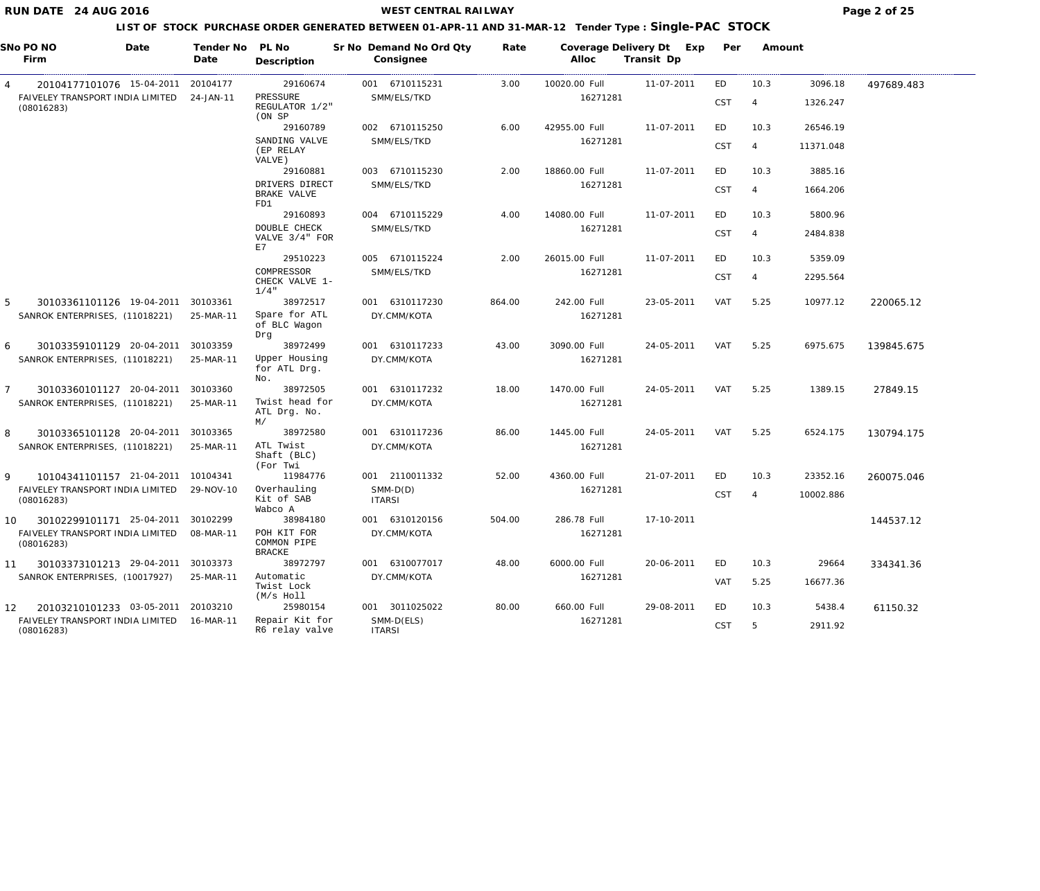## **WEST CENTRAL RAILWAY Page 2 of 25**

| SNo PO NO<br>Date<br>Firm                      | Tender No<br>Date | PL No<br>Description                        | Sr No Demand No Ord Qty<br>Consignee | Rate   | Coverage Delivery Dt<br>Alloc | Exp<br>Transit Dp | Per        | Amount         |           |            |
|------------------------------------------------|-------------------|---------------------------------------------|--------------------------------------|--------|-------------------------------|-------------------|------------|----------------|-----------|------------|
| 20104177101076 15-04-2011<br>4                 | 20104177          | 29160674                                    | 001 6710115231                       | 3.00   | 10020.00 Full                 | 11-07-2011        | ED         | 10.3           | 3096.18   | 497689.483 |
| FAIVELEY TRANSPORT INDIA LIMITED<br>(08016283) | 24-JAN-11         | PRESSURE<br>REGULATOR 1/2"<br>(ON SP        | SMM/ELS/TKD                          |        | 16271281                      |                   | <b>CST</b> | -4             | 1326.247  |            |
|                                                |                   | 29160789                                    | 002 6710115250                       | 6.00   | 42955.00 Full                 | 11-07-2011        | ED         | 10.3           | 26546.19  |            |
|                                                |                   | SANDING VALVE<br>(EP RELAY<br>VALVE)        | SMM/ELS/TKD                          |        | 16271281                      |                   | <b>CST</b> | $\overline{4}$ | 11371.048 |            |
|                                                |                   | 29160881                                    | 003 6710115230                       | 2.00   | 18860.00 Full                 | 11-07-2011        | ED         | 10.3           | 3885.16   |            |
|                                                |                   | DRIVERS DIRECT<br>BRAKE VALVE<br>FD1        | SMM/ELS/TKD                          |        | 16271281                      |                   | <b>CST</b> | 4              | 1664.206  |            |
|                                                |                   | 29160893                                    | 004 6710115229                       | 4.00   | 14080.00 Full                 | 11-07-2011        | ED         | 10.3           | 5800.96   |            |
|                                                |                   | <b>DOUBLE CHECK</b><br>VALVE 3/4" FOR<br>E7 | SMM/ELS/TKD                          |        | 16271281                      |                   | <b>CST</b> | 4              | 2484.838  |            |
|                                                |                   | 29510223                                    | 005 6710115224                       | 2.00   | 26015.00 Full                 | 11-07-2011        | ED         | 10.3           | 5359.09   |            |
|                                                |                   | COMPRESSOR                                  | SMM/ELS/TKD                          |        | 16271281                      |                   | <b>CST</b> | $\overline{4}$ | 2295.564  |            |
|                                                |                   | CHECK VALVE 1-<br>$1/4$ "                   |                                      |        |                               |                   |            |                |           |            |
| 5<br>30103361101126 19-04-2011                 | 30103361          | 38972517                                    | 001 6310117230                       | 864.00 | 242.00 Full                   | 23-05-2011        | VAT        | 5.25           | 10977.12  | 220065.12  |
| SANROK ENTERPRISES, (11018221)                 | 25-MAR-11         | Spare for ATL<br>of BLC Wagon<br>Drq        | DY.CMM/KOTA                          |        | 16271281                      |                   |            |                |           |            |
| 30103359101129 20-04-2011<br>6                 | 30103359          | 38972499                                    | 001 6310117233                       | 43.00  | 3090.00 Full                  | 24-05-2011        | VAT        | 5.25           | 6975.675  | 139845.675 |
| SANROK ENTERPRISES, (11018221)                 | 25-MAR-11         | Upper Housing<br>for ATL Drg.<br>No.        | DY.CMM/KOTA                          |        | 16271281                      |                   |            |                |           |            |
| 30103360101127 20-04-2011<br>7                 | 30103360          | 38972505                                    | 001 6310117232                       | 18.00  | 1470.00 Full                  | 24-05-2011        | VAT        | 5.25           | 1389.15   | 27849.15   |
| SANROK ENTERPRISES, (11018221)                 | 25-MAR-11         | Twist head for<br>ATL Drg. No.<br>M/        | DY.CMM/KOTA                          |        | 16271281                      |                   |            |                |           |            |
| 8<br>30103365101128 20-04-2011                 | 30103365          | 38972580                                    | 001 6310117236                       | 86.00  | 1445.00 Full                  | 24-05-2011        | VAT        | 5.25           | 6524.175  | 130794.175 |
| SANROK ENTERPRISES, (11018221)                 | 25-MAR-11         | ATL Twist<br>Shaft (BLC)<br>(For Twi        | DY.CMM/KOTA                          |        | 16271281                      |                   |            |                |           |            |
| 10104341101157 21-04-2011<br>9                 | 10104341          | 11984776                                    | 001 2110011332                       | 52.00  | 4360.00 Full                  | 21-07-2011        | ED         | 10.3           | 23352.16  | 260075.046 |
| FAIVELEY TRANSPORT INDIA LIMITED<br>(08016283) | 29-NOV-10         | Overhauling<br>Kit of SAB<br>Wabco A        | $SMM-D(D)$<br><b>ITARSI</b>          |        | 16271281                      |                   | <b>CST</b> | 4              | 10002.886 |            |
| 30102299101171 25-04-2011<br>10                | 30102299          | 38984180                                    | 001 6310120156                       | 504.00 | 286.78 Full                   | 17-10-2011        |            |                |           | 144537.12  |
| FAIVELEY TRANSPORT INDIA LIMITED<br>(08016283) | 08-MAR-11         | POH KIT FOR<br>COMMON PIPE<br><b>BRACKE</b> | DY.CMM/KOTA                          |        | 16271281                      |                   |            |                |           |            |
| 30103373101213 29-04-2011<br>11                | 30103373          | 38972797                                    | 001 6310077017                       | 48.00  | 6000.00 Full                  | 20-06-2011        | ED         | 10.3           | 29664     | 334341.36  |
| SANROK ENTERPRISES, (10017927)                 | 25-MAR-11         | Automatic<br>Twist Lock<br>(M/s Holl        | DY.CMM/KOTA                          |        | 16271281                      |                   | VAT        | 5.25           | 16677.36  |            |
| 20103210101233 03-05-2011<br>$12 \overline{ }$ | 20103210          | 25980154                                    | 001 3011025022                       | 80.00  | 660.00 Full                   | 29-08-2011        | ED         | 10.3           | 5438.4    | 61150.32   |
| FAIVELEY TRANSPORT INDIA LIMITED<br>(08016283) | 16-MAR-11         | Repair Kit for<br>R6 relay valve            | SMM-D(ELS)<br><b>ITARSI</b>          |        | 16271281                      |                   | <b>CST</b> | 5              | 2911.92   |            |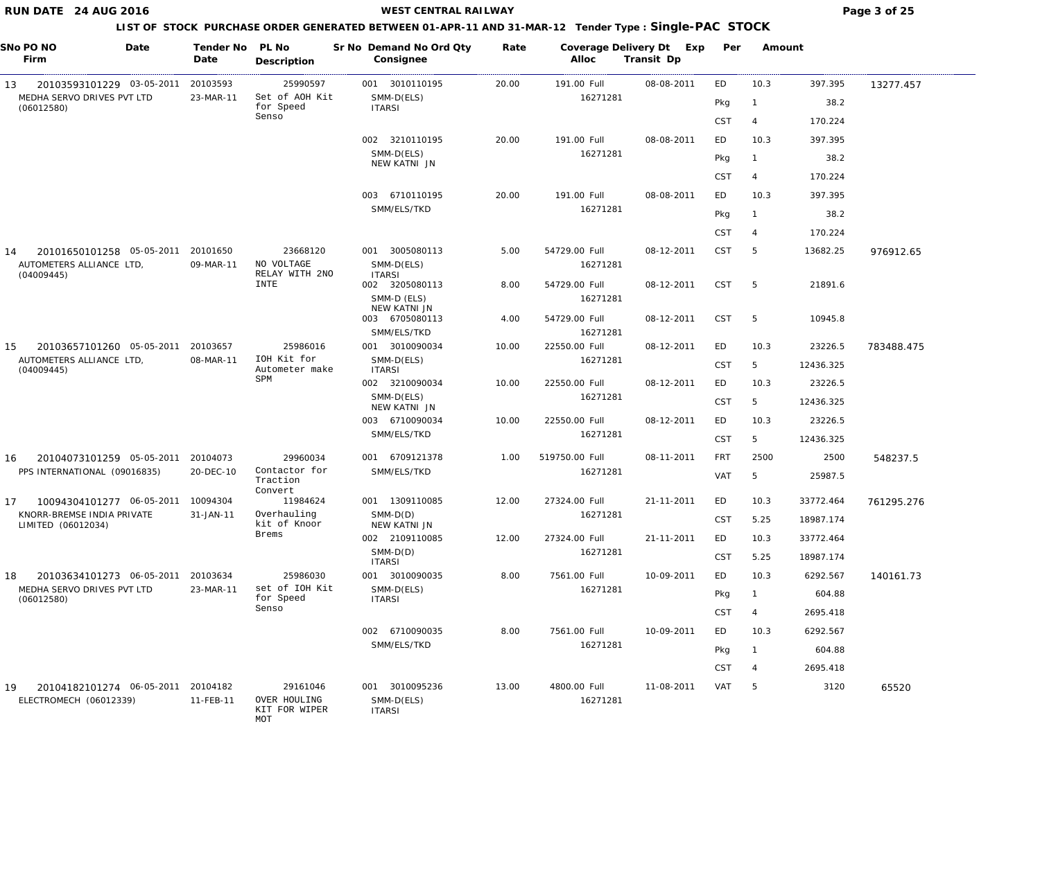## **WEST CENTRAL RAILWAY Page 3 of 25**

| SNo PO NO<br>Firm                                                         | Date | Tender No<br>Date     | PL No<br>Description                             |     | Sr No Demand No Ord Qty<br>Consignee          | Rate  | Coverage Delivery Dt Exp<br>Alloc | Transit Dp | Per        | Amount         |           |            |
|---------------------------------------------------------------------------|------|-----------------------|--------------------------------------------------|-----|-----------------------------------------------|-------|-----------------------------------|------------|------------|----------------|-----------|------------|
| 20103593101229 03-05-2011<br>13                                           |      | 20103593              | 25990597                                         |     | 001 3010110195                                | 20.00 | 191.00 Full                       | 08-08-2011 | ED         | 10.3           | 397.395   | 13277.457  |
| MEDHA SERVO DRIVES PVT LTD<br>(06012580)                                  |      | 23-MAR-11             | Set of AOH Kit<br>for Speed                      |     | SMM-D(ELS)<br><b>ITARSI</b>                   |       | 16271281                          |            | Pkg        | $\mathbf{1}$   | 38.2      |            |
|                                                                           |      |                       | Senso                                            |     |                                               |       |                                   |            | <b>CST</b> | $\overline{4}$ | 170.224   |            |
|                                                                           |      |                       |                                                  |     | 002 3210110195                                | 20.00 | 191.00 Full                       | 08-08-2011 | ED         | 10.3           | 397.395   |            |
|                                                                           |      |                       |                                                  |     | SMM-D(ELS)                                    |       | 16271281                          |            | Pkg        | $\mathbf{1}$   | 38.2      |            |
|                                                                           |      |                       |                                                  |     | NEW KATNI JN                                  |       |                                   |            | <b>CST</b> | $\overline{4}$ | 170.224   |            |
|                                                                           |      |                       |                                                  | 003 | 6710110195                                    | 20.00 | 191.00 Full                       | 08-08-2011 | ED         | 10.3           | 397.395   |            |
|                                                                           |      |                       |                                                  |     | SMM/ELS/TKD                                   |       | 16271281                          |            |            |                |           |            |
|                                                                           |      |                       |                                                  |     |                                               |       |                                   |            | Pkg        | $\mathbf{1}$   | 38.2      |            |
|                                                                           |      |                       |                                                  |     |                                               |       |                                   |            | <b>CST</b> | $\overline{4}$ | 170.224   |            |
| 20101650101258 05-05-2011<br>14<br>AUTOMETERS ALLIANCE LTD,<br>(04009445) |      | 20101650<br>09-MAR-11 | 23668120<br>NO VOLTAGE<br>RELAY WITH 2NO         |     | 001 3005080113<br>SMM-D(ELS)<br><b>ITARSI</b> | 5.00  | 54729.00 Full<br>16271281         | 08-12-2011 | CST        | -5             | 13682.25  | 976912.65  |
|                                                                           |      |                       | <b>INTE</b>                                      |     | 002 3205080113                                | 8.00  | 54729.00 Full                     | 08-12-2011 | CST        | 5              | 21891.6   |            |
|                                                                           |      |                       |                                                  |     | SMM-D (ELS)<br>NEW KATNI JN                   |       | 16271281                          |            |            |                |           |            |
|                                                                           |      |                       |                                                  |     | 003 6705080113                                | 4.00  | 54729.00 Full                     | 08-12-2011 | <b>CST</b> | 5              | 10945.8   |            |
|                                                                           |      |                       |                                                  |     | SMM/ELS/TKD                                   |       | 16271281                          |            |            |                |           |            |
| 20103657101260 05-05-2011<br>15<br>AUTOMETERS ALLIANCE LTD,               |      | 20103657<br>08-MAR-11 | 25986016<br>IOH Kit for                          |     | 001 3010090034<br>SMM-D(ELS)                  | 10.00 | 22550.00 Full<br>16271281         | 08-12-2011 | ED         | 10.3           | 23226.5   | 783488.475 |
| (04009445)                                                                |      |                       | Autometer make<br>SPM                            |     | <b>ITARSI</b>                                 |       |                                   |            | CST        | 5              | 12436.325 |            |
|                                                                           |      |                       |                                                  |     | 002 3210090034                                | 10.00 | 22550.00 Full                     | 08-12-2011 | ED         | 10.3           | 23226.5   |            |
|                                                                           |      |                       |                                                  |     | SMM-D(ELS)<br>NEW KATNI JN                    |       | 16271281                          |            | CST        | 5              | 12436.325 |            |
|                                                                           |      |                       |                                                  |     | 003 6710090034                                | 10.00 | 22550.00 Full                     | 08-12-2011 | ED         | 10.3           | 23226.5   |            |
|                                                                           |      |                       |                                                  |     | SMM/ELS/TKD                                   |       | 16271281                          |            | <b>CST</b> | 5              | 12436.325 |            |
| 20104073101259 05-05-2011<br>16                                           |      | 20104073              | 29960034                                         |     | 001 6709121378                                | 1.00  | 519750.00 Full                    | 08-11-2011 | <b>FRT</b> | 2500           | 2500      | 548237.5   |
| PPS INTERNATIONAL (09016835)                                              |      | 20-DEC-10             | Contactor for<br>Traction<br>Convert             |     | SMM/ELS/TKD                                   |       | 16271281                          |            | <b>VAT</b> | 5              | 25987.5   |            |
| 17<br>10094304101277 06-05-2011                                           |      | 10094304              | 11984624                                         |     | 001 1309110085                                | 12.00 | 27324.00 Full                     | 21-11-2011 | ED         | 10.3           | 33772.464 | 761295.276 |
| KNORR-BREMSE INDIA PRIVATE<br>LIMITED (06012034)                          |      | 31-JAN-11             | Overhauling<br>kit of Knoor                      |     | $SMM-D(D)$<br>NEW KATNI JN                    |       | 16271281                          |            | <b>CST</b> | 5.25           | 18987.174 |            |
|                                                                           |      |                       | Brems                                            |     | 002 2109110085                                | 12.00 | 27324.00 Full                     | 21-11-2011 | ED         | 10.3           | 33772.464 |            |
|                                                                           |      |                       |                                                  |     | $SMM-D(D)$<br><b>ITARSI</b>                   |       | 16271281                          |            | CST        | 5.25           | 18987.174 |            |
| 20103634101273 06-05-2011<br>18                                           |      | 20103634              | 25986030                                         |     | 001 3010090035                                | 8.00  | 7561.00 Full                      | 10-09-2011 | ED         | 10.3           | 6292.567  | 140161.73  |
| MEDHA SERVO DRIVES PVT LTD<br>(06012580)                                  |      | 23-MAR-11             | set of IOH Kit<br>for Speed                      |     | SMM-D(ELS)<br><b>ITARSI</b>                   |       | 16271281                          |            | Pkg        | -1             | 604.88    |            |
|                                                                           |      |                       | Senso                                            |     |                                               |       |                                   |            | <b>CST</b> | 4              | 2695.418  |            |
|                                                                           |      |                       |                                                  |     | 002 6710090035                                | 8.00  | 7561.00 Full                      | 10-09-2011 | ED         | 10.3           | 6292.567  |            |
|                                                                           |      |                       |                                                  |     | SMM/ELS/TKD                                   |       | 16271281                          |            | Pkg        | $\mathbf{1}$   | 604.88    |            |
|                                                                           |      |                       |                                                  |     |                                               |       |                                   |            | <b>CST</b> | 4              | 2695.418  |            |
| 20104182101274 06-05-2011<br>19<br>ELECTROMECH (06012339)                 |      | 20104182<br>11-FEB-11 | 29161046<br>OVER HOULING<br>KIT FOR WIPER<br>MOT |     | 001 3010095236<br>SMM-D(ELS)<br><b>ITARSI</b> | 13.00 | 4800.00 Full<br>16271281          | 11-08-2011 | VAT        | 5              | 3120      | 65520      |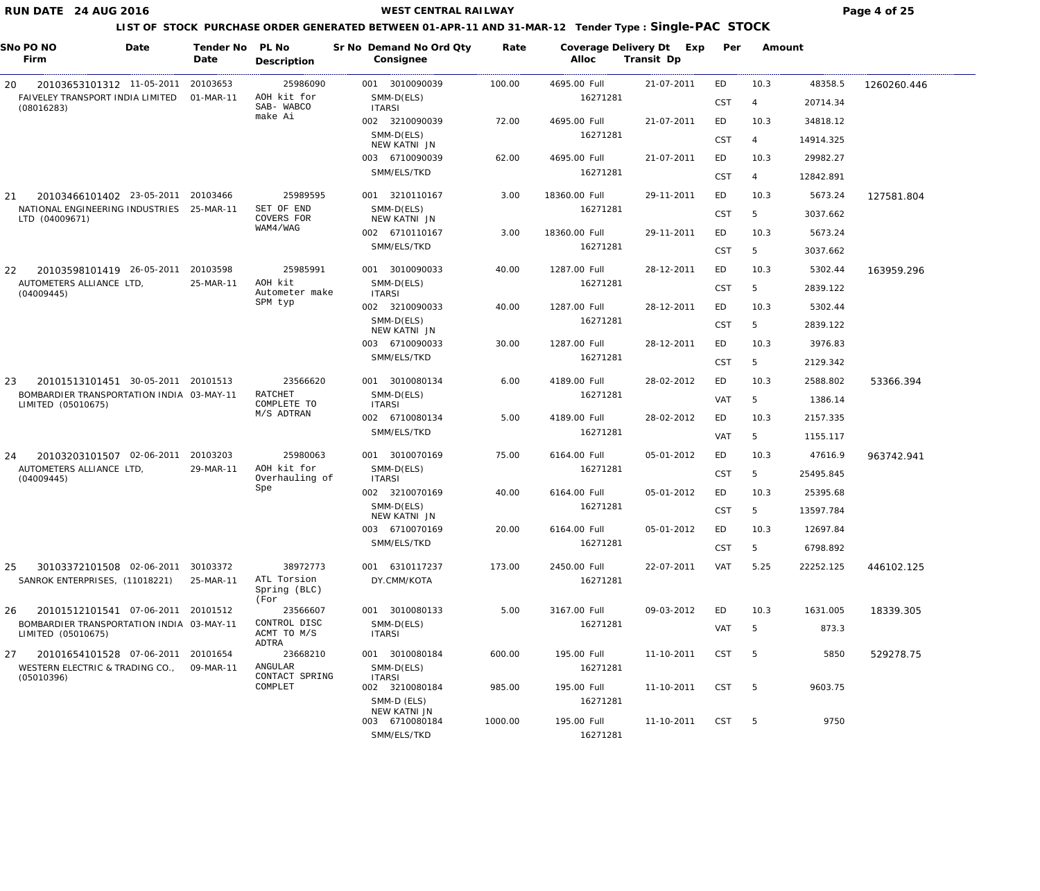**WEST CENTRAL RAILWAY Page 4 of 25** 

| SNo PO NO<br>Firm                                                 | Date | Tender No<br>Date     | PL No<br>Description                    | Sr No Demand No Ord Qty<br>Consignee          | Rate    | Coverage Delivery Dt<br>Alloc | Exp<br>Transit Dp | Per        | Amount |           |             |
|-------------------------------------------------------------------|------|-----------------------|-----------------------------------------|-----------------------------------------------|---------|-------------------------------|-------------------|------------|--------|-----------|-------------|
| 20103653101312 11-05-2011<br>20                                   |      | 20103653              | 25986090                                | 001 3010090039                                | 100.00  | 4695.00 Full                  | 21-07-2011        | ED         | 10.3   | 48358.5   | 1260260.446 |
| FAIVELEY TRANSPORT INDIA LIMITED<br>(08016283)                    |      | 01-MAR-11             | AOH kit for<br>SAB- WABCO               | SMM-D(ELS)<br><b>ITARSI</b>                   |         | 16271281                      |                   | <b>CST</b> | 4      | 20714.34  |             |
|                                                                   |      |                       | make Ai                                 | 002 3210090039                                | 72.00   | 4695.00 Full                  | 21-07-2011        | ED         | 10.3   | 34818.12  |             |
|                                                                   |      |                       |                                         | SMM-D(ELS)<br>NEW KATNI JN                    |         | 16271281                      |                   | <b>CST</b> | 4      | 14914.325 |             |
|                                                                   |      |                       |                                         | 003 6710090039                                | 62.00   | 4695.00 Full                  | 21-07-2011        | ED         | 10.3   | 29982.27  |             |
|                                                                   |      |                       |                                         | SMM/ELS/TKD                                   |         | 16271281                      |                   | <b>CST</b> | 4      | 12842.891 |             |
| 20103466101402 23-05-2011<br>21                                   |      | 20103466              | 25989595                                | 001 3210110167                                | 3.00    | 18360.00 Full                 | 29-11-2011        | ED         | 10.3   | 5673.24   | 127581.804  |
| NATIONAL ENGINEERING INDUSTRIES<br>LTD (04009671)                 |      | 25-MAR-11             | SET OF END<br>COVERS FOR                | SMM-D(ELS)<br>NEW KATNI JN                    |         | 16271281                      |                   | CST        | 5      | 3037.662  |             |
|                                                                   |      |                       | WAM4/WAG                                | 002 6710110167                                | 3.00    | 18360.00 Full                 | 29-11-2011        | ED         | 10.3   | 5673.24   |             |
|                                                                   |      |                       |                                         | SMM/ELS/TKD                                   |         | 16271281                      |                   | <b>CST</b> | 5      | 3037.662  |             |
| 22<br>20103598101419 26-05-2011                                   |      | 20103598              | 25985991                                | 001 3010090033                                | 40.00   | 1287.00 Full                  | 28-12-2011        | ED         | 10.3   | 5302.44   | 163959.296  |
| AUTOMETERS ALLIANCE LTD,<br>(04009445)                            |      | 25-MAR-11             | AOH kit<br>Autometer make               | SMM-D(ELS)<br><b>ITARSI</b>                   |         | 16271281                      |                   | <b>CST</b> | 5      | 2839.122  |             |
|                                                                   |      |                       | SPM typ                                 | 002 3210090033                                | 40.00   | 1287.00 Full                  | 28-12-2011        | ED         | 10.3   | 5302.44   |             |
|                                                                   |      |                       |                                         | SMM-D(ELS)<br>NEW KATNI JN                    |         | 16271281                      |                   | <b>CST</b> | 5      | 2839.122  |             |
|                                                                   |      |                       |                                         | 003 6710090033                                | 30.00   | 1287.00 Full                  | 28-12-2011        | ED         | 10.3   | 3976.83   |             |
|                                                                   |      |                       |                                         | SMM/ELS/TKD                                   |         | 16271281                      |                   | <b>CST</b> | 5      | 2129.342  |             |
| 20101513101451 30-05-2011<br>23                                   |      | 20101513              | 23566620                                | 001 3010080134                                | 6.00    | 4189.00 Full                  | 28-02-2012        | ED         | 10.3   | 2588.802  | 53366.394   |
| BOMBARDIER TRANSPORTATION INDIA 03-MAY-11                         |      |                       | <b>RATCHET</b>                          | SMM-D(ELS)                                    |         | 16271281                      |                   | <b>VAT</b> | 5      | 1386.14   |             |
| LIMITED (05010675)                                                |      |                       | COMPLETE TO<br>M/S ADTRAN               | <b>ITARSI</b><br>002 6710080134               | 5.00    | 4189.00 Full                  | 28-02-2012        | ED         | 10.3   | 2157.335  |             |
|                                                                   |      |                       |                                         | SMM/ELS/TKD                                   |         | 16271281                      |                   | <b>VAT</b> | 5      | 1155.117  |             |
|                                                                   |      |                       |                                         |                                               |         |                               |                   |            |        |           |             |
| 20103203101507 02-06-2011<br>24<br>AUTOMETERS ALLIANCE LTD,       |      | 20103203<br>29-MAR-11 | 25980063<br>AOH kit for                 | 001 3010070169<br>SMM-D(ELS)                  | 75.00   | 6164.00 Full<br>16271281      | 05-01-2012        | ED         | 10.3   | 47616.9   | 963742.941  |
| (04009445)                                                        |      |                       | Overhauling of<br>Spe                   | <b>ITARSI</b>                                 |         |                               |                   | CST        | 5      | 25495.845 |             |
|                                                                   |      |                       |                                         | 002 3210070169<br>SMM-D(ELS)                  | 40.00   | 6164.00 Full<br>16271281      | 05-01-2012        | ED         | 10.3   | 25395.68  |             |
|                                                                   |      |                       |                                         | NEW KATNI JN                                  |         |                               |                   | <b>CST</b> | 5      | 13597.784 |             |
|                                                                   |      |                       |                                         | 003 6710070169                                | 20.00   | 6164.00 Full                  | 05-01-2012        | ED         | 10.3   | 12697.84  |             |
|                                                                   |      |                       |                                         | SMM/ELS/TKD                                   |         | 16271281                      |                   | <b>CST</b> | 5      | 6798.892  |             |
| 25<br>30103372101508 02-06-2011<br>SANROK ENTERPRISES, (11018221) |      | 30103372<br>25-MAR-11 | 38972773<br>ATL Torsion<br>Spring (BLC) | 001 6310117237<br>DY.CMM/KOTA                 | 173.00  | 2450.00 Full<br>16271281      | 22-07-2011        | VAT        | 5.25   | 22252.125 | 446102.125  |
| 26<br>20101512101541 07-06-2011                                   |      | 20101512              | (For<br>23566607                        | 001 3010080133                                | 5.00    | 3167.00 Full                  | 09-03-2012        | ED         | 10.3   | 1631.005  | 18339.305   |
| BOMBARDIER TRANSPORTATION INDIA 03-MAY-11<br>LIMITED (05010675)   |      |                       | CONTROL DISC<br>ACMT TO M/S             | SMM-D(ELS)<br><b>ITARSI</b>                   |         | 16271281                      |                   | VAT        | 5      | 873.3     |             |
| 27<br>20101654101528 07-06-2011                                   |      | 20101654              | ADTRA<br>23668210                       | 001 3010080184                                | 600.00  | 195.00 Full                   | 11-10-2011        | <b>CST</b> | - 5    | 5850      | 529278.75   |
| WESTERN ELECTRIC & TRADING CO.,<br>(05010396)                     |      | 09-MAR-11             | ANGULAR<br>CONTACT SPRING               | SMM-D(ELS)<br><b>ITARSI</b>                   |         | 16271281                      |                   |            |        |           |             |
|                                                                   |      |                       | COMPLET                                 | 002 3210080184<br>SMM-D (ELS)                 | 985.00  | 195.00 Full<br>16271281       | 11-10-2011        | <b>CST</b> | - 5    | 9603.75   |             |
|                                                                   |      |                       |                                         | NEW KATNI JN<br>003 6710080184<br>SMM/ELS/TKD | 1000.00 | 195.00 Full<br>16271281       | 11-10-2011        | CST        | - 5    | 9750      |             |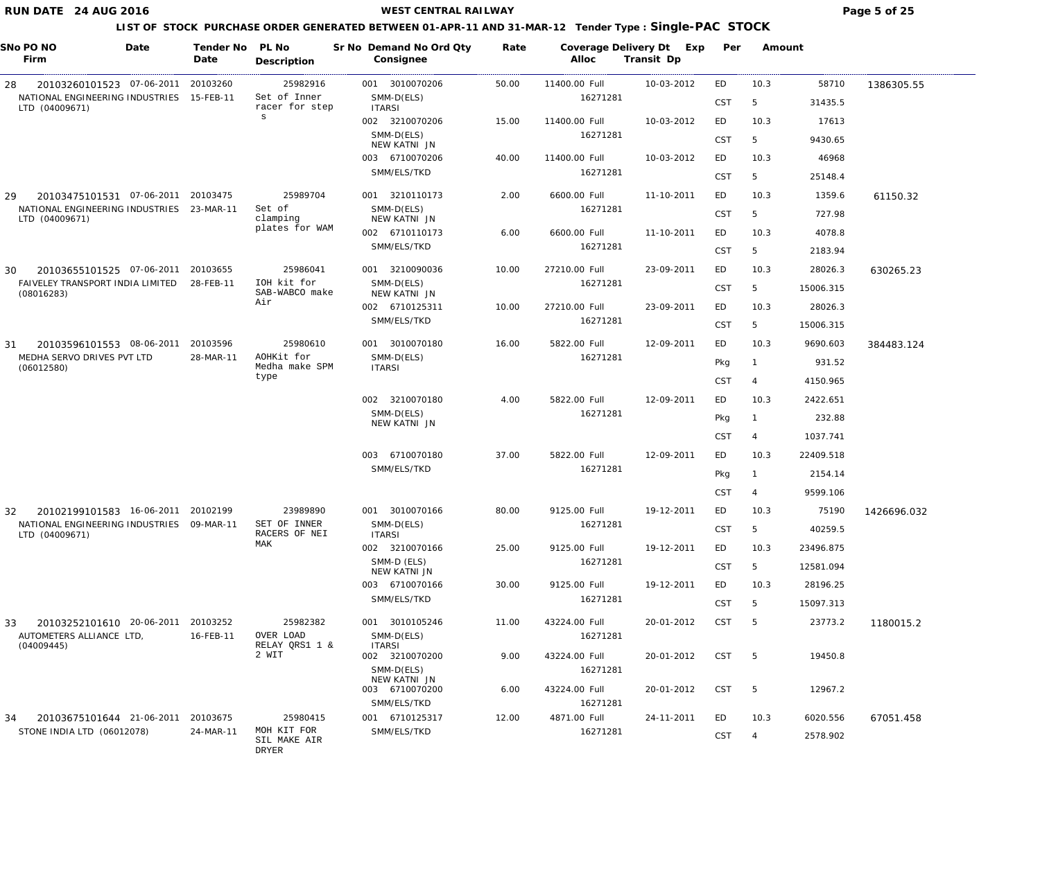**WEST CENTRAL RAILWAY Page 5 of 25** 

| SNo PO NO<br>Firm                                           | Date | Tender No PL No<br>Date | Description                          | Sr No Demand No Ord Qty<br>Consignee | Rate  | Coverage Delivery Dt Exp<br>Alloc | Transit Dp | Per        | Amount         |           |             |
|-------------------------------------------------------------|------|-------------------------|--------------------------------------|--------------------------------------|-------|-----------------------------------|------------|------------|----------------|-----------|-------------|
| 20103260101523 07-06-2011<br>28                             |      | 20103260                | 25982916                             | 001 3010070206                       | 50.00 | 11400.00 Full                     | 10-03-2012 | ED         | 10.3           | 58710     | 1386305.55  |
| NATIONAL ENGINEERING INDUSTRIES 15-FEB-11<br>LTD (04009671) |      |                         | Set of Inner<br>racer for step       | SMM-D(ELS)<br><b>ITARSI</b>          |       | 16271281                          |            | CST        | 5              | 31435.5   |             |
|                                                             |      |                         | $\mathbf s$                          | 002 3210070206                       | 15.00 | 11400.00 Full                     | 10-03-2012 | ED         | 10.3           | 17613     |             |
|                                                             |      |                         |                                      | SMM-D(ELS)<br>NEW KATNI JN           |       | 16271281                          |            | <b>CST</b> | 5              | 9430.65   |             |
|                                                             |      |                         |                                      | 003 6710070206                       | 40.00 | 11400.00 Full                     | 10-03-2012 | ED         | 10.3           | 46968     |             |
|                                                             |      |                         |                                      | SMM/ELS/TKD                          |       | 16271281                          |            | <b>CST</b> | 5              | 25148.4   |             |
| 20103475101531 07-06-2011 20103475<br>29                    |      |                         | 25989704                             | 001 3210110173                       | 2.00  | 6600.00 Full                      | 11-10-2011 | ED         | 10.3           | 1359.6    | 61150.32    |
| NATIONAL ENGINEERING INDUSTRIES                             |      | 23-MAR-11               | Set of<br>clamping                   | SMM-D(ELS)<br>NEW KATNI JN           |       | 16271281                          |            | <b>CST</b> | 5              | 727.98    |             |
| LTD (04009671)                                              |      |                         | plates for WAM                       | 002 6710110173                       | 6.00  | 6600.00 Full                      | 11-10-2011 | ED         | 10.3           | 4078.8    |             |
|                                                             |      |                         |                                      | SMM/ELS/TKD                          |       | 16271281                          |            | CST        | 5              | 2183.94   |             |
| 20103655101525 07-06-2011<br>30                             |      | 20103655                | 25986041                             | 001 3210090036                       | 10.00 | 27210.00 Full                     | 23-09-2011 | ED         | 10.3           | 28026.3   | 630265.23   |
| FAIVELEY TRANSPORT INDIA LIMITED                            |      | 28-FEB-11               | IOH kit for<br>SAB-WABCO make        | SMM-D(ELS)                           |       | 16271281                          |            | CST        | 5              | 15006.315 |             |
| (08016283)                                                  |      |                         | Air                                  | NEW KATNI JN<br>002 6710125311       | 10.00 | 27210.00 Full                     | 23-09-2011 | ED         | 10.3           | 28026.3   |             |
|                                                             |      |                         |                                      | SMM/ELS/TKD                          |       | 16271281                          |            | CST        | 5              | 15006.315 |             |
| 20103596101553 08-06-2011<br>31                             |      | 20103596                | 25980610                             | 001 3010070180                       | 16.00 | 5822.00 Full                      | 12-09-2011 | ED         | 10.3           | 9690.603  | 384483.124  |
| MEDHA SERVO DRIVES PVT LTD                                  |      | 28-MAR-11               | AOHKit for                           | SMM-D(ELS)                           |       | 16271281                          |            | Pkg        | $\mathbf{1}$   | 931.52    |             |
| (06012580)                                                  |      |                         | Medha make SPM<br>type               | <b>ITARSI</b>                        |       |                                   |            | CST        | $\overline{4}$ | 4150.965  |             |
|                                                             |      |                         |                                      | 002 3210070180                       | 4.00  | 5822.00 Full                      | 12-09-2011 | ED         | 10.3           | 2422.651  |             |
|                                                             |      |                         |                                      | SMM-D(ELS)                           |       | 16271281                          |            | Pkg        | $\overline{1}$ | 232.88    |             |
|                                                             |      |                         |                                      | NEW KATNI JN                         |       |                                   |            | CST        | $\overline{4}$ | 1037.741  |             |
|                                                             |      |                         |                                      | 003 6710070180                       | 37.00 | 5822.00 Full                      | 12-09-2011 | ED         | 10.3           | 22409.518 |             |
|                                                             |      |                         |                                      | SMM/ELS/TKD                          |       | 16271281                          |            | Pkg        |                | 2154.14   |             |
|                                                             |      |                         |                                      |                                      |       |                                   |            | <b>CST</b> | -4             | 9599.106  |             |
| 20102199101583 16-06-2011 20102199<br>32                    |      |                         | 23989890                             | 001 3010070166                       | 80.00 | 9125.00 Full                      | 19-12-2011 | ED         | 10.3           | 75190     | 1426696.032 |
| NATIONAL ENGINEERING INDUSTRIES 09-MAR-11                   |      |                         | SET OF INNER                         | SMM-D(ELS)                           |       | 16271281                          |            | <b>CST</b> | 5              | 40259.5   |             |
| LTD (04009671)                                              |      |                         | RACERS OF NEI<br>MAK                 | <b>ITARSI</b><br>002 3210070166      | 25.00 | 9125.00 Full                      | 19-12-2011 | ED         | 10.3           | 23496.875 |             |
|                                                             |      |                         |                                      | SMM-D (ELS)                          |       | 16271281                          |            | <b>CST</b> | 5              | 12581.094 |             |
|                                                             |      |                         |                                      | NEW KATNI JN<br>003 6710070166       | 30.00 | 9125.00 Full                      | 19-12-2011 | ED         | 10.3           | 28196.25  |             |
|                                                             |      |                         |                                      | SMM/ELS/TKD                          |       | 16271281                          |            | <b>CST</b> | 5              | 15097.313 |             |
|                                                             |      |                         |                                      |                                      |       |                                   |            |            |                |           |             |
| 20103252101610 20-06-2011<br>33<br>AUTOMETERS ALLIANCE LTD, |      | 20103252<br>16-FEB-11   | 25982382<br>OVER LOAD                | 001 3010105246<br>SMM-D(ELS)         | 11.00 | 43224.00 Full<br>16271281         | 20-01-2012 | <b>CST</b> | 5              | 23773.2   | 1180015.2   |
| (04009445)                                                  |      |                         | RELAY QRS1 1 &<br>2 WIT              | <b>ITARSI</b><br>002 3210070200      | 9.00  | 43224.00 Full                     | 20-01-2012 | <b>CST</b> | 5              | 19450.8   |             |
|                                                             |      |                         |                                      | SMM-D(ELS)                           |       | 16271281                          |            |            |                |           |             |
|                                                             |      |                         |                                      | NEW KATNI JN<br>003 6710070200       | 6.00  | 43224.00 Full                     | 20-01-2012 | <b>CST</b> | 5              | 12967.2   |             |
|                                                             |      |                         |                                      | SMM/ELS/TKD                          |       | 16271281                          |            |            |                |           |             |
| 34<br>20103675101644 21-06-2011                             |      | 20103675                | 25980415                             | 001 6710125317                       | 12.00 | 4871.00 Full                      | 24-11-2011 | ED         | 10.3           | 6020.556  | 67051.458   |
| STONE INDIA LTD (06012078)                                  |      | 24-MAR-11               | MOH KIT FOR<br>SIL MAKE AIR<br>DRYER | SMM/ELS/TKD                          |       | 16271281                          |            | <b>CST</b> | $\overline{4}$ | 2578.902  |             |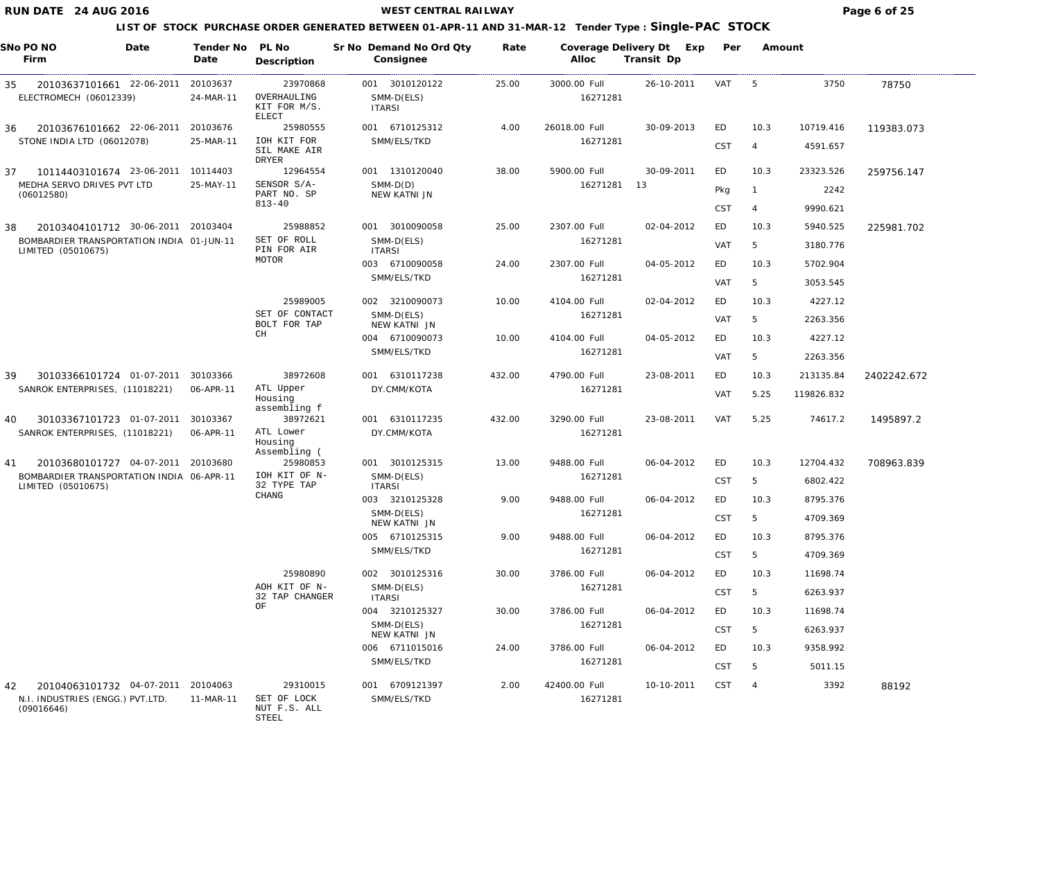#### **WEST CENTRAL RAILWAY Page 6 of 25**

#### **LIST OF STOCK PURCHASE ORDER GENERATED BETWEEN 01-APR-11 AND 31-MAR-12 Tender Type : Single-PAC STOCK**

| SNo PO NO | Firm                                                            | Date | Tender No<br>Date     | PL No<br>Description                                    | Sr No Demand No Ord Qty<br>Consignee          | Rate   | Alloc                    | Coverage Delivery Dt Exp<br>Transit Dp | Per              | Amount         |                      |             |
|-----------|-----------------------------------------------------------------|------|-----------------------|---------------------------------------------------------|-----------------------------------------------|--------|--------------------------|----------------------------------------|------------------|----------------|----------------------|-------------|
| 35        | 20103637101661 22-06-2011<br>ELECTROMECH (06012339)             |      | 20103637<br>24-MAR-11 | 23970868<br>OVERHAULING<br>KIT FOR M/S.<br><b>ELECT</b> | 001 3010120122<br>SMM-D(ELS)<br><b>ITARSI</b> | 25.00  | 3000.00 Full<br>16271281 | 26-10-2011                             | VAT              | -5             | 3750                 | 78750       |
| 36        | 20103676101662 22-06-2011                                       |      | 20103676              | 25980555                                                | 001 6710125312                                | 4.00   | 26018.00 Full            | 30-09-2013                             | ED               | 10.3           | 10719.416            | 119383.073  |
|           | STONE INDIA LTD (06012078)                                      |      | 25-MAR-11             | IOH KIT FOR<br>SIL MAKE AIR<br>DRYER                    | SMM/ELS/TKD                                   |        | 16271281                 |                                        | <b>CST</b>       | $\overline{4}$ | 4591.657             |             |
| 37        | 10114403101674 23-06-2011                                       |      | 10114403              | 12964554                                                | 001 1310120040                                | 38.00  | 5900.00 Full             | 30-09-2011                             | ED               | 10.3           | 23323.526            | 259756.147  |
|           | MEDHA SERVO DRIVES PVT LTD<br>(06012580)                        |      | 25-MAY-11             | SENSOR S/A-<br>PART NO. SP<br>$813 - 40$                | $SMM-D(D)$<br>NEW KATNI JN                    |        | 16271281                 | - 13                                   | Pkg              | - 1            | 2242                 |             |
|           |                                                                 |      |                       |                                                         |                                               |        |                          |                                        | <b>CST</b>       | $\overline{4}$ | 9990.621             |             |
| 38        | 20103404101712 30-06-2011                                       |      | 20103404              | 25988852<br>SET OF ROLL                                 | 001 3010090058                                | 25.00  | 2307.00 Full             | 02-04-2012                             | ED               | 10.3           | 5940.525             | 225981.702  |
|           | BOMBARDIER TRANSPORTATION INDIA 01-JUN-11<br>LIMITED (05010675) |      |                       | PIN FOR AIR<br>MOTOR                                    | SMM-D(ELS)<br><b>ITARSI</b><br>003 6710090058 | 24.00  | 16271281<br>2307.00 Full | 04-05-2012                             | <b>VAT</b><br>ED | 5<br>10.3      | 3180.776<br>5702.904 |             |
|           |                                                                 |      |                       |                                                         | SMM/ELS/TKD                                   |        | 16271281                 |                                        |                  |                |                      |             |
|           |                                                                 |      |                       |                                                         |                                               |        |                          |                                        | <b>VAT</b>       | 5              | 3053.545             |             |
|           |                                                                 |      |                       | 25989005                                                | 002 3210090073                                | 10.00  | 4104.00 Full             | 02-04-2012                             | ED               | 10.3           | 4227.12              |             |
|           |                                                                 |      |                       | SET OF CONTACT<br>BOLT FOR TAP                          | SMM-D(ELS)<br>NEW KATNI JN                    |        | 16271281                 |                                        | <b>VAT</b>       | 5              | 2263.356             |             |
|           |                                                                 |      |                       | CH                                                      | 004 6710090073                                | 10.00  | 4104.00 Full             | 04-05-2012                             | ED               | 10.3           | 4227.12              |             |
|           |                                                                 |      |                       |                                                         | SMM/ELS/TKD                                   |        | 16271281                 |                                        | <b>VAT</b>       | 5              | 2263.356             |             |
| 39        | 30103366101724 01-07-2011                                       |      | 30103366              | 38972608                                                | 001 6310117238                                | 432.00 | 4790.00 Full             | 23-08-2011                             | ED               | 10.3           | 213135.84            | 2402242.672 |
|           | SANROK ENTERPRISES, (11018221)                                  |      | 06-APR-11             | ATL Upper<br>Housing<br>assembling f                    | DY.CMM/KOTA                                   |        | 16271281                 |                                        | <b>VAT</b>       | 5.25           | 119826.832           |             |
| 40        | 30103367101723 01-07-2011                                       |      | 30103367              | 38972621                                                | 001 6310117235                                | 432.00 | 3290.00 Full             | 23-08-2011                             | VAT              | 5.25           | 74617.2              | 1495897.2   |
|           | SANROK ENTERPRISES, (11018221)                                  |      | 06-APR-11             | ATL Lower<br>Housing<br>Assembling (                    | DY.CMM/KOTA                                   |        | 16271281                 |                                        |                  |                |                      |             |
| 41        | 20103680101727 04-07-2011                                       |      | 20103680              | 25980853                                                | 001 3010125315                                | 13.00  | 9488.00 Full             | 06-04-2012                             | ED               | 10.3           | 12704.432            | 708963.839  |
|           | BOMBARDIER TRANSPORTATION INDIA 06-APR-11<br>LIMITED (05010675) |      |                       | IOH KIT OF N-<br>32 TYPE TAP                            | SMM-D(ELS)<br><b>ITARSI</b>                   |        | 16271281                 |                                        | <b>CST</b>       | 5              | 6802.422             |             |
|           |                                                                 |      |                       | $\rm CHANG$                                             | 003 3210125328                                | 9.00   | 9488.00 Full             | 06-04-2012                             | ED               | 10.3           | 8795.376             |             |
|           |                                                                 |      |                       |                                                         | SMM-D(ELS)<br>NEW KATNI JN                    |        | 16271281                 |                                        | <b>CST</b>       | 5              | 4709.369             |             |
|           |                                                                 |      |                       |                                                         | 005 6710125315                                | 9.00   | 9488.00 Full             | 06-04-2012                             | ED               | 10.3           | 8795.376             |             |
|           |                                                                 |      |                       |                                                         | SMM/ELS/TKD                                   |        | 16271281                 |                                        | <b>CST</b>       | 5              | 4709.369             |             |
|           |                                                                 |      |                       | 25980890                                                | 002 3010125316                                | 30.00  | 3786.00 Full             | 06-04-2012                             | ED               | 10.3           | 11698.74             |             |
|           |                                                                 |      |                       | AOH KIT OF N-<br>32 TAP CHANGER                         | SMM-D(ELS)<br><b>ITARSI</b>                   |        | 16271281                 |                                        | <b>CST</b>       | 5              | 6263.937             |             |
|           |                                                                 |      |                       | ΟF                                                      | 004 3210125327                                | 30.00  | 3786.00 Full             | 06-04-2012                             | ED               | 10.3           | 11698.74             |             |
|           |                                                                 |      |                       |                                                         | SMM-D(ELS)<br>NEW KATNI JN                    |        | 16271281                 |                                        | <b>CST</b>       | 5              | 6263.937             |             |
|           |                                                                 |      |                       |                                                         | 006 6711015016                                | 24.00  | 3786.00 Full             | 06-04-2012                             | ED               | 10.3           | 9358.992             |             |
|           |                                                                 |      |                       |                                                         | SMM/ELS/TKD                                   |        | 16271281                 |                                        | <b>CST</b>       | 5              | 5011.15              |             |
| 42        | 20104063101732 04-07-2011                                       |      | 20104063              | 29310015                                                | 001 6709121397                                | 2.00   | 42400.00 Full            | 10-10-2011                             | <b>CST</b>       | $\overline{4}$ | 3392                 | 88192       |
|           | N.I. INDUSTRIES (ENGG.) PVT.LTD.<br>(09016646)                  |      | 11-MAR-11             | SET OF LOCK<br>NUT F.S. ALL                             | SMM/ELS/TKD                                   |        | 16271281                 |                                        |                  |                |                      |             |

STEEL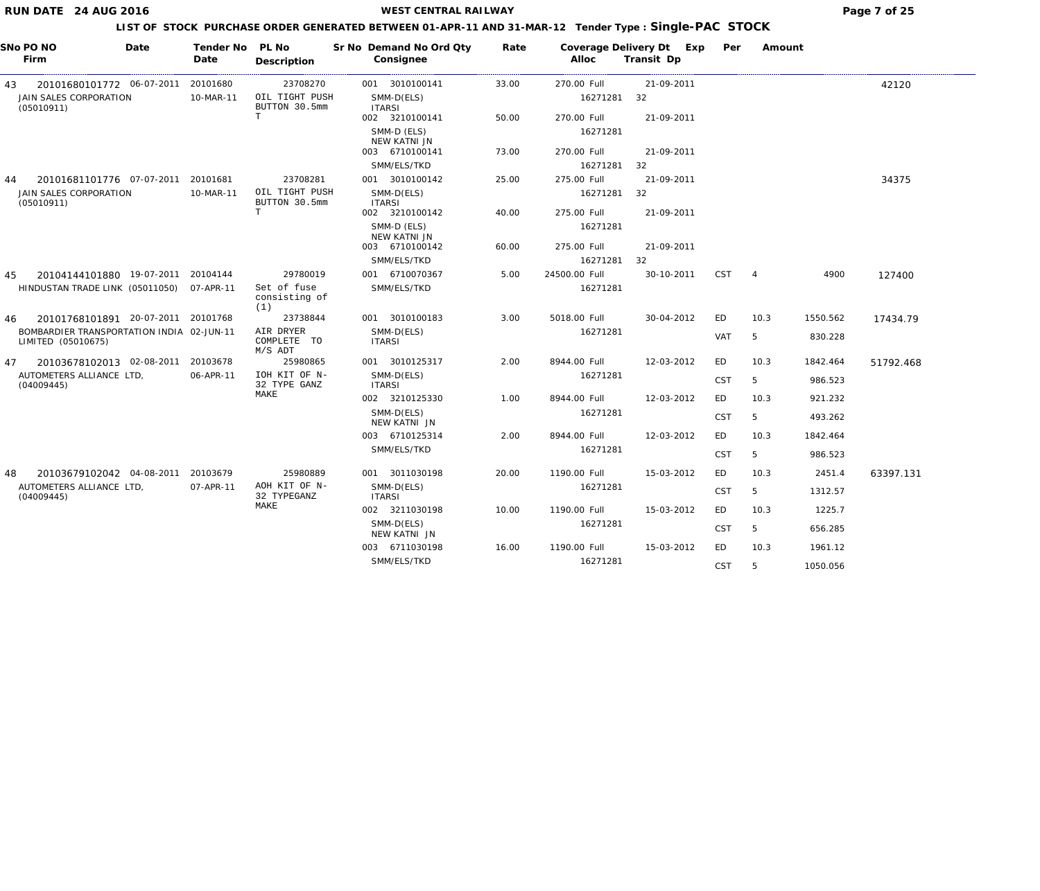## **WEST CENTRAL RAILWAY Page 7 of 25**

| SNo PO NO<br>Firm                                               | Date | Tender No PL No<br>Date | Description                           | Sr No Demand No Ord Qty<br>Consignee | Rate  | Alloc         | Coverage Delivery Dt Exp<br>Transit Dp | Per        | Amount         |          |           |
|-----------------------------------------------------------------|------|-------------------------|---------------------------------------|--------------------------------------|-------|---------------|----------------------------------------|------------|----------------|----------|-----------|
| 20101680101772 06-07-2011<br>43                                 |      | 20101680                | 23708270                              | 001 3010100141                       | 33.00 | 270.00 Full   | 21-09-2011                             |            |                |          | 42120     |
| JAIN SALES CORPORATION<br>(05010911)                            |      | 10-MAR-11               | OIL TIGHT PUSH<br>BUTTON 30.5mm       | SMM-D(ELS)<br><b>ITARSI</b>          |       | 16271281      | 32                                     |            |                |          |           |
|                                                                 |      |                         | $\mathbf T$                           | 002 3210100141                       | 50.00 | 270.00 Full   | 21-09-2011                             |            |                |          |           |
|                                                                 |      |                         |                                       | SMM-D (ELS)<br>NEW KATNI JN          |       | 16271281      |                                        |            |                |          |           |
|                                                                 |      |                         |                                       | 003 6710100141                       | 73.00 | 270.00 Full   | 21-09-2011                             |            |                |          |           |
|                                                                 |      |                         |                                       | SMM/ELS/TKD                          |       | 16271281      | 32                                     |            |                |          |           |
| 20101681101776 07-07-2011<br>44                                 |      | 20101681                | 23708281                              | 001 3010100142                       | 25.00 | 275.00 Full   | 21-09-2011                             |            |                |          | 34375     |
| JAIN SALES CORPORATION<br>(05010911)                            |      | 10-MAR-11               | OIL TIGHT PUSH<br>BUTTON 30.5mm       | SMM-D(ELS)<br><b>ITARSI</b>          |       | 16271281      | 32                                     |            |                |          |           |
|                                                                 |      |                         | T                                     | 002 3210100142                       | 40.00 | 275.00 Full   | 21-09-2011                             |            |                |          |           |
|                                                                 |      |                         |                                       | SMM-D (ELS)<br>NEW KATNI JN          |       | 16271281      |                                        |            |                |          |           |
|                                                                 |      |                         |                                       | 003 6710100142                       | 60.00 | 275.00 Full   | 21-09-2011                             |            |                |          |           |
|                                                                 |      |                         |                                       | SMM/ELS/TKD                          |       | 16271281      | 32                                     |            |                |          |           |
| 20104144101880 19-07-2011 20104144<br>45                        |      |                         | 29780019                              | 001 6710070367                       | 5.00  | 24500.00 Full | 30-10-2011                             | <b>CST</b> | $\overline{4}$ | 4900     | 127400    |
| HINDUSTAN TRADE LINK (05011050)                                 |      | 07-APR-11               | Set of fuse<br>consisting of<br>(1)   | SMM/ELS/TKD                          |       | 16271281      |                                        |            |                |          |           |
| 20101768101891 20-07-2011 20101768<br>46                        |      |                         | 23738844                              | 001 3010100183                       | 3.00  | 5018.00 Full  | 30-04-2012                             | ED         | 10.3           | 1550.562 | 17434.79  |
| BOMBARDIER TRANSPORTATION INDIA 02-JUN-11<br>LIMITED (05010675) |      |                         | AIR DRYER<br>COMPLETE TO<br>$M/S$ ADT | SMM-D(ELS)<br><b>ITARSI</b>          |       | 16271281      |                                        | <b>VAT</b> | 5              | 830.228  |           |
| 20103678102013 02-08-2011<br>47                                 |      | 20103678                | 25980865                              | 001 3010125317                       | 2.00  | 8944.00 Full  | 12-03-2012                             | ED         | 10.3           | 1842.464 | 51792.468 |
| AUTOMETERS ALLIANCE LTD,<br>(04009445)                          |      | 06-APR-11               | IOH KIT OF N-<br>32 TYPE GANZ         | SMM-D(ELS)<br><b>ITARSI</b>          |       | 16271281      |                                        | <b>CST</b> | 5              | 986.523  |           |
|                                                                 |      |                         | MAKE                                  | 002 3210125330                       | 1.00  | 8944.00 Full  | 12-03-2012                             | ED         | 10.3           | 921.232  |           |
|                                                                 |      |                         |                                       | SMM-D(ELS)<br>NEW KATNI JN           |       | 16271281      |                                        | <b>CST</b> | 5              | 493.262  |           |
|                                                                 |      |                         |                                       | 003 6710125314                       | 2.00  | 8944.00 Full  | 12-03-2012                             | <b>ED</b>  | 10.3           | 1842.464 |           |
|                                                                 |      |                         |                                       | SMM/ELS/TKD                          |       | 16271281      |                                        | <b>CST</b> | 5              | 986.523  |           |
| 20103679102042 04-08-2011<br>48                                 |      | 20103679                | 25980889                              | 001 3011030198                       | 20.00 | 1190.00 Full  | 15-03-2012                             | ED         | 10.3           | 2451.4   | 63397.131 |
| AUTOMETERS ALLIANCE LTD,<br>(04009445)                          |      | 07-APR-11               | AOH KIT OF N-<br>32 TYPEGANZ          | SMM-D(ELS)<br><b>ITARSI</b>          |       | 16271281      |                                        | <b>CST</b> | 5              | 1312.57  |           |
|                                                                 |      |                         | MAKE                                  | 002 3211030198                       | 10.00 | 1190.00 Full  | 15-03-2012                             | ED         | 10.3           | 1225.7   |           |
|                                                                 |      |                         |                                       | SMM-D(ELS)<br>NEW KATNI JN           |       | 16271281      |                                        | <b>CST</b> | 5              | 656.285  |           |
|                                                                 |      |                         |                                       | 003 6711030198                       | 16.00 | 1190.00 Full  | 15-03-2012                             | ED         | 10.3           | 1961.12  |           |
|                                                                 |      |                         |                                       | SMM/ELS/TKD                          |       | 16271281      |                                        | <b>CST</b> | 5              | 1050.056 |           |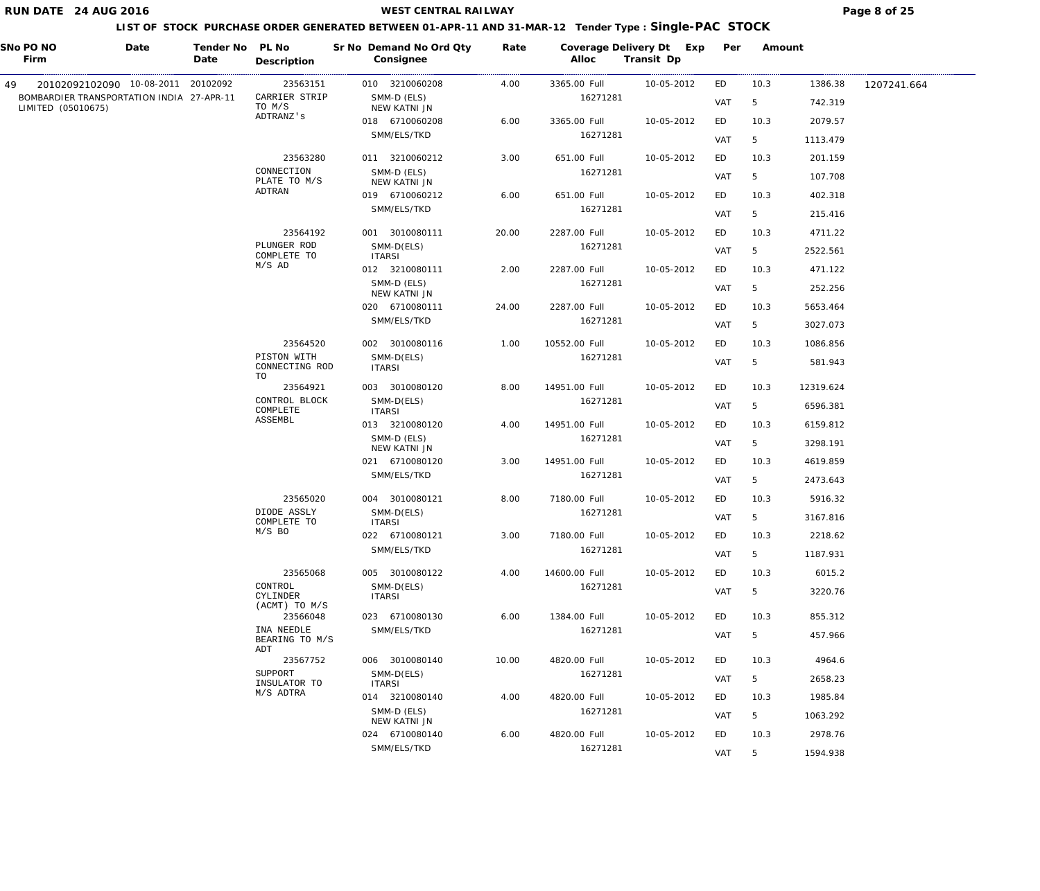| SNo PO NO<br>Firm                                               | Date | Tender No PL No<br>Date | Description                          | Sr No Demand No Ord Qty<br>Consignee | Rate  | Alloc         | Coverage Delivery Dt Exp<br>Transit Dp | Per | Amount |           |             |
|-----------------------------------------------------------------|------|-------------------------|--------------------------------------|--------------------------------------|-------|---------------|----------------------------------------|-----|--------|-----------|-------------|
| 20102092102090 10-08-2011 20102092<br>49.                       |      |                         | 23563151                             | 010 3210060208                       | 4.00  | 3365.00 Full  | 10-05-2012                             | ED  | 10.3   | 1386.38   | 1207241.664 |
| BOMBARDIER TRANSPORTATION INDIA 27-APR-11<br>LIMITED (05010675) |      |                         | CARRIER STRIP<br>TO M/S              | SMM-D (ELS)<br>NEW KATNI JN          |       | 16271281      |                                        | VAT | 5      | 742.319   |             |
|                                                                 |      |                         | ADTRANZ's                            | 018 6710060208                       | 6.00  | 3365.00 Full  | 10-05-2012                             | ED  | 10.3   | 2079.57   |             |
|                                                                 |      |                         |                                      | SMM/ELS/TKD                          |       | 16271281      |                                        | VAT | 5      | 1113.479  |             |
|                                                                 |      |                         | 23563280                             | 011 3210060212                       | 3.00  | 651.00 Full   | 10-05-2012                             | ED  | 10.3   | 201.159   |             |
|                                                                 |      |                         | CONNECTION<br>PLATE TO M/S           | SMM-D (ELS)<br>NEW KATNI JN          |       | 16271281      |                                        | VAT | 5      | 107.708   |             |
|                                                                 |      |                         | ADTRAN                               | 019 6710060212                       | 6.00  | 651.00 Full   | 10-05-2012                             | ED  | 10.3   | 402.318   |             |
|                                                                 |      |                         |                                      | SMM/ELS/TKD                          |       | 16271281      |                                        | VAT | 5      | 215.416   |             |
|                                                                 |      |                         | 23564192                             | 001 3010080111                       | 20.00 | 2287.00 Full  | 10-05-2012                             | ED  | 10.3   | 4711.22   |             |
|                                                                 |      |                         | PLUNGER ROD<br>COMPLETE TO           | SMM-D(ELS)<br><b>ITARSI</b>          |       | 16271281      |                                        | VAT | 5      | 2522.561  |             |
|                                                                 |      |                         | $M/S$ AD                             | 012 3210080111                       | 2.00  | 2287.00 Full  | 10-05-2012                             | ED  | 10.3   | 471.122   |             |
|                                                                 |      |                         |                                      | SMM-D (ELS)<br>NEW KATNI JN          |       | 16271281      |                                        | VAT | 5      | 252.256   |             |
|                                                                 |      |                         |                                      | 020 6710080111                       | 24.00 | 2287.00 Full  | 10-05-2012                             | ED  | 10.3   | 5653.464  |             |
|                                                                 |      |                         |                                      | SMM/ELS/TKD                          |       | 16271281      |                                        | VAT | 5      | 3027.073  |             |
|                                                                 |      |                         | 23564520                             | 002 3010080116                       | 1.00  | 10552.00 Full | 10-05-2012                             | ED  | 10.3   | 1086.856  |             |
|                                                                 |      |                         | PISTON WITH<br>CONNECTING ROD        | SMM-D(ELS)<br><b>ITARSI</b>          |       | 16271281      |                                        | VAT | 5      | 581.943   |             |
|                                                                 |      |                         | TO<br>23564921                       | 003 3010080120                       | 8.00  | 14951.00 Full | 10-05-2012                             | ED  | 10.3   | 12319.624 |             |
|                                                                 |      |                         | CONTROL BLOCK<br>COMPLETE<br>ASSEMBL | SMM-D(ELS)<br><b>ITARSI</b>          |       | 16271281      |                                        | VAT | 5      | 6596.381  |             |
|                                                                 |      |                         |                                      | 013 3210080120                       | 4.00  | 14951.00 Full | 10-05-2012                             | ED  | 10.3   | 6159.812  |             |
|                                                                 |      |                         |                                      | SMM-D (ELS)<br>NEW KATNI JN          |       | 16271281      |                                        | VAT | 5      | 3298.191  |             |
|                                                                 |      |                         |                                      | 021 6710080120                       | 3.00  | 14951.00 Full | 10-05-2012                             | ED  | 10.3   | 4619.859  |             |
|                                                                 |      |                         |                                      | SMM/ELS/TKD                          |       | 16271281      |                                        | VAT | 5      | 2473.643  |             |
|                                                                 |      |                         | 23565020                             | 004 3010080121                       | 8.00  | 7180.00 Full  | 10-05-2012                             | ED  | 10.3   | 5916.32   |             |
|                                                                 |      |                         | DIODE ASSLY<br>COMPLETE TO           | SMM-D(ELS)<br><b>ITARSI</b>          |       | 16271281      |                                        | VAT | 5      | 3167.816  |             |
|                                                                 |      |                         | $M/S$ BO                             | 022 6710080121                       | 3.00  | 7180.00 Full  | 10-05-2012                             | ED  | 10.3   | 2218.62   |             |
|                                                                 |      |                         |                                      | SMM/ELS/TKD                          |       | 16271281      |                                        | VAT | 5      | 1187.931  |             |
|                                                                 |      |                         | 23565068                             | 005 3010080122                       | 4.00  | 14600.00 Full | 10-05-2012                             | ED  | 10.3   | 6015.2    |             |
|                                                                 |      |                         | CONTROL<br>CYLINDER                  | SMM-D(ELS)<br><b>ITARSI</b>          |       | 16271281      |                                        | VAT | 5      | 3220.76   |             |
|                                                                 |      |                         | (ACMT) TO M/S<br>23566048            | 023 6710080130                       | 6.00  | 1384.00 Full  | 10-05-2012                             | ED  | 10.3   | 855.312   |             |
|                                                                 |      |                         | INA NEEDLE<br>BEARING TO M/S         | SMM/ELS/TKD                          |       | 16271281      |                                        | VAT | 5      | 457.966   |             |
|                                                                 |      |                         | ADT<br>23567752                      | 006 3010080140                       | 10.00 | 4820.00 Full  | 10-05-2012                             | ED  | 10.3   | 4964.6    |             |
|                                                                 |      |                         | SUPPORT<br>INSULATOR TO              | SMM-D(ELS)<br><b>ITARSI</b>          |       | 16271281      |                                        | VAT | 5      | 2658.23   |             |
|                                                                 |      |                         | M/S ADTRA                            | 014 3210080140                       | 4.00  | 4820.00 Full  | 10-05-2012                             | ED  | 10.3   | 1985.84   |             |
|                                                                 |      |                         |                                      | SMM-D (ELS)<br>NEW KATNI JN          |       | 16271281      |                                        | VAT | 5      | 1063.292  |             |
|                                                                 |      |                         |                                      | 024 6710080140                       | 6.00  | 4820.00 Full  | 10-05-2012                             | ED  | 10.3   | 2978.76   |             |
|                                                                 |      |                         |                                      | SMM/ELS/TKD                          |       | 16271281      |                                        | VAT | 5      | 1594.938  |             |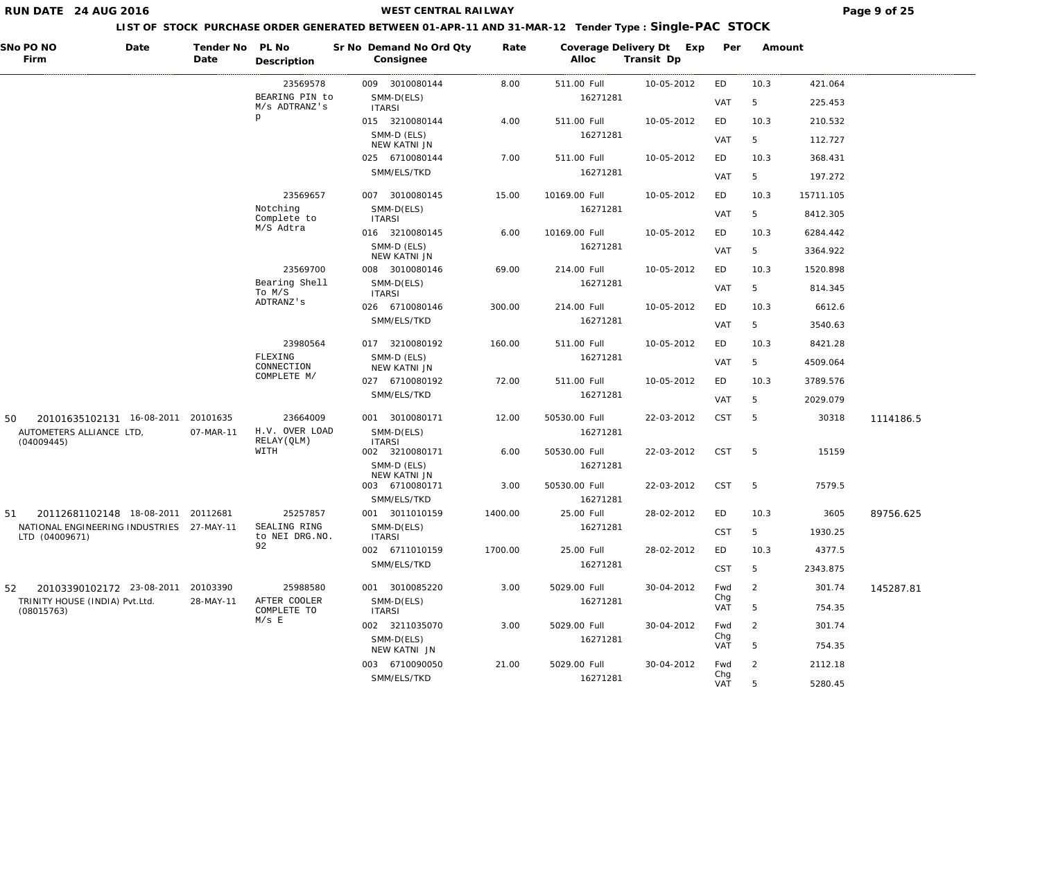| SNo PO NO<br>Date<br>Firm                                   | Tender No PL No<br>Date | Description                     | Sr No Demand No Ord Qty<br>Consignee          | Rate    | Coverage Delivery Dt Exp<br>Alloc | Transit Dp | Per        | Amount         |           |           |
|-------------------------------------------------------------|-------------------------|---------------------------------|-----------------------------------------------|---------|-----------------------------------|------------|------------|----------------|-----------|-----------|
|                                                             |                         | 23569578                        | 009 3010080144                                | 8.00    | 511.00 Full                       | 10-05-2012 | ED         | 10.3           | 421.064   |           |
|                                                             |                         | BEARING PIN to<br>M/s ADTRANZ's | SMM-D(ELS)<br><b>ITARSI</b>                   |         | 16271281                          |            | VAT        | 5              | 225.453   |           |
|                                                             |                         | p                               | 015 3210080144                                | 4.00    | 511.00 Full                       | 10-05-2012 | ED         | 10.3           | 210.532   |           |
|                                                             |                         |                                 | SMM-D (ELS)<br>NEW KATNI JN                   |         | 16271281                          |            | VAT        | 5              | 112.727   |           |
|                                                             |                         |                                 | 025 6710080144                                | 7.00    | 511.00 Full                       | 10-05-2012 | ED         | 10.3           | 368.431   |           |
|                                                             |                         |                                 | SMM/ELS/TKD                                   |         | 16271281                          |            | VAT        | 5              | 197.272   |           |
|                                                             |                         | 23569657                        | 007 3010080145                                | 15.00   | 10169.00 Full                     | 10-05-2012 | ED         | 10.3           | 15711.105 |           |
|                                                             |                         | Notching<br>Complete to         | SMM-D(ELS)<br><b>ITARSI</b>                   |         | 16271281                          |            | VAT        | 5              | 8412.305  |           |
|                                                             |                         | M/S Adtra                       | 016 3210080145                                | 6.00    | 10169.00 Full                     | 10-05-2012 | ED         | 10.3           | 6284.442  |           |
|                                                             |                         |                                 | SMM-D (ELS)<br>NEW KATNI JN                   |         | 16271281                          |            | VAT        | 5              | 3364.922  |           |
|                                                             |                         | 23569700                        | 008 3010080146                                | 69.00   | 214.00 Full                       | 10-05-2012 | ED         | 10.3           | 1520.898  |           |
|                                                             |                         | Bearing Shell<br>To M/S         | SMM-D(ELS)<br><b>ITARSI</b>                   |         | 16271281                          |            | VAT        | 5              | 814.345   |           |
|                                                             |                         | ADTRANZ's                       | 026 6710080146                                | 300.00  | 214.00 Full                       | 10-05-2012 | ED         | 10.3           | 6612.6    |           |
|                                                             |                         |                                 | SMM/ELS/TKD                                   |         | 16271281                          |            | VAT        | 5              | 3540.63   |           |
|                                                             |                         | 23980564                        | 017 3210080192                                | 160.00  | 511.00 Full                       | 10-05-2012 | ED         | 10.3           | 8421.28   |           |
|                                                             |                         | FLEXING<br>CONNECTION           | SMM-D (ELS)<br>NEW KATNI JN                   |         | 16271281                          |            | VAT        | 5              | 4509.064  |           |
|                                                             |                         | COMPLETE M/                     | 027 6710080192                                | 72.00   | 511.00 Full                       | 10-05-2012 | ED         | 10.3           | 3789.576  |           |
|                                                             |                         |                                 | SMM/ELS/TKD                                   |         | 16271281                          |            | <b>VAT</b> | 5              | 2029.079  |           |
| 20101635102131 16-08-2011<br>50                             | 20101635                | 23664009                        | 001 3010080171                                | 12.00   | 50530.00 Full                     | 22-03-2012 | <b>CST</b> | 5              | 30318     | 1114186.5 |
| AUTOMETERS ALLIANCE LTD,<br>(04009445)                      | 07-MAR-11               | H.V. OVER LOAD<br>RELAY (QLM)   | SMM-D(ELS)<br><b>ITARSI</b>                   |         | 16271281                          |            |            |                |           |           |
|                                                             |                         | WITH                            | 002 3210080171                                | 6.00    | 50530.00 Full                     | 22-03-2012 | CST        | $-5$           | 15159     |           |
|                                                             |                         |                                 | SMM-D (ELS)<br>NEW KATNI JN<br>003 6710080171 | 3.00    | 16271281<br>50530.00 Full         | 22-03-2012 | CST        | $-5$           | 7579.5    |           |
|                                                             |                         |                                 | SMM/ELS/TKD                                   |         | 16271281                          |            |            |                |           |           |
| 51<br>20112681102148 18-08-2011 20112681                    |                         | 25257857                        | 001 3011010159                                | 1400.00 | 25.00 Full                        | 28-02-2012 | ED         | 10.3           | 3605      | 89756.625 |
| NATIONAL ENGINEERING INDUSTRIES 27-MAY-11<br>LTD (04009671) |                         | SEALING RING<br>to NEI DRG.NO.  | SMM-D(ELS)<br><b>ITARSI</b>                   |         | 16271281                          |            | <b>CST</b> | 5              | 1930.25   |           |
|                                                             |                         | 92                              | 002 6711010159                                | 1700.00 | 25.00 Full                        | 28-02-2012 | ED         | 10.3           | 4377.5    |           |
|                                                             |                         |                                 | SMM/ELS/TKD                                   |         | 16271281                          |            | <b>CST</b> | 5              | 2343.875  |           |
| 20103390102172 23-08-2011<br>52                             | 20103390                | 25988580                        | 001 3010085220                                | 3.00    | 5029.00 Full                      | 30-04-2012 | Fwd        | 2              | 301.74    | 145287.81 |
| TRINITY HOUSE (INDIA) Pvt.Ltd.<br>(08015763)                | 28-MAY-11               | AFTER COOLER<br>COMPLETE TO     | SMM-D(ELS)<br><b>ITARSI</b>                   |         | 16271281                          |            | Chg<br>VAT | 5              | 754.35    |           |
|                                                             |                         | $M/s$ E                         | 002 3211035070                                | 3.00    | 5029.00 Full                      | 30-04-2012 | Fwd        | $\overline{2}$ | 301.74    |           |
|                                                             |                         |                                 | SMM-D(ELS)<br>NEW KATNI JN                    |         | 16271281                          |            | Chg<br>VAT | 5              | 754.35    |           |
|                                                             |                         |                                 | 003 6710090050                                | 21.00   | 5029.00 Full                      | 30-04-2012 | Fwd        | 2              | 2112.18   |           |
|                                                             |                         |                                 | SMM/ELS/TKD                                   |         | 16271281                          |            | Chg<br>VAT | 5              | 5280.45   |           |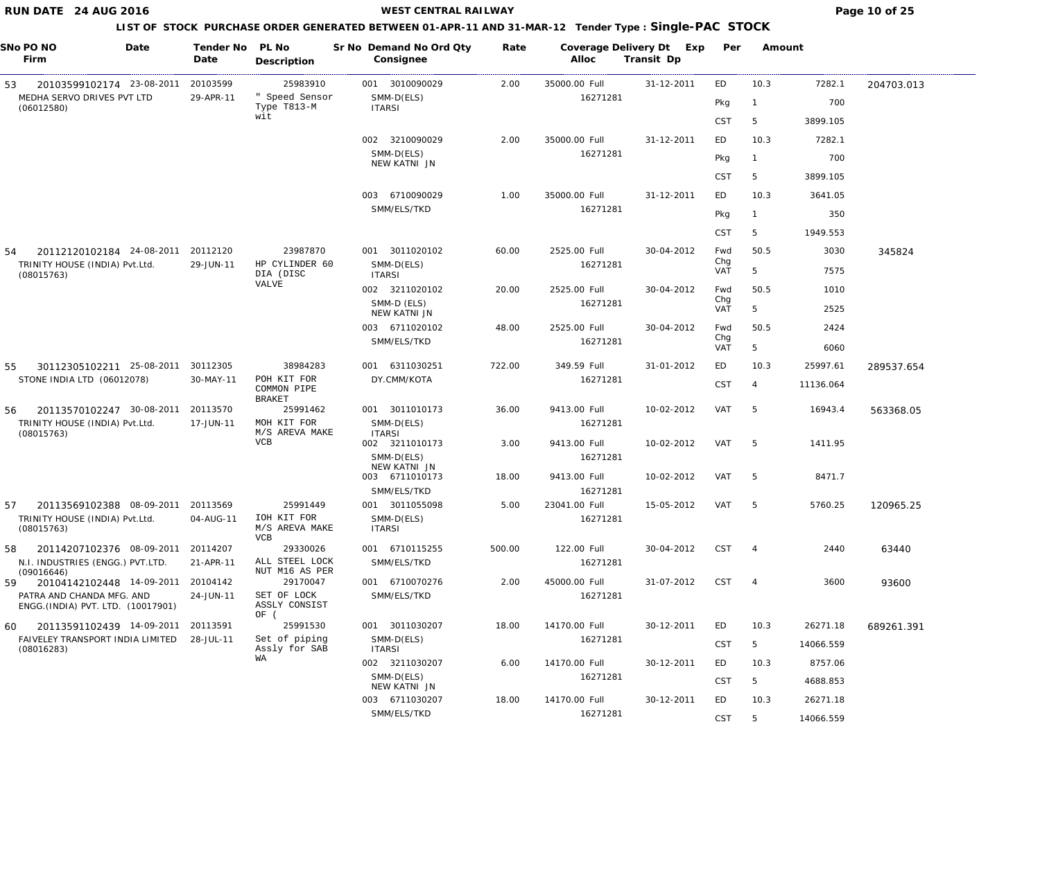## **WEST CENTRAL RAILWAY Page 10 of 25**

| SNo PO NO<br>Date<br>Firm                                       | Tender No<br>Date | PL No<br>Description                        | Sr No Demand No Ord Qty<br>Consignee | Rate   | Alloc                     | Coverage Delivery Dt Exp<br>Transit Dp | Per        | Amount          |           |            |
|-----------------------------------------------------------------|-------------------|---------------------------------------------|--------------------------------------|--------|---------------------------|----------------------------------------|------------|-----------------|-----------|------------|
| 20103599102174 23-08-2011<br>53                                 | 20103599          | 25983910                                    | 001 3010090029                       | 2.00   | 35000.00 Full             | 31-12-2011                             | ED         | 10.3            | 7282.1    | 204703.013 |
| MEDHA SERVO DRIVES PVT LTD<br>(06012580)                        | 29-APR-11         | " Speed Sensor<br>Type T813-M               | SMM-D(ELS)<br><b>ITARSI</b>          |        | 16271281                  |                                        | Pkg        | -1              | 700       |            |
|                                                                 |                   | wit                                         |                                      |        |                           |                                        | <b>CST</b> | 5               | 3899.105  |            |
|                                                                 |                   |                                             | 002 3210090029                       | 2.00   | 35000.00 Full             | 31-12-2011                             | ED         | 10.3            | 7282.1    |            |
|                                                                 |                   |                                             | SMM-D(ELS)<br>NEW KATNI JN           |        | 16271281                  |                                        | Pkg        | $\overline{1}$  | 700       |            |
|                                                                 |                   |                                             |                                      |        |                           |                                        | <b>CST</b> | 5               | 3899.105  |            |
|                                                                 |                   |                                             | 003 6710090029                       | 1.00   | 35000.00 Full             | 31-12-2011                             | ED         | 10.3            | 3641.05   |            |
|                                                                 |                   |                                             | SMM/ELS/TKD                          |        | 16271281                  |                                        | Pkg        | $\overline{1}$  | 350       |            |
|                                                                 |                   |                                             |                                      |        |                           |                                        | <b>CST</b> | 5               | 1949.553  |            |
| 20112120102184 24-08-2011<br>54                                 | 20112120          | 23987870                                    | 001 3011020102                       | 60.00  | 2525.00 Full              | 30-04-2012                             | Fwd        | 50.5            | 3030      | 345824     |
| TRINITY HOUSE (INDIA) Pvt.Ltd.                                  | 29-JUN-11         | HP CYLINDER 60                              | SMM-D(ELS)                           |        | 16271281                  |                                        | Chg<br>VAT | 5               | 7575      |            |
| (08015763)                                                      |                   | DIA (DISC<br>VALVE                          | <b>ITARSI</b>                        |        |                           |                                        |            | 50.5            |           |            |
|                                                                 |                   |                                             | 002 3211020102<br>SMM-D (ELS)        | 20.00  | 2525.00 Full<br>16271281  | 30-04-2012                             | Fwd<br>Chg |                 | 1010      |            |
|                                                                 |                   |                                             | NEW KATNI JN                         |        |                           |                                        | VAT        | 5               | 2525      |            |
|                                                                 |                   |                                             | 003 6711020102                       | 48.00  | 2525.00 Full              | 30-04-2012                             | Fwd<br>Chg | 50.5            | 2424      |            |
|                                                                 |                   |                                             | SMM/ELS/TKD                          |        | 16271281                  |                                        | VAT        | 5               | 6060      |            |
| 30112305102211 25-08-2011<br>55                                 | 30112305          | 38984283                                    | 6311030251<br>001                    | 722.00 | 349.59 Full               | 31-01-2012                             | ED         | 10.3            | 25997.61  | 289537.654 |
| STONE INDIA LTD (06012078)                                      | 30-MAY-11         | POH KIT FOR<br>COMMON PIPE<br><b>BRAKET</b> | DY.CMM/KOTA                          |        | 16271281                  |                                        | <b>CST</b> | 4               | 11136.064 |            |
| 56<br>20113570102247 30-08-2011                                 | 20113570          | 25991462                                    | 001 3011010173                       | 36.00  | 9413.00 Full              | 10-02-2012                             | VAT        | -5              | 16943.4   | 563368.05  |
| TRINITY HOUSE (INDIA) Pvt.Ltd.<br>(08015763)                    | 17-JUN-11         | MOH KIT FOR<br>M/S AREVA MAKE               | SMM-D(ELS)<br><b>ITARSI</b>          |        | 16271281                  |                                        |            |                 |           |            |
|                                                                 |                   | <b>VCB</b>                                  | 002 3211010173                       | 3.00   | 9413.00 Full              | 10-02-2012                             | VAT        | -5              | 1411.95   |            |
|                                                                 |                   |                                             | SMM-D(ELS)<br>NEW KATNI JN           |        | 16271281                  |                                        |            |                 |           |            |
|                                                                 |                   |                                             | 003 6711010173                       | 18.00  | 9413.00 Full              | 10-02-2012                             | VAT        | -5              | 8471.7    |            |
| 20113569102388 08-09-2011<br>57                                 | 20113569          | 25991449                                    | SMM/ELS/TKD<br>001 3011055098        | 5.00   | 16271281<br>23041.00 Full | 15-05-2012                             | VAT        | 5               | 5760.25   | 120965.25  |
| TRINITY HOUSE (INDIA) Pvt.Ltd.<br>(08015763)                    | 04-AUG-11         | IOH KIT FOR<br>M/S AREVA MAKE<br><b>VCB</b> | SMM-D(ELS)<br><b>ITARSI</b>          |        | 16271281                  |                                        |            |                 |           |            |
| 58<br>20114207102376 08-09-2011                                 | 20114207          | 29330026                                    | 001 6710115255                       | 500.00 | 122.00 Full               | 30-04-2012                             | <b>CST</b> | $\overline{4}$  | 2440      | 63440      |
| N.I. INDUSTRIES (ENGG.) PVT.LTD.<br>(09016646)                  | 21-APR-11         | ALL STEEL LOCK<br>NUT M16 AS PER            | SMM/ELS/TKD                          |        | 16271281                  |                                        |            |                 |           |            |
| 20104142102448 14-09-2011<br>59                                 | 20104142          | 29170047                                    | 001 6710070276                       | 2.00   | 45000.00 Full             | 31-07-2012                             | <b>CST</b> | $\overline{4}$  | 3600      | 93600      |
| PATRA AND CHANDA MFG. AND<br>ENGG. (INDIA) PVT. LTD. (10017901) | 24-JUN-11         | SET OF LOCK<br>ASSLY CONSIST<br>OF (        | SMM/ELS/TKD                          |        | 16271281                  |                                        |            |                 |           |            |
| 20113591102439 14-09-2011<br>60                                 | 20113591          | 25991530                                    | 001 3011030207                       | 18.00  | 14170.00 Full             | 30-12-2011                             | ED         | 10.3            | 26271.18  | 689261.391 |
| FAIVELEY TRANSPORT INDIA LIMITED<br>(08016283)                  | 28-JUL-11         | Set of piping<br>Assly for SAB              | SMM-D(ELS)<br><b>ITARSI</b>          |        | 16271281                  |                                        | <b>CST</b> | $5\overline{)}$ | 14066.559 |            |
|                                                                 |                   | WA                                          | 002 3211030207                       | 6.00   | 14170.00 Full             | 30-12-2011                             | ED         | 10.3            | 8757.06   |            |
|                                                                 |                   |                                             | SMM-D(ELS)<br>NEW KATNI JN           |        | 16271281                  |                                        | <b>CST</b> | 5               | 4688.853  |            |
|                                                                 |                   |                                             | 003 6711030207                       | 18.00  | 14170.00 Full             | 30-12-2011                             | ED         | 10.3            | 26271.18  |            |
|                                                                 |                   |                                             | SMM/ELS/TKD                          |        | 16271281                  |                                        | <b>CST</b> | $5\overline{)}$ | 14066.559 |            |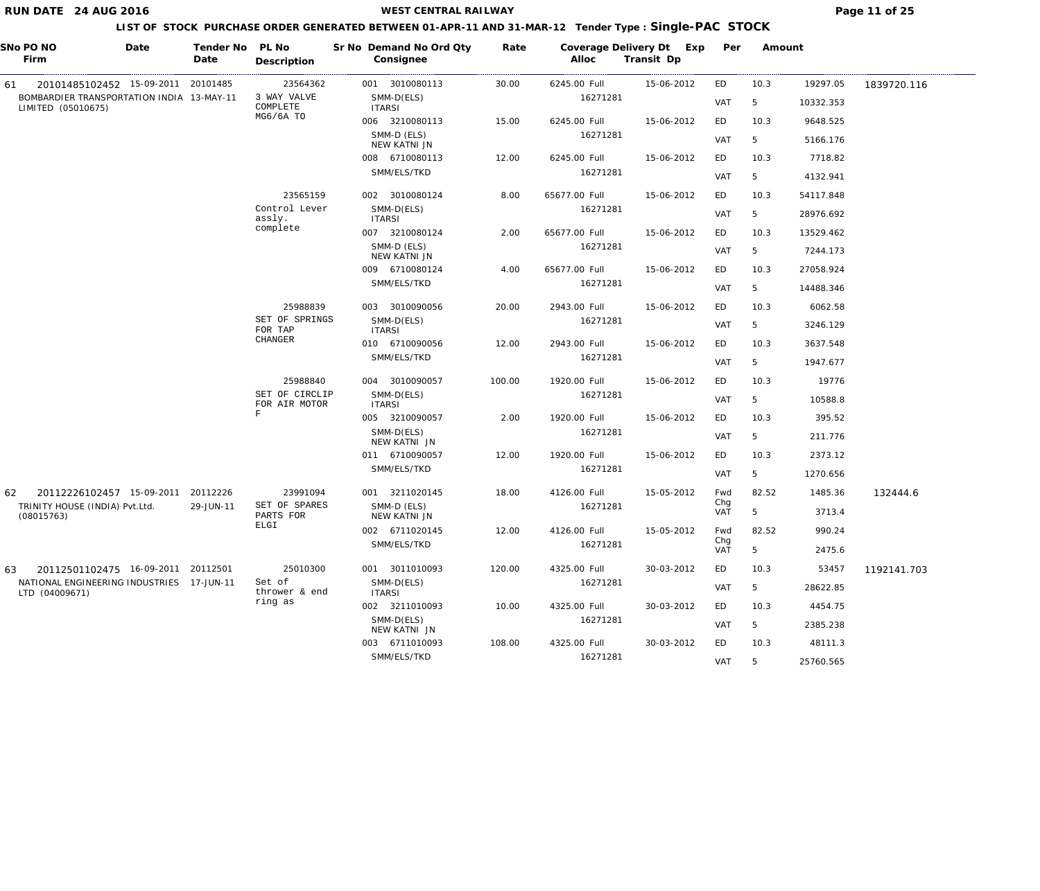**WEST CENTRAL RAILWAY Page 11 of 25** 

|    | SNo PO NO<br>Firm                                               | Date | Tender No<br>Date | PL No<br>Description            | Sr No Demand No Ord Qty<br>Consignee | Rate   | Alloc         | Coverage Delivery Dt Exp<br>Transit Dp | Per        | Amount |           |             |
|----|-----------------------------------------------------------------|------|-------------------|---------------------------------|--------------------------------------|--------|---------------|----------------------------------------|------------|--------|-----------|-------------|
| 61 | 20101485102452 15-09-2011 20101485                              |      |                   | 23564362                        | 001 3010080113                       | 30.00  | 6245.00 Full  | 15-06-2012                             | ED         | 10.3   | 19297.05  | 1839720.116 |
|    | BOMBARDIER TRANSPORTATION INDIA 13-MAY-11<br>LIMITED (05010675) |      |                   | 3 WAY VALVE<br>COMPLETE         | SMM-D(ELS)<br><b>ITARSI</b>          |        | 16271281      |                                        | <b>VAT</b> | 5      | 10332.353 |             |
|    |                                                                 |      |                   | MG6/6A TO                       | 006 3210080113                       | 15.00  | 6245.00 Full  | 15-06-2012                             | ED         | 10.3   | 9648.525  |             |
|    |                                                                 |      |                   |                                 | SMM-D (ELS)<br>NEW KATNI JN          |        | 16271281      |                                        | <b>VAT</b> | 5      | 5166.176  |             |
|    |                                                                 |      |                   |                                 | 008 6710080113                       | 12.00  | 6245.00 Full  | 15-06-2012                             | ED         | 10.3   | 7718.82   |             |
|    |                                                                 |      |                   |                                 | SMM/ELS/TKD                          |        | 16271281      |                                        | <b>VAT</b> | 5      | 4132.941  |             |
|    |                                                                 |      |                   | 23565159                        | 002 3010080124                       | 8.00   | 65677.00 Full | 15-06-2012                             | ED         | 10.3   | 54117.848 |             |
|    |                                                                 |      |                   | Control Lever<br>assly.         | SMM-D(ELS)<br><b>ITARSI</b>          |        | 16271281      |                                        | <b>VAT</b> | 5      | 28976.692 |             |
|    |                                                                 |      |                   | complete                        | 007 3210080124                       | 2.00   | 65677.00 Full | 15-06-2012                             | ED         | 10.3   | 13529.462 |             |
|    |                                                                 |      |                   |                                 | SMM-D (ELS)<br>NEW KATNI JN          |        | 16271281      |                                        | <b>VAT</b> | 5      | 7244.173  |             |
|    |                                                                 |      |                   |                                 | 009 6710080124                       | 4.00   | 65677.00 Full | 15-06-2012                             | ED         | 10.3   | 27058.924 |             |
|    |                                                                 |      |                   |                                 | SMM/ELS/TKD                          |        | 16271281      |                                        | <b>VAT</b> | 5      | 14488.346 |             |
|    |                                                                 |      |                   | 25988839                        | 003 3010090056                       | 20.00  | 2943.00 Full  | 15-06-2012                             | ED         | 10.3   | 6062.58   |             |
|    |                                                                 |      |                   | SET OF SPRINGS<br>FOR TAP       | SMM-D(ELS)<br><b>ITARSI</b>          |        | 16271281      |                                        | <b>VAT</b> | 5      | 3246.129  |             |
|    |                                                                 |      |                   | CHANGER                         | 010 6710090056                       | 12.00  | 2943.00 Full  | 15-06-2012                             | ED         | 10.3   | 3637.548  |             |
|    |                                                                 |      |                   |                                 | SMM/ELS/TKD                          |        | 16271281      |                                        | <b>VAT</b> | 5      | 1947.677  |             |
|    |                                                                 |      |                   | 25988840                        | 004 3010090057                       | 100.00 | 1920.00 Full  | 15-06-2012                             | ED         | 10.3   | 19776     |             |
|    |                                                                 |      |                   | SET OF CIRCLIP<br>FOR AIR MOTOR | SMM-D(ELS)<br><b>ITARSI</b>          |        | 16271281      |                                        | <b>VAT</b> | 5      | 10588.8   |             |
|    |                                                                 |      |                   | $\mathbf F$                     | 005 3210090057                       | 2.00   | 1920.00 Full  | 15-06-2012                             | ED         | 10.3   | 395.52    |             |
|    |                                                                 |      |                   |                                 | SMM-D(ELS)<br>NEW KATNI JN           |        | 16271281      |                                        | <b>VAT</b> | 5      | 211.776   |             |
|    |                                                                 |      |                   |                                 | 011 6710090057                       | 12.00  | 1920.00 Full  | 15-06-2012                             | ED         | 10.3   | 2373.12   |             |
|    |                                                                 |      |                   |                                 | SMM/ELS/TKD                          |        | 16271281      |                                        | <b>VAT</b> | 5      | 1270.656  |             |
| 62 | 20112226102457 15-09-2011 20112226                              |      |                   | 23991094                        | 001 3211020145                       | 18.00  | 4126.00 Full  | 15-05-2012                             | Fwd        | 82.52  | 1485.36   | 132444.6    |
|    | TRINITY HOUSE (INDIA) Pvt.Ltd.<br>(08015763)                    |      | 29-JUN-11         | SET OF SPARES<br>PARTS FOR      | SMM-D (ELS)<br>NEW KATNI JN          |        | 16271281      |                                        | Chg<br>VAT | 5      | 3713.4    |             |
|    |                                                                 |      |                   | ELGI                            | 002 6711020145                       | 12.00  | 4126.00 Full  | 15-05-2012                             | Fwd        | 82.52  | 990.24    |             |
|    |                                                                 |      |                   |                                 | SMM/ELS/TKD                          |        | 16271281      |                                        | Chg<br>VAT | 5      | 2475.6    |             |
| 63 | 20112501102475 16-09-2011 20112501                              |      |                   | 25010300                        | 001 3011010093                       | 120.00 | 4325.00 Full  | 30-03-2012                             | ED         | 10.3   | 53457     | 1192141.703 |
|    | NATIONAL ENGINEERING INDUSTRIES 17-JUN-11<br>LTD (04009671)     |      |                   | Set of<br>thrower & end         | SMM-D(ELS)<br><b>ITARSI</b>          |        | 16271281      |                                        | VAT        | 5      | 28622.85  |             |
|    |                                                                 |      |                   | ring as                         | 002 3211010093                       | 10.00  | 4325.00 Full  | 30-03-2012                             | ED         | 10.3   | 4454.75   |             |
|    |                                                                 |      |                   |                                 | SMM-D(ELS)<br>NEW KATNI JN           |        | 16271281      |                                        | VAT        | 5      | 2385.238  |             |
|    |                                                                 |      |                   |                                 | 003 6711010093                       | 108.00 | 4325.00 Full  | 30-03-2012                             | ED         | 10.3   | 48111.3   |             |
|    |                                                                 |      |                   |                                 | SMM/ELS/TKD                          |        | 16271281      |                                        | VAT        | 5      | 25760.565 |             |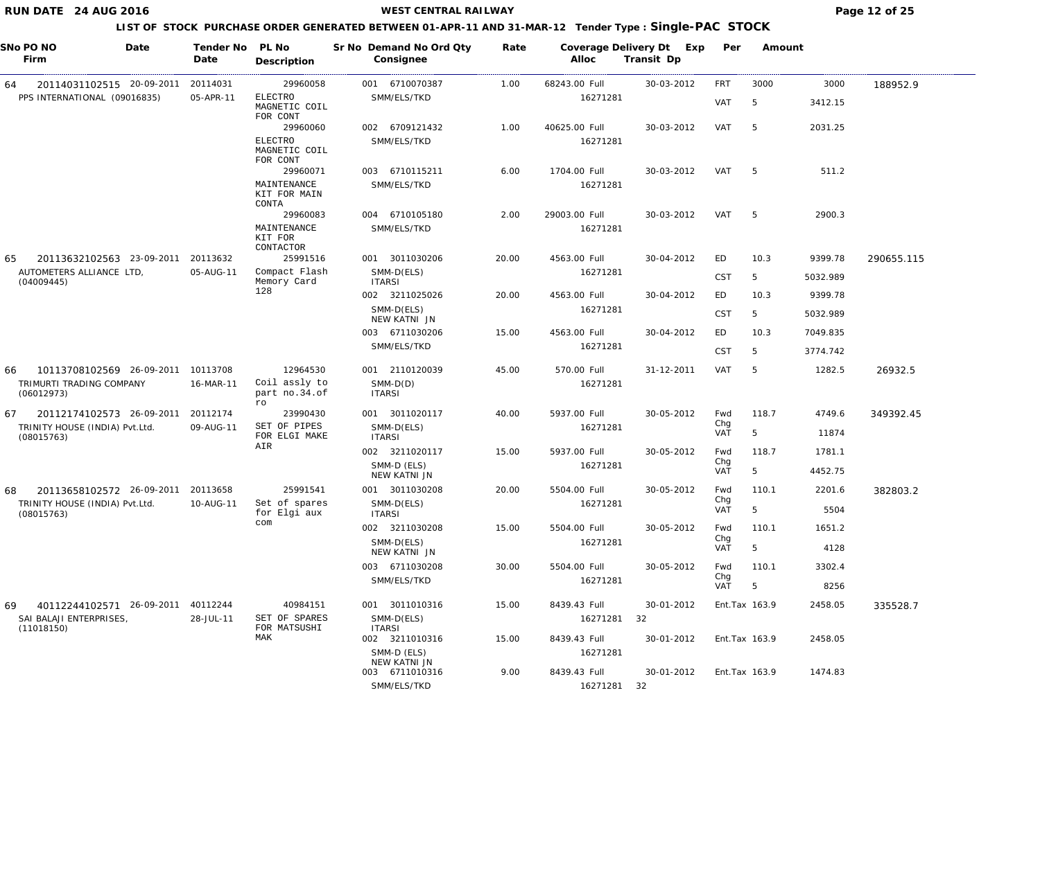**WEST CENTRAL RAILWAY Page 12 of 25** 

|     | SNo PO NO<br>Date<br>Firm                                     | Tender No<br>Date | PL No<br>Description                        | Sr No Demand No Ord Qty<br>Consignee | Rate  | Alloc         | Coverage Delivery Dt Exp<br>Transit Dp | Per        | Amount         |          |            |
|-----|---------------------------------------------------------------|-------------------|---------------------------------------------|--------------------------------------|-------|---------------|----------------------------------------|------------|----------------|----------|------------|
| 64  | 20114031102515 20-09-2011                                     | 20114031          | 29960058                                    | 001 6710070387                       | 1.00  | 68243.00 Full | 30-03-2012                             | FRT        | 3000           | 3000     | 188952.9   |
|     | PPS INTERNATIONAL (09016835)                                  | 05-APR-11         | <b>ELECTRO</b><br>MAGNETIC COIL<br>FOR CONT | SMM/ELS/TKD                          |       | 16271281      |                                        | VAT        | 5              | 3412.15  |            |
|     |                                                               |                   | 29960060                                    | 002 6709121432                       | 1.00  | 40625.00 Full | 30-03-2012                             | VAT        | 5              | 2031.25  |            |
|     |                                                               |                   | <b>ELECTRO</b><br>MAGNETIC COIL<br>FOR CONT | SMM/ELS/TKD                          |       | 16271281      |                                        |            |                |          |            |
|     |                                                               |                   | 29960071                                    | 003 6710115211                       | 6.00  | 1704.00 Full  | 30-03-2012                             | VAT        | -5             | 511.2    |            |
|     |                                                               |                   | MAINTENANCE<br>KIT FOR MAIN<br>CONTA        | SMM/ELS/TKD                          |       | 16271281      |                                        |            |                |          |            |
|     |                                                               |                   | 29960083                                    | 004 6710105180                       | 2.00  | 29003.00 Full | 30-03-2012                             | VAT        | -5             | 2900.3   |            |
|     |                                                               |                   | MAINTENANCE<br>KIT FOR<br>CONTACTOR         | SMM/ELS/TKD                          |       | 16271281      |                                        |            |                |          |            |
| 65  | 20113632102563 23-09-2011                                     | 20113632          | 25991516                                    | 001 3011030206                       | 20.00 | 4563.00 Full  | 30-04-2012                             | ED         | 10.3           | 9399.78  | 290655.115 |
|     | AUTOMETERS ALLIANCE LTD,<br>(04009445)                        | 05-AUG-11         | Compact Flash<br>Memory Card                | SMM-D(ELS)<br><b>ITARSI</b>          |       | 16271281      |                                        | <b>CST</b> | 5              | 5032.989 |            |
|     |                                                               |                   | 128                                         | 002 3211025026                       | 20.00 | 4563.00 Full  | 30-04-2012                             | ED         | 10.3           | 9399.78  |            |
|     |                                                               |                   |                                             | SMM-D(ELS)<br>NEW KATNI JN           |       | 16271281      |                                        | <b>CST</b> | 5              | 5032.989 |            |
|     |                                                               |                   |                                             | 003 6711030206                       | 15.00 | 4563.00 Full  | 30-04-2012                             | ED         | 10.3           | 7049.835 |            |
|     |                                                               |                   |                                             | SMM/ELS/TKD                          |       | 16271281      |                                        | <b>CST</b> | 5              | 3774.742 |            |
| 66  | 10113708102569 26-09-2011                                     | 10113708          | 12964530                                    | 001 2110120039                       | 45.00 | 570.00 Full   | 31-12-2011                             | <b>VAT</b> | 5              | 1282.5   | 26932.5    |
|     | TRIMURTI TRADING COMPANY<br>(06012973)                        | 16-MAR-11         | Coil assly to<br>part no.34.of              | $SMM-D(D)$<br><b>ITARSI</b>          |       | 16271281      |                                        |            |                |          |            |
| 67  | 20112174102573 26-09-2011                                     | 20112174          | ro<br>23990430                              | 001 3011020117                       | 40.00 | 5937.00 Full  | 30-05-2012                             | Fwd        | 118.7          | 4749.6   | 349392.45  |
|     | TRINITY HOUSE (INDIA) Pvt.Ltd.<br>(08015763)                  | 09-AUG-11         | SET OF PIPES<br>FOR ELGI MAKE               | SMM-D(ELS)<br><b>ITARSI</b>          |       | 16271281      |                                        | Chg<br>VAT | 5              | 11874    |            |
|     |                                                               |                   | AIR                                         | 002 3211020117                       | 15.00 | 5937.00 Full  | 30-05-2012                             | Fwd        | 118.7          | 1781.1   |            |
|     |                                                               |                   |                                             | SMM-D (ELS)<br>NEW KATNI JN          |       | 16271281      |                                        | Chg<br>VAT | 5              | 4452.75  |            |
| 68  | 20113658102572 26-09-2011 20113658                            |                   | 25991541                                    | 001 3011030208                       | 20.00 | 5504.00 Full  | 30-05-2012                             | Fwd        | 110.1          | 2201.6   | 382803.2   |
|     | TRINITY HOUSE (INDIA) Pvt.Ltd.<br>(08015763)                  | 10-AUG-11         | Set of spares<br>for Elgi aux               | SMM-D(ELS)<br><b>ITARSI</b>          |       | 16271281      |                                        | Chg<br>VAT | 5              | 5504     |            |
|     |                                                               |                   | com                                         | 002 3211030208                       | 15.00 | 5504.00 Full  | 30-05-2012                             | Fwd        | 110.1          | 1651.2   |            |
|     |                                                               |                   |                                             | SMM-D(ELS)<br>NEW KATNI JN           |       | 16271281      |                                        | Chg<br>VAT | 5              | 4128     |            |
|     |                                                               |                   |                                             | 003 6711030208                       | 30.00 | 5504.00 Full  | 30-05-2012                             | Fwd        | 110.1          | 3302.4   |            |
|     |                                                               |                   |                                             | SMM/ELS/TKD                          |       | 16271281      |                                        | Chg<br>VAT | 5              | 8256     |            |
|     |                                                               |                   | 40984151                                    | 001 3011010316                       |       | 8439.43 Full  | 30-01-2012                             |            | Ent. Tax 163.9 | 2458.05  |            |
| 69. | 40112244102571 26-09-2011 40112244<br>SAI BALAJI ENTERPRISES, | 28-JUL-11         | SET OF SPARES                               | SMM-D(ELS)                           | 15.00 | 16271281      | 32                                     |            |                |          | 335528.7   |
|     | (11018150)                                                    |                   | FOR MATSUSHI<br>MAK                         | <b>ITARSI</b><br>002 3211010316      | 15.00 | 8439.43 Full  | 30-01-2012                             |            | Ent.Tax 163.9  | 2458.05  |            |
|     |                                                               |                   |                                             | SMM-D (ELS)<br>NEW KATNI JN          |       | 16271281      |                                        |            |                |          |            |
|     |                                                               |                   |                                             | 003 6711010316                       | 9.00  | 8439.43 Full  | 30-01-2012                             |            | Ent.Tax 163.9  | 1474.83  |            |
|     |                                                               |                   |                                             | SMM/ELS/TKD                          |       | 16271281 32   |                                        |            |                |          |            |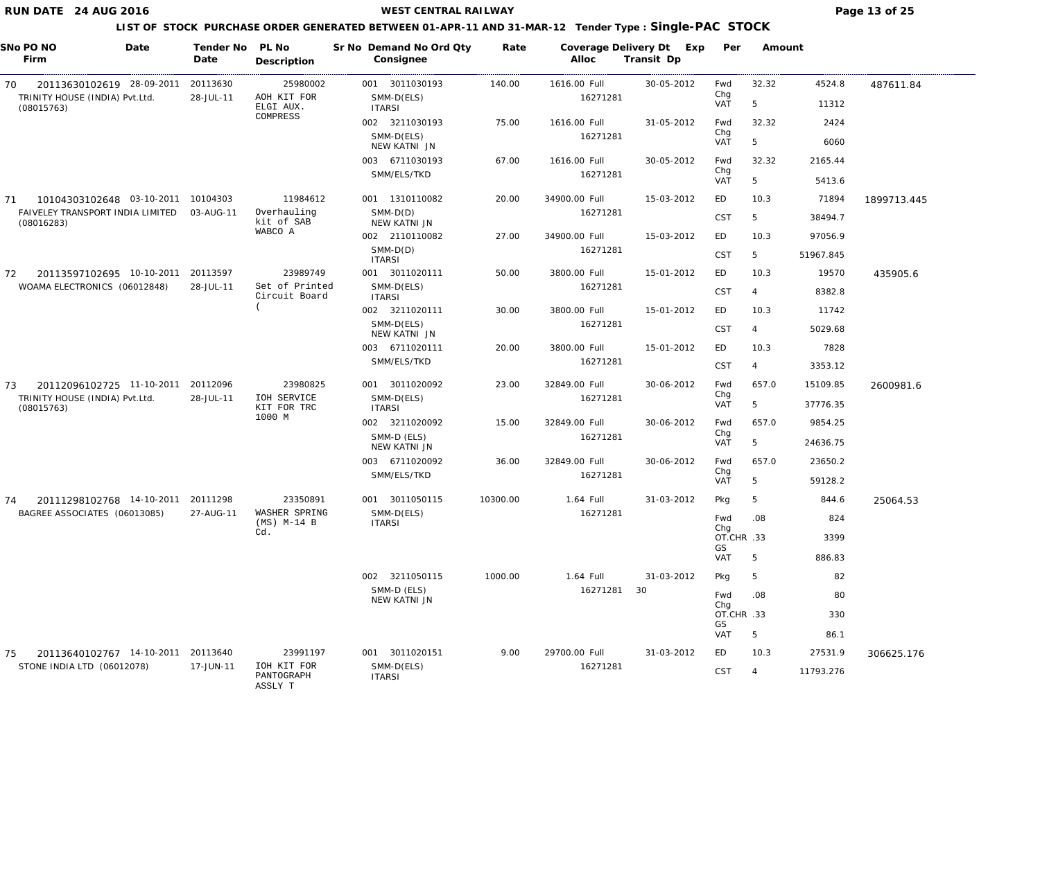**WEST CENTRAL RAILWAY Page 13 of 25** 

|    | SNo PO NO<br>Firm                              | Date | Tender No<br>Date | PL No<br>Description                 |               | Sr No Demand No Ord Qty<br>Consignee | Rate     | Coverage Delivery Dt<br>Alloc | Exp<br>Transit Dp | Per               | Amount         |           |             |
|----|------------------------------------------------|------|-------------------|--------------------------------------|---------------|--------------------------------------|----------|-------------------------------|-------------------|-------------------|----------------|-----------|-------------|
| 70 | 20113630102619 28-09-2011                      |      | 20113630          | 25980002                             |               | 001 3011030193                       | 140.00   | 1616.00 Full                  | 30-05-2012        | Fwd               | 32.32          | 4524.8    | 487611.84   |
|    | TRINITY HOUSE (INDIA) Pvt.Ltd.<br>(08015763)   |      | 28-JUL-11         | AOH KIT FOR<br>ELGI AUX.             | <b>ITARSI</b> | SMM-D(ELS)                           |          | 16271281                      |                   | Chg<br>VAT        | 5              | 11312     |             |
|    |                                                |      |                   | COMPRESS                             |               | 002 3211030193                       | 75.00    | 1616.00 Full                  | 31-05-2012        | Fwd<br>Chg        | 32.32          | 2424      |             |
|    |                                                |      |                   |                                      |               | SMM-D(ELS)<br>NEW KATNI JN           |          | 16271281                      |                   | VAT               | 5              | 6060      |             |
|    |                                                |      |                   |                                      |               | 003 6711030193                       | 67.00    | 1616.00 Full                  | 30-05-2012        | Fwd               | 32.32          | 2165.44   |             |
|    |                                                |      |                   |                                      |               | SMM/ELS/TKD                          |          | 16271281                      |                   | Chg<br>VAT        | 5              | 5413.6    |             |
| 71 | 10104303102648 03-10-2011 10104303             |      |                   | 11984612                             |               | 001 1310110082                       | 20.00    | 34900.00 Full                 | 15-03-2012        | ED                | 10.3           | 71894     | 1899713.445 |
|    | FAIVELEY TRANSPORT INDIA LIMITED<br>(08016283) |      | 03-AUG-11         | Overhauling<br>kit of SAB            |               | $SMM-D(D)$<br>NEW KATNI JN           |          | 16271281                      |                   | <b>CST</b>        | 5              | 38494.7   |             |
|    |                                                |      |                   | WABCO A                              |               | 002 2110110082                       | 27.00    | 34900.00 Full                 | 15-03-2012        | ED                | 10.3           | 97056.9   |             |
|    |                                                |      |                   |                                      | <b>ITARSI</b> | $SMM-D(D)$                           |          | 16271281                      |                   | <b>CST</b>        | 5              | 51967.845 |             |
| 72 | 20113597102695 10-10-2011                      |      | 20113597          | 23989749                             |               | 001 3011020111                       | 50.00    | 3800.00 Full                  | 15-01-2012        | ED                | 10.3           | 19570     | 435905.6    |
|    | WOAMA ELECTRONICS (06012848)                   |      | 28-JUL-11         | Set of Printed<br>Circuit Board      | <b>ITARSI</b> | SMM-D(ELS)                           |          | 16271281                      |                   | <b>CST</b>        | $\overline{4}$ | 8382.8    |             |
|    |                                                |      |                   |                                      |               | 002 3211020111                       | 30.00    | 3800.00 Full                  | 15-01-2012        | ED                | 10.3           | 11742     |             |
|    |                                                |      |                   |                                      |               | SMM-D(ELS)<br>NEW KATNI JN           |          | 16271281                      |                   | <b>CST</b>        | $\overline{4}$ | 5029.68   |             |
|    |                                                |      |                   |                                      |               | 003 6711020111                       | 20.00    | 3800.00 Full                  | 15-01-2012        | ED                | 10.3           | 7828      |             |
|    |                                                |      |                   |                                      |               | SMM/ELS/TKD                          |          | 16271281                      |                   | <b>CST</b>        | $\overline{4}$ | 3353.12   |             |
| 73 | 20112096102725 11-10-2011                      |      | 20112096          | 23980825                             |               | 001 3011020092                       | 23.00    | 32849.00 Full                 | 30-06-2012        | Fwd               | 657.0          | 15109.85  | 2600981.6   |
|    | TRINITY HOUSE (INDIA) Pvt.Ltd.<br>(08015763)   |      | 28-JUL-11         | IOH SERVICE<br>KIT FOR TRC           | <b>ITARSI</b> | SMM-D(ELS)                           |          | 16271281                      |                   | Chg<br>VAT        | 5              | 37776.35  |             |
|    |                                                |      |                   | 1000 M                               |               | 002 3211020092                       | 15.00    | 32849.00 Full                 | 30-06-2012        | Fwd               | 657.0          | 9854.25   |             |
|    |                                                |      |                   |                                      |               | SMM-D (ELS)<br><b>NEW KATNI JN</b>   |          | 16271281                      |                   | Chg<br><b>VAT</b> | 5              | 24636.75  |             |
|    |                                                |      |                   |                                      |               | 003 6711020092                       | 36.00    | 32849.00 Full                 | 30-06-2012        | Fwd               | 657.0          | 23650.2   |             |
|    |                                                |      |                   |                                      |               | SMM/ELS/TKD                          |          | 16271281                      |                   | Chg<br><b>VAT</b> | 5              | 59128.2   |             |
| 74 | 20111298102768 14-10-2011                      |      | 20111298          | 23350891                             |               | 001 3011050115                       | 10300.00 | 1.64 Full                     | 31-03-2012        | Pkg               | 5              | 844.6     | 25064.53    |
|    | BAGREE ASSOCIATES (06013085)                   |      | 27-AUG-11         | WASHER SPRING<br>$(MS)$ M-14 B       | <b>ITARSI</b> | SMM-D(ELS)                           |          | 16271281                      |                   | Fwd               | .08            | 824       |             |
|    |                                                |      |                   | Cd.                                  |               |                                      |          |                               |                   | Chg<br>OT.CHR .33 |                | 3399      |             |
|    |                                                |      |                   |                                      |               |                                      |          |                               |                   | GS<br>VAT         | 5              | 886.83    |             |
|    |                                                |      |                   |                                      |               | 002 3211050115                       | 1000.00  | 1.64 Full                     | 31-03-2012        | Pkg               | 5              | 82        |             |
|    |                                                |      |                   |                                      |               | SMM-D (ELS)<br>NEW KATNI JN          |          | 16271281                      | 30                | Fwd               | .08            | 80        |             |
|    |                                                |      |                   |                                      |               |                                      |          |                               |                   | Chg<br>OT.CHR .33 |                | 330       |             |
|    |                                                |      |                   |                                      |               |                                      |          |                               |                   | GS<br><b>VAT</b>  | 5              | 86.1      |             |
| 75 | 20113640102767 14-10-2011                      |      | 20113640          | 23991197                             |               | 001 3011020151                       | 9.00     | 29700.00 Full                 | 31-03-2012        | ED                | 10.3           | 27531.9   | 306625.176  |
|    | STONE INDIA LTD (06012078)                     |      | 17-JUN-11         | IOH KIT FOR<br>PANTOGRAPH<br>ASSLY T | <b>ITARSI</b> | SMM-D(ELS)                           |          | 16271281                      |                   | <b>CST</b>        | $\overline{4}$ | 11793.276 |             |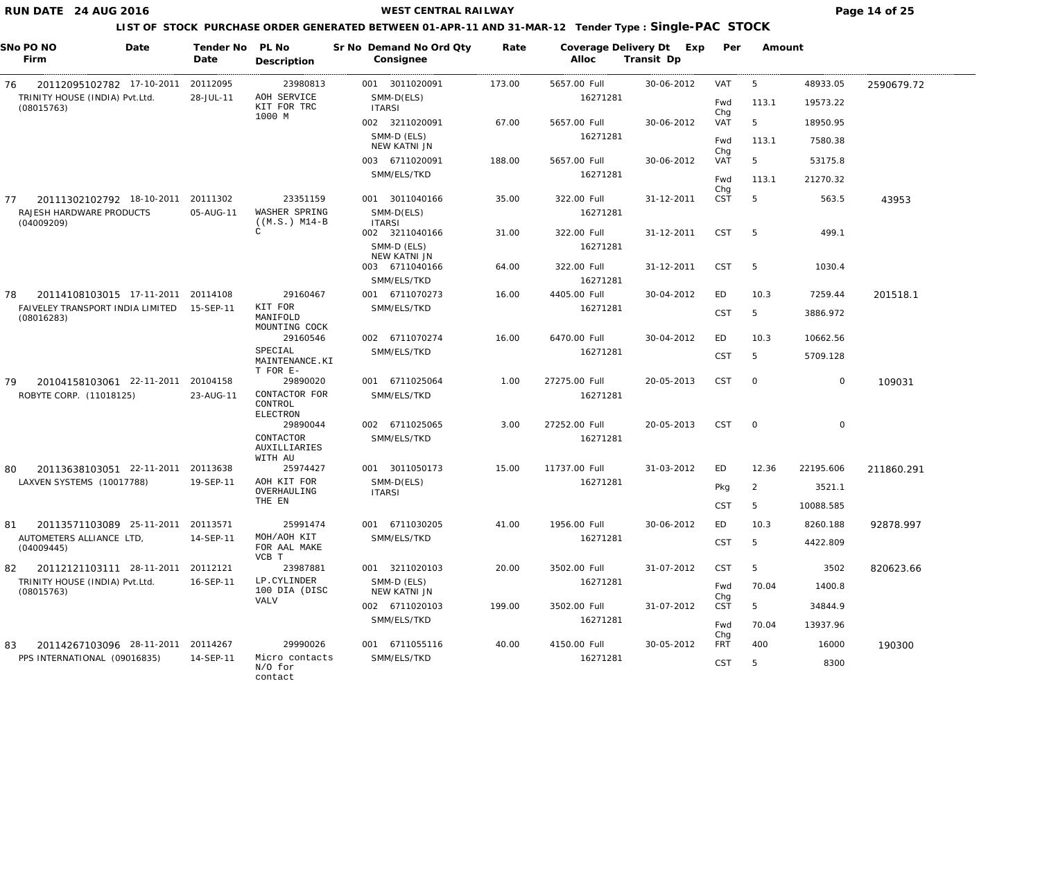#### **WEST CENTRAL RAILWAY Page 14 of 25**

### **LIST OF STOCK PURCHASE ORDER GENERATED BETWEEN 01-APR-11 AND 31-MAR-12 Tender Type : Single-PAC STOCK**

| SNo PO NO<br>Date<br>Firm                                                              | Tender No<br>Date     | PL No<br>Description                        | Sr No Demand No Ord Qty<br>Consignee | Rate   | Coverage Delivery Dt<br>Alloc | Exp<br>Transit Dp | Per               | Amount         |             |            |
|----------------------------------------------------------------------------------------|-----------------------|---------------------------------------------|--------------------------------------|--------|-------------------------------|-------------------|-------------------|----------------|-------------|------------|
| 20112095102782 17-10-2011<br>76                                                        | 20112095              | 23980813                                    | 001 3011020091                       | 173.00 | 5657.00 Full                  | 30-06-2012        | VAT               | 5              | 48933.05    | 2590679.72 |
| TRINITY HOUSE (INDIA) Pvt.Ltd.<br>(08015763)                                           | 28-JUL-11             | AOH SERVICE<br>KIT FOR TRC                  | SMM-D(ELS)<br><b>ITARSI</b>          |        | 16271281                      |                   | Fwd               | 113.1          | 19573.22    |            |
|                                                                                        |                       | 1000 M                                      | 002 3211020091                       | 67.00  | 5657.00 Full                  | 30-06-2012        | Chg<br>VAT        | 5              | 18950.95    |            |
|                                                                                        |                       |                                             | SMM-D (ELS)<br>NEW KATNI JN          |        | 16271281                      |                   | Fwd               | 113.1          | 7580.38     |            |
|                                                                                        |                       |                                             | 003 6711020091                       | 188.00 | 5657.00 Full                  | 30-06-2012        | Chg<br>VAT        | 5              | 53175.8     |            |
|                                                                                        |                       |                                             | SMM/ELS/TKD                          |        | 16271281                      |                   | Fwd               | 113.1          | 21270.32    |            |
|                                                                                        |                       |                                             |                                      |        |                               |                   | Chg               |                |             |            |
| 20111302102792 18-10-2011<br>77<br>RAJESH HARDWARE PRODUCTS                            | 20111302<br>05-AUG-11 | 23351159<br>WASHER SPRING                   | 001 3011040166<br>SMM-D(ELS)         | 35.00  | 322.00 Full<br>16271281       | 31-12-2011        | <b>CST</b>        | 5              | 563.5       | 43953      |
| (04009209)                                                                             |                       | $((M.S.) M14-B)$<br>C                       | <b>ITARSI</b><br>002 3211040166      | 31.00  | 322.00 Full                   | 31-12-2011        | <b>CST</b>        | - 5            | 499.1       |            |
|                                                                                        |                       |                                             | SMM-D (ELS)<br>NEW KATNI JN          |        | 16271281                      |                   |                   |                |             |            |
|                                                                                        |                       |                                             | 003 6711040166                       | 64.00  | 322.00 Full                   | 31-12-2011        | <b>CST</b>        | 5              | 1030.4      |            |
|                                                                                        |                       |                                             | SMM/ELS/TKD                          |        | 16271281                      |                   |                   |                |             |            |
| 20114108103015 17-11-2011 20114108<br>78<br>FAIVELEY TRANSPORT INDIA LIMITED 15-SEP-11 |                       | 29160467<br>KIT FOR                         | 001 6711070273<br>SMM/ELS/TKD        | 16.00  | 4405.00 Full<br>16271281      | 30-04-2012        | ED                | 10.3           | 7259.44     | 201518.1   |
| (08016283)                                                                             |                       | MANIFOLD<br>MOUNTING COCK                   |                                      |        |                               |                   | <b>CST</b>        | 5              | 3886.972    |            |
|                                                                                        |                       | 29160546                                    | 002 6711070274                       | 16.00  | 6470.00 Full                  | 30-04-2012        | ED                | 10.3           | 10662.56    |            |
|                                                                                        |                       | SPECIAL<br>MAINTENANCE.KI<br>T FOR E-       | SMM/ELS/TKD                          |        | 16271281                      |                   | CST               | 5              | 5709.128    |            |
| 20104158103061 22-11-2011<br>79                                                        | 20104158              | 29890020                                    | 001 6711025064                       | 1.00   | 27275.00 Full                 | 20-05-2013        | <b>CST</b>        | $\circ$        | $\mathbf 0$ | 109031     |
| ROBYTE CORP. (11018125)                                                                | 23-AUG-11             | CONTACTOR FOR<br>CONTROL<br><b>ELECTRON</b> | SMM/ELS/TKD                          |        | 16271281                      |                   |                   |                |             |            |
|                                                                                        |                       | 29890044                                    | 002 6711025065                       | 3.00   | 27252.00 Full                 | 20-05-2013        | <b>CST</b>        | $\overline{0}$ | 0           |            |
|                                                                                        |                       | CONTACTOR<br>AUXILLIARIES                   | SMM/ELS/TKD                          |        | 16271281                      |                   |                   |                |             |            |
| 20113638103051 22-11-2011<br>80                                                        | 20113638              | WITH AU<br>25974427                         | 001 3011050173                       | 15.00  | 11737.00 Full                 | 31-03-2012        | ED                | 12.36          | 22195.606   | 211860.291 |
| LAXVEN SYSTEMS (10017788)                                                              | 19-SEP-11             | AOH KIT FOR                                 | SMM-D(ELS)                           |        | 16271281                      |                   | Pkg               | $\overline{2}$ | 3521.1      |            |
|                                                                                        |                       | OVERHAULING<br>THE EN                       | <b>ITARSI</b>                        |        |                               |                   | <b>CST</b>        | 5              | 10088.585   |            |
| 20113571103089 25-11-2011<br>81                                                        | 20113571              | 25991474                                    | 001 6711030205                       | 41.00  | 1956.00 Full                  | 30-06-2012        | ED                | 10.3           | 8260.188    | 92878.997  |
| AUTOMETERS ALLIANCE LTD,                                                               | 14-SEP-11             | MOH/AOH KIT                                 | SMM/ELS/TKD                          |        | 16271281                      |                   |                   |                |             |            |
| (04009445)                                                                             |                       | FOR AAL MAKE<br>VCB T                       |                                      |        |                               |                   | <b>CST</b>        | 5              | 4422.809    |            |
| 20112121103111 28-11-2011<br>82                                                        | 20112121              | 23987881                                    | 001 3211020103                       | 20.00  | 3502.00 Full                  | 31-07-2012        | <b>CST</b>        | 5              | 3502        | 820623.66  |
| TRINITY HOUSE (INDIA) Pvt.Ltd.<br>(08015763)                                           | 16-SEP-11             | LP.CYLINDER<br>100 DIA (DISC                | SMM-D (ELS)<br>NEW KATNI JN          |        | 16271281                      |                   | Fwd<br>Chg        | 70.04          | 1400.8      |            |
|                                                                                        |                       | <b>VALV</b>                                 | 002 6711020103                       | 199.00 | 3502.00 Full                  | 31-07-2012        | <b>CST</b>        | 5              | 34844.9     |            |
|                                                                                        |                       |                                             | SMM/ELS/TKD                          |        | 16271281                      |                   | Fwd               | 70.04          | 13937.96    |            |
| 83<br>20114267103096 28-11-2011 20114267                                               |                       | 29990026                                    | 001 6711055116                       | 40.00  | 4150.00 Full                  | 30-05-2012        | Chg<br><b>FRT</b> | 400            | 16000       | 190300     |
| PPS INTERNATIONAL (09016835)                                                           | 14-SEP-11             | Micro contacts<br>N/O for                   | SMM/ELS/TKD                          |        | 16271281                      |                   | <b>CST</b>        | 5              | 8300        |            |

contact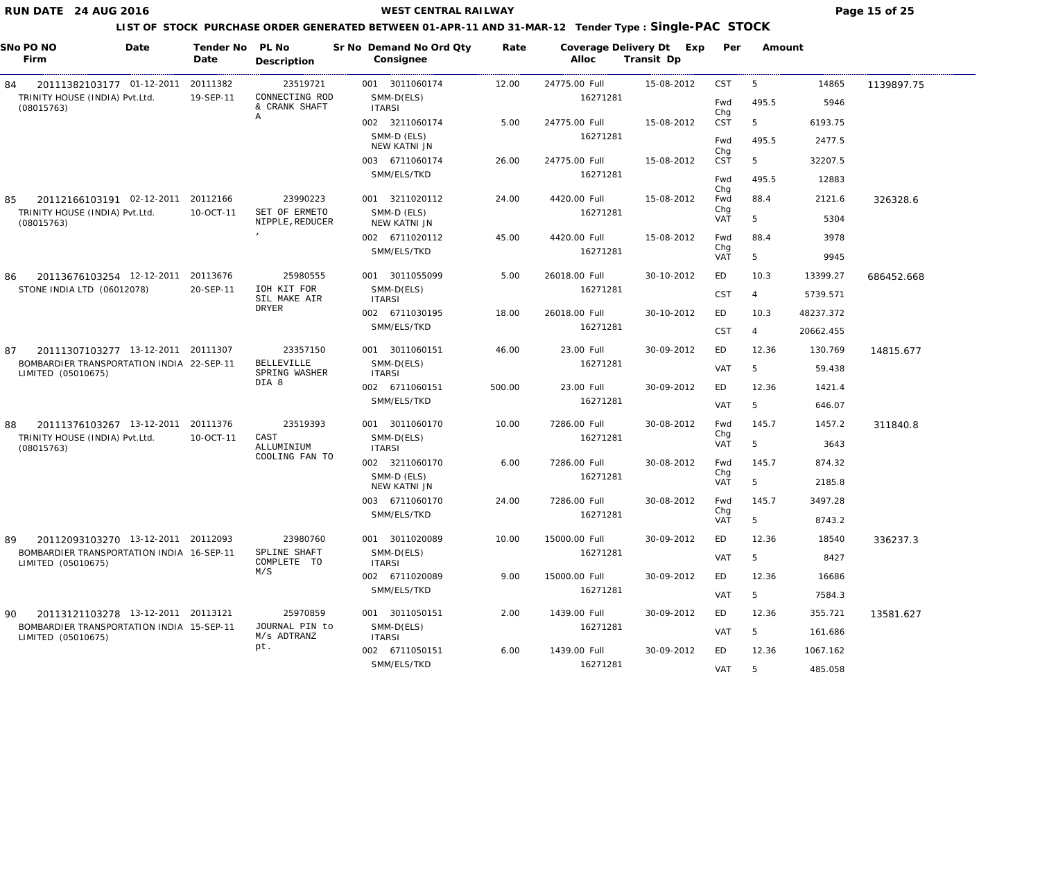**WEST CENTRAL RAILWAY Page 15 of 25** 

|    | SNo PO NO<br>Firm                                               | Date | Tender No PL No<br>Date | Description                        | Sr No Demand No Ord Qty<br>Consignee | Rate   | Coverage Delivery Dt Exp<br>Alloc | Transit Dp | Per               | Amount         |           |            |
|----|-----------------------------------------------------------------|------|-------------------------|------------------------------------|--------------------------------------|--------|-----------------------------------|------------|-------------------|----------------|-----------|------------|
| 84 | 20111382103177 01-12-2011                                       |      | 20111382                | 23519721                           | 001 3011060174                       | 12.00  | 24775.00 Full                     | 15-08-2012 | <b>CST</b>        | 5              | 14865     | 1139897.75 |
|    | TRINITY HOUSE (INDIA) Pvt.Ltd.<br>(08015763)                    |      | 19-SEP-11               | CONNECTING ROD<br>& CRANK SHAFT    | SMM-D(ELS)<br><b>ITARSI</b>          |        | 16271281                          |            | Fwd               | 495.5          | 5946      |            |
|    |                                                                 |      |                         | Α                                  | 002 3211060174                       | 5.00   | 24775.00 Full                     | 15-08-2012 | Chg<br>CST        | 5              | 6193.75   |            |
|    |                                                                 |      |                         |                                    | SMM-D (ELS)<br>NEW KATNI JN          |        | 16271281                          |            | Fwd               | 495.5          | 2477.5    |            |
|    |                                                                 |      |                         |                                    | 003 6711060174                       | 26.00  | 24775.00 Full                     | 15-08-2012 | Chg<br>CST        | 5              | 32207.5   |            |
|    |                                                                 |      |                         |                                    | SMM/ELS/TKD                          |        | 16271281                          |            | Fwd               | 495.5          | 12883     |            |
| 85 | 20112166103191 02-12-2011                                       |      | 20112166                | 23990223                           | 001 3211020112                       | 24.00  | 4420.00 Full                      | 15-08-2012 | Chg<br>Fwd        | 88.4           | 2121.6    | 326328.6   |
|    | TRINITY HOUSE (INDIA) Pvt.Ltd.<br>(08015763)                    |      | 10-OCT-11               | SET OF ERMETO<br>NIPPLE, REDUCER   | SMM-D (ELS)<br>NEW KATNI JN          |        | 16271281                          |            | Chg<br><b>VAT</b> | 5              | 5304      |            |
|    |                                                                 |      |                         | $\mathbf{r}$                       | 002 6711020112                       | 45.00  | 4420.00 Full                      | 15-08-2012 | Fwd               | 88.4           | 3978      |            |
|    |                                                                 |      |                         |                                    | SMM/ELS/TKD                          |        | 16271281                          |            | Chg<br><b>VAT</b> | 5              | 9945      |            |
| 86 | 20113676103254 12-12-2011                                       |      | 20113676                | 25980555                           | 001 3011055099                       | 5.00   | 26018.00 Full                     | 30-10-2012 | ED                | 10.3           | 13399.27  | 686452.668 |
|    | STONE INDIA LTD (06012078)                                      |      | 20-SEP-11               | IOH KIT FOR<br>SIL MAKE AIR        | SMM-D(ELS)<br><b>ITARSI</b>          |        | 16271281                          |            | <b>CST</b>        | $\overline{4}$ | 5739.571  |            |
|    |                                                                 |      |                         | <b>DRYER</b>                       | 002 6711030195                       | 18.00  | 26018.00 Full                     | 30-10-2012 | <b>ED</b>         | 10.3           | 48237.372 |            |
|    |                                                                 |      |                         |                                    | SMM/ELS/TKD                          |        | 16271281                          |            | <b>CST</b>        | $\overline{4}$ | 20662.455 |            |
| 87 | 20111307103277 13-12-2011 20111307                              |      |                         | 23357150                           | 001 3011060151                       | 46.00  | 23.00 Full                        | 30-09-2012 | <b>ED</b>         | 12.36          | 130.769   | 14815.677  |
|    | BOMBARDIER TRANSPORTATION INDIA 22-SEP-11<br>LIMITED (05010675) |      |                         | <b>BELLEVILLE</b><br>SPRING WASHER | SMM-D(ELS)<br><b>ITARSI</b>          |        | 16271281                          |            | <b>VAT</b>        | 5              | 59.438    |            |
|    |                                                                 |      |                         | DIA 8                              | 002 6711060151                       | 500.00 | 23.00 Full                        | 30-09-2012 | ED                | 12.36          | 1421.4    |            |
|    |                                                                 |      |                         |                                    | SMM/ELS/TKD                          |        | 16271281                          |            | <b>VAT</b>        | 5              | 646.07    |            |
| 88 | 20111376103267 13-12-2011                                       |      | 20111376                | 23519393                           | 001 3011060170                       | 10.00  | 7286.00 Full                      | 30-08-2012 | Fwd               | 145.7          | 1457.2    | 311840.8   |
|    | TRINITY HOUSE (INDIA) Pvt.Ltd.<br>(08015763)                    |      | 10-OCT-11               | CAST<br>ALLUMINIUM                 | SMM-D(ELS)<br><b>ITARSI</b>          |        | 16271281                          |            | Chg<br><b>VAT</b> | 5              | 3643      |            |
|    |                                                                 |      |                         | COOLING FAN TO                     | 002 3211060170                       | 6.00   | 7286.00 Full                      | 30-08-2012 | Fwd               | 145.7          | 874.32    |            |
|    |                                                                 |      |                         |                                    | SMM-D (ELS)<br>NEW KATNI JN          |        | 16271281                          |            | Chg<br><b>VAT</b> | 5              | 2185.8    |            |
|    |                                                                 |      |                         |                                    | 003 6711060170                       | 24.00  | 7286.00 Full                      | 30-08-2012 | Fwd               | 145.7          | 3497.28   |            |
|    |                                                                 |      |                         |                                    | SMM/ELS/TKD                          |        | 16271281                          |            | Chg<br>VAT        | 5              | 8743.2    |            |
| 89 | 20112093103270 13-12-2011 20112093                              |      |                         | 23980760                           | 001 3011020089                       | 10.00  | 15000.00 Full                     | 30-09-2012 | ED                | 12.36          | 18540     | 336237.3   |
|    | BOMBARDIER TRANSPORTATION INDIA 16-SEP-11<br>LIMITED (05010675) |      |                         | SPLINE SHAFT<br>COMPLETE TO        | SMM-D(ELS)<br><b>ITARSI</b>          |        | 16271281                          |            | <b>VAT</b>        | 5              | 8427      |            |
|    |                                                                 |      |                         | M/S                                | 002 6711020089                       | 9.00   | 15000.00 Full                     | 30-09-2012 | <b>ED</b>         | 12.36          | 16686     |            |
|    |                                                                 |      |                         |                                    | SMM/ELS/TKD                          |        | 16271281                          |            | <b>VAT</b>        | 5              | 7584.3    |            |
| 90 | 20113121103278 13-12-2011 20113121                              |      |                         | 25970859                           | 001 3011050151                       | 2.00   | 1439.00 Full                      | 30-09-2012 | ED                | 12.36          | 355.721   | 13581.627  |
|    | BOMBARDIER TRANSPORTATION INDIA 15-SEP-11<br>LIMITED (05010675) |      |                         | JOURNAL PIN to<br>M/s ADTRANZ      | SMM-D(ELS)<br><b>ITARSI</b>          |        | 16271281                          |            | VAT               | 5              | 161.686   |            |
|    |                                                                 |      |                         | pt.                                | 002 6711050151                       | 6.00   | 1439.00 Full                      | 30-09-2012 | ED                | 12.36          | 1067.162  |            |
|    |                                                                 |      |                         |                                    | SMM/ELS/TKD                          |        | 16271281                          |            | VAT               | 5              | 485.058   |            |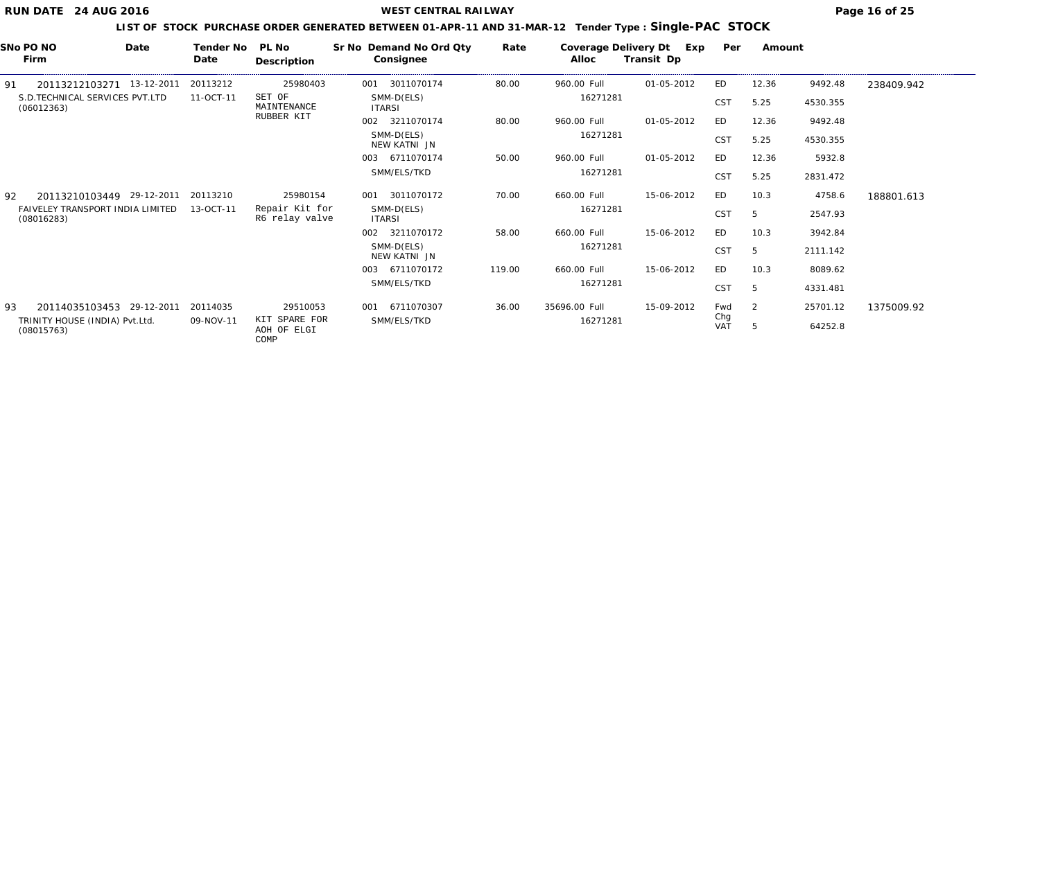**WEST CENTRAL RAILWAY Page 16 of 25** 

| SNo PO NO<br>Firm                              | Date       | Tender No<br>Date | PL No<br>Description                 | Sr No Demand No Ord Qty<br>Consignee | Rate   | Coverage Delivery Dt<br>Alloc | Exp<br>Transit Dp | Per               | Amount |          |            |
|------------------------------------------------|------------|-------------------|--------------------------------------|--------------------------------------|--------|-------------------------------|-------------------|-------------------|--------|----------|------------|
| 91<br>20113212103271                           | 13-12-2011 | 20113212          | 25980403                             | 3011070174<br>001                    | 80.00  | 960.00 Full                   | 01-05-2012        | ED                | 12.36  | 9492.48  | 238409.942 |
| S.D. TECHNICAL SERVICES PVT. LTD<br>(06012363) |            | 11-OCT-11         | SET OF<br>MAINTENANCE                | SMM-D(ELS)<br><b>ITARSI</b>          |        | 16271281                      |                   | <b>CST</b>        | 5.25   | 4530.355 |            |
|                                                |            |                   | RUBBER KIT                           | 002 3211070174                       | 80.00  | 960.00 Full                   | 01-05-2012        | ED                | 12.36  | 9492.48  |            |
|                                                |            |                   |                                      | SMM-D(ELS)<br>NEW KATNI JN           |        | 16271281                      |                   | <b>CST</b>        | 5.25   | 4530.355 |            |
|                                                |            |                   |                                      | 003 6711070174                       | 50.00  | 960.00 Full                   | 01-05-2012        | ED.               | 12.36  | 5932.8   |            |
|                                                |            |                   |                                      | SMM/ELS/TKD                          |        | 16271281                      |                   | CST               | 5.25   | 2831.472 |            |
| 20113210103449 29-12-2011<br>92                |            | 20113210          | 25980154                             | 3011070172<br>001                    | 70.00  | 660.00 Full                   | 15-06-2012        | ED                | 10.3   | 4758.6   | 188801.613 |
| FAIVELEY TRANSPORT INDIA LIMITED<br>(08016283) |            | 13-OCT-11         | Repair Kit for<br>R6 relay valve     | SMM-D(ELS)<br><b>ITARSI</b>          |        | 16271281                      |                   | CST               | 5      | 2547.93  |            |
|                                                |            |                   |                                      | 3211070172<br>002                    | 58.00  | 660.00 Full                   | 15-06-2012        | ED                | 10.3   | 3942.84  |            |
|                                                |            |                   |                                      | SMM-D(ELS)<br>NEW KATNI JN           |        | 16271281                      |                   | CST               | 5      | 2111.142 |            |
|                                                |            |                   |                                      | 003 6711070172                       | 119.00 | 660.00 Full                   | 15-06-2012        | ED                | 10.3   | 8089.62  |            |
|                                                |            |                   |                                      | SMM/ELS/TKD                          |        | 16271281                      |                   | <b>CST</b>        | 5      | 4331.481 |            |
| 20114035103453 29-12-2011<br>93                |            | 20114035          | 29510053                             | 001 6711070307                       | 36.00  | 35696.00 Full                 | 15-09-2012        | Fwd               | 2      | 25701.12 | 1375009.92 |
| TRINITY HOUSE (INDIA) Pvt.Ltd.<br>(08015763)   |            | 09-NOV-11         | KIT SPARE FOR<br>AOH OF ELGI<br>COMP | SMM/ELS/TKD                          |        | 16271281                      |                   | Chg<br><b>VAT</b> | 5      | 64252.8  |            |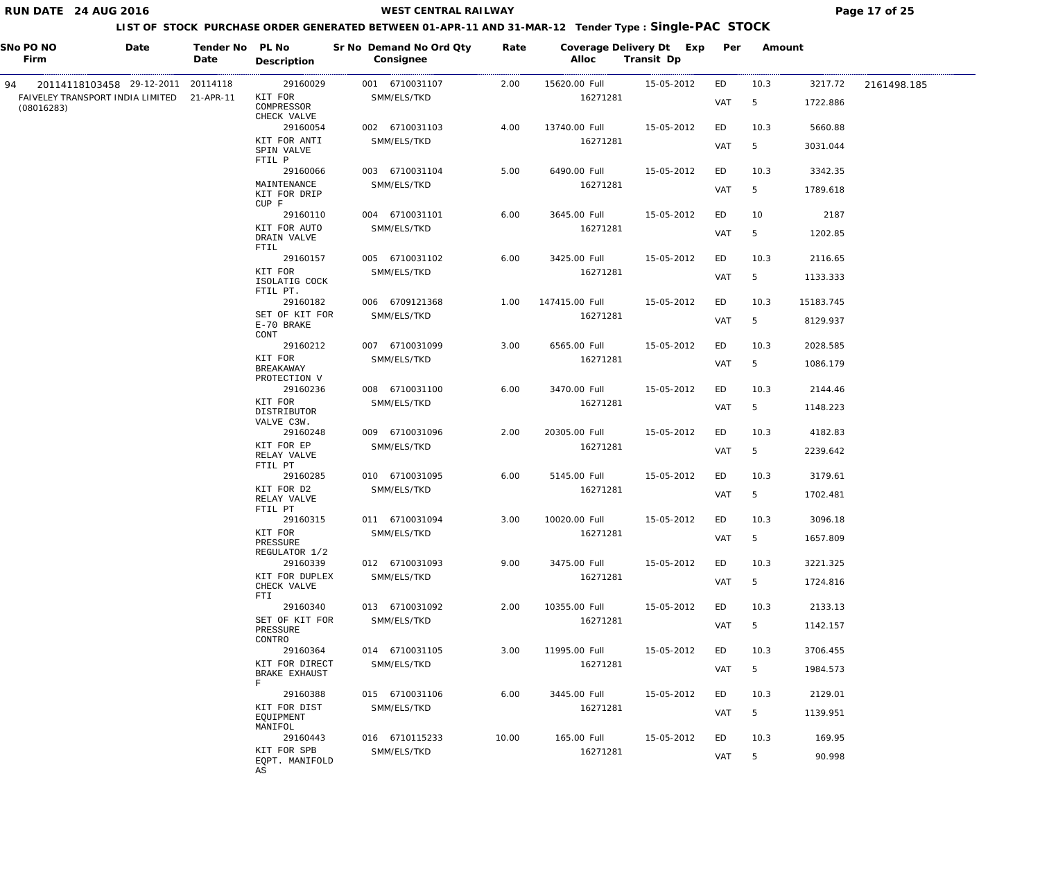## **WEST CENTRAL RAILWAY Page 17 of 25**

| SNo PO NO<br>Firm                                        | Date | Tender No PL No<br>Date | Description                          | Sr No Demand No Ord Qty<br>Consignee | Rate  | Coverage Delivery Dt Exp<br>Alloc | Transit Dp | Per        | Amount          |           |             |
|----------------------------------------------------------|------|-------------------------|--------------------------------------|--------------------------------------|-------|-----------------------------------|------------|------------|-----------------|-----------|-------------|
| 20114118103458 29-12-2011 20114118<br>94                 |      |                         | 29160029                             | 001 6710031107                       | 2.00  | 15620.00 Full                     | 15-05-2012 | ED         | 10.3            | 3217.72   | 2161498.185 |
| FAIVELEY TRANSPORT INDIA LIMITED 21-APR-11<br>(08016283) |      |                         | KIT FOR<br>COMPRESSOR<br>CHECK VALVE | SMM/ELS/TKD                          |       | 16271281                          |            | <b>VAT</b> | 5               | 1722.886  |             |
|                                                          |      |                         | 29160054                             | 002 6710031103                       | 4.00  | 13740.00 Full                     | 15-05-2012 | ED         | 10.3            | 5660.88   |             |
|                                                          |      |                         | KIT FOR ANTI<br>SPIN VALVE<br>FTIL P | SMM/ELS/TKD                          |       | 16271281                          |            | <b>VAT</b> | 5               | 3031.044  |             |
|                                                          |      |                         | 29160066                             | 003 6710031104                       | 5.00  | 6490.00 Full                      | 15-05-2012 | ED         | 10.3            | 3342.35   |             |
|                                                          |      |                         | MAINTENANCE<br>KIT FOR DRIP<br>CUP F | SMM/ELS/TKD                          |       | 16271281                          |            | VAT        | 5               | 1789.618  |             |
|                                                          |      |                         | 29160110                             | 004 6710031101                       | 6.00  | 3645.00 Full                      | 15-05-2012 | ED         | 10              | 2187      |             |
|                                                          |      |                         | KIT FOR AUTO<br>DRAIN VALVE<br>FTIL  | SMM/ELS/TKD                          |       | 16271281                          |            | VAT        | 5               | 1202.85   |             |
|                                                          |      |                         | 29160157                             | 005 6710031102                       | 6.00  | 3425.00 Full                      | 15-05-2012 | ED         | 10.3            | 2116.65   |             |
|                                                          |      |                         | KIT FOR<br>ISOLATIG COCK<br>FTIL PT. | SMM/ELS/TKD                          |       | 16271281                          |            | VAT        | 5               | 1133.333  |             |
|                                                          |      |                         | 29160182                             | 006 6709121368                       | 1.00  | 147415.00 Full                    | 15-05-2012 | ED         | 10.3            | 15183.745 |             |
|                                                          |      |                         | SET OF KIT FOR<br>E-70 BRAKE<br>CONT | SMM/ELS/TKD                          |       | 16271281                          |            | <b>VAT</b> | 5               | 8129.937  |             |
|                                                          |      |                         | 29160212                             | 007 6710031099                       | 3.00  | 6565.00 Full                      | 15-05-2012 | ED         | 10.3            | 2028.585  |             |
|                                                          |      |                         | KIT FOR<br>BREAKAWAY<br>PROTECTION V | SMM/ELS/TKD                          |       | 16271281                          |            | VAT        | 5               | 1086.179  |             |
|                                                          |      |                         | 29160236                             | 008 6710031100                       | 6.00  | 3470.00 Full                      | 15-05-2012 | ED         | 10.3            | 2144.46   |             |
|                                                          |      |                         | KIT FOR<br>DISTRIBUTOR<br>VALVE C3W. | SMM/ELS/TKD                          |       | 16271281                          |            | VAT        | 5               | 1148.223  |             |
|                                                          |      |                         | 29160248                             | 009 6710031096                       | 2.00  | 20305.00 Full                     | 15-05-2012 | ED         | 10.3            | 4182.83   |             |
|                                                          |      |                         | KIT FOR EP<br>RELAY VALVE<br>FTIL PT | SMM/ELS/TKD                          |       | 16271281                          |            | VAT        | 5               | 2239.642  |             |
|                                                          |      |                         | 29160285                             | 010 6710031095                       | 6.00  | 5145.00 Full                      | 15-05-2012 | ED         | 10.3            | 3179.61   |             |
|                                                          |      |                         | KIT FOR D2<br>RELAY VALVE<br>FTIL PT | SMM/ELS/TKD                          |       | 16271281                          |            | VAT        | $5\overline{)}$ | 1702.481  |             |
|                                                          |      |                         | 29160315                             | 011 6710031094                       | 3.00  | 10020.00 Full                     | 15-05-2012 | ED         | 10.3            | 3096.18   |             |
|                                                          |      |                         | KIT FOR<br>PRESSURE<br>REGULATOR 1/2 | SMM/ELS/TKD                          |       | 16271281                          |            | <b>VAT</b> | 5               | 1657.809  |             |
|                                                          |      |                         | 29160339                             | 012 6710031093                       | 9.00  | 3475.00 Full                      | 15-05-2012 | ED         | 10.3            | 3221.325  |             |
|                                                          |      |                         | KIT FOR DUPLEX<br>CHECK VALVE<br>FTI | SMM/ELS/TKD                          |       | 16271281                          |            | <b>VAT</b> | 5               | 1724.816  |             |
|                                                          |      |                         | 29160340                             | 013 6710031092                       | 2.00  | 10355.00 Full                     | 15-05-2012 | ED.        | 10.3            | 2133.13   |             |
|                                                          |      |                         | SET OF KIT FOR<br>PRESSURE<br>CONTRO | SMM/ELS/TKD                          |       | 16271281                          |            | VAT        | 5               | 1142.157  |             |
|                                                          |      |                         | 29160364                             | 014 6710031105                       | 3.00  | 11995.00 Full                     | 15-05-2012 | ED         | 10.3            | 3706.455  |             |
|                                                          |      |                         | KIT FOR DIRECT<br>BRAKE EXHAUST<br>F | SMM/ELS/TKD                          |       | 16271281                          |            | VAT        | 5               | 1984.573  |             |
|                                                          |      |                         | 29160388                             | 015 6710031106                       | 6.00  | 3445.00 Full                      | 15-05-2012 | ED.        | 10.3            | 2129.01   |             |
|                                                          |      |                         | KIT FOR DIST<br>EQUIPMENT            | SMM/ELS/TKD                          |       | 16271281                          |            | VAT        | 5               | 1139.951  |             |
|                                                          |      |                         | MANIFOL<br>29160443                  | 016 6710115233                       | 10.00 | 165.00 Full                       | 15-05-2012 | ED         | 10.3            | 169.95    |             |
|                                                          |      |                         | KIT FOR SPB<br>EQPT. MANIFOLD<br>AS  | SMM/ELS/TKD                          |       | 16271281                          |            | VAT        | 5               | 90.998    |             |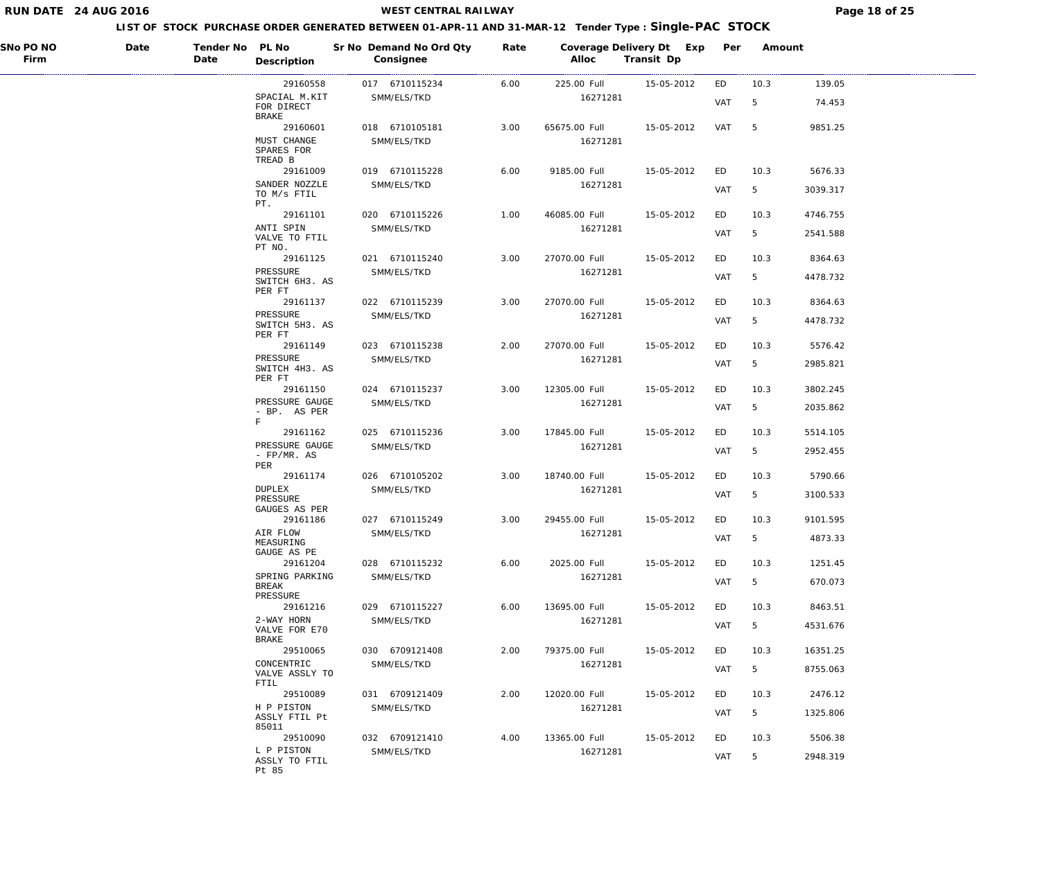## **WEST CENTRAL RAILWAY Page 18 of 25**

| SNo PO NO<br>Firm | Date | Tender No PL No<br>Date | Description                                 | Sr No Demand No Ord Qty<br>Consignee | Rate | Coverage Delivery Dt Exp<br>Alloc | Transit Dp | Per        | Amount |          |
|-------------------|------|-------------------------|---------------------------------------------|--------------------------------------|------|-----------------------------------|------------|------------|--------|----------|
|                   |      |                         | 29160558                                    | 017 6710115234                       | 6.00 | 225.00 Full                       | 15-05-2012 | ED         | 10.3   | 139.05   |
|                   |      |                         | SPACIAL M.KIT<br>FOR DIRECT<br><b>BRAKE</b> | SMM/ELS/TKD                          |      | 16271281                          |            | VAT        | 5      | 74.453   |
|                   |      |                         | 29160601                                    | 018 6710105181                       | 3.00 | 65675.00 Full                     | 15-05-2012 | VAT        | 5      | 9851.25  |
|                   |      |                         | MUST CHANGE<br>SPARES FOR<br>TREAD B        | SMM/ELS/TKD                          |      | 16271281                          |            |            |        |          |
|                   |      |                         | 29161009                                    | 019 6710115228                       | 6.00 | 9185.00 Full                      | 15-05-2012 | ED         | 10.3   | 5676.33  |
|                   |      |                         | SANDER NOZZLE<br>TO M/s FTIL<br>PT.         | SMM/ELS/TKD                          |      | 16271281                          |            | VAT        | 5      | 3039.317 |
|                   |      |                         | 29161101                                    | 020 6710115226                       | 1.00 | 46085.00 Full                     | 15-05-2012 | ED         | 10.3   | 4746.755 |
|                   |      |                         | ANTI SPIN<br>VALVE TO FTIL<br>PT NO.        | SMM/ELS/TKD                          |      | 16271281                          |            | VAT        | 5      | 2541.588 |
|                   |      |                         | 29161125                                    | 021 6710115240                       | 3.00 | 27070.00 Full                     | 15-05-2012 | ED         | 10.3   | 8364.63  |
|                   |      |                         | PRESSURE<br>SWITCH 6H3. AS<br>PER FT        | SMM/ELS/TKD                          |      | 16271281                          |            | VAT        | 5      | 4478.732 |
|                   |      |                         | 29161137                                    | 022 6710115239                       | 3.00 | 27070.00 Full                     | 15-05-2012 | ED         | 10.3   | 8364.63  |
|                   |      |                         | PRESSURE<br>SWITCH 5H3. AS                  | SMM/ELS/TKD                          |      | 16271281                          |            | VAT        | 5      | 4478.732 |
|                   |      |                         | PER FT<br>29161149                          | 023 6710115238                       | 2.00 | 27070.00 Full                     | 15-05-2012 | ED         | 10.3   | 5576.42  |
|                   |      |                         | PRESSURE<br>SWITCH 4H3. AS                  | SMM/ELS/TKD                          |      | 16271281                          |            | VAT        | 5      | 2985.821 |
|                   |      |                         | PER FT<br>29161150                          | 024 6710115237                       | 3.00 | 12305.00 Full                     | 15-05-2012 | ED         | 10.3   | 3802.245 |
|                   |      |                         | PRESSURE GAUGE<br>- BP. AS PER              | SMM/ELS/TKD                          |      | 16271281                          |            | VAT        | 5      | 2035.862 |
|                   |      |                         | F<br>29161162                               | 025 6710115236                       | 3.00 | 17845.00 Full                     | 15-05-2012 | ED         | 10.3   | 5514.105 |
|                   |      |                         | PRESSURE GAUGE<br>- $FP/MR$ . AS            | SMM/ELS/TKD                          |      | 16271281                          |            | VAT        | 5      | 2952.455 |
|                   |      |                         | PER<br>29161174                             | 026 6710105202                       | 3.00 | 18740.00 Full                     | 15-05-2012 | ED         | 10.3   | 5790.66  |
|                   |      |                         | <b>DUPLEX</b><br>PRESSURE                   | SMM/ELS/TKD                          |      | 16271281                          |            | VAT        | 5      | 3100.533 |
|                   |      |                         | GAUGES AS PER<br>29161186                   | 027 6710115249                       | 3.00 | 29455.00 Full                     | 15-05-2012 | ED         | 10.3   | 9101.595 |
|                   |      |                         | AIR FLOW<br>MEASURING                       | SMM/ELS/TKD                          |      | 16271281                          |            | <b>VAT</b> | 5      | 4873.33  |
|                   |      |                         | GAUGE AS PE<br>29161204                     | 028 6710115232                       | 6.00 | 2025.00 Full                      | 15-05-2012 | ED         | 10.3   | 1251.45  |
|                   |      |                         | SPRING PARKING<br>BREAK                     | SMM/ELS/TKD                          |      | 16271281                          |            | <b>VAT</b> | 5      | 670.073  |
|                   |      |                         | PRESSURE<br>29161216                        | 029 6710115227                       | 6.00 | 13695.00 Full                     | 15-05-2012 | ED         | 10.3   | 8463.51  |
|                   |      |                         | 2-WAY HORN<br>VALVE FOR E70                 | SMM/ELS/TKD                          |      | 16271281                          |            | VAT        | 5      | 4531.676 |
|                   |      |                         | BRAKE<br>29510065                           | 030 6709121408                       | 2.00 | 79375.00 Full                     | 15-05-2012 | ED         | 10.3   | 16351.25 |
|                   |      |                         | CONCENTRIC<br>VALVE ASSLY TO                | SMM/ELS/TKD                          |      | 16271281                          |            | <b>VAT</b> | 5      | 8755.063 |
|                   |      |                         | FTIL<br>29510089                            | 031 6709121409                       | 2.00 | 12020.00 Full                     | 15-05-2012 | ED         | 10.3   | 2476.12  |
|                   |      |                         | H P PISTON<br>ASSLY FTIL Pt                 | SMM/ELS/TKD                          |      | 16271281                          |            | VAT        | 5      | 1325.806 |
|                   |      |                         | 85011<br>29510090                           | 032 6709121410                       | 4.00 | 13365.00 Full                     | 15-05-2012 | ED         | 10.3   | 5506.38  |
|                   |      |                         | L P PISTON<br>ASSLY TO FTIL<br>Pt 85        | SMM/ELS/TKD                          |      | 16271281                          |            | VAT        | 5      | 2948.319 |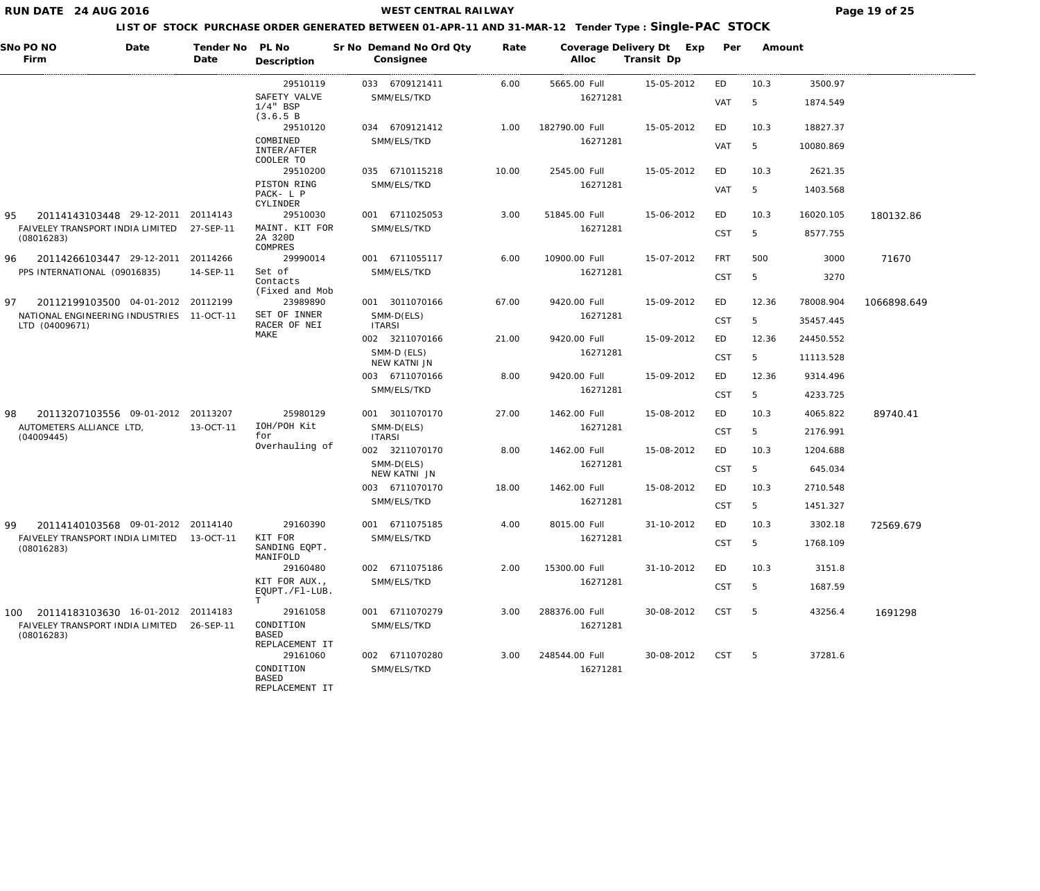| SNo PO NO<br>Firm                                           | Date | Tender No<br>Date | PL No<br>Description                        | Sr No Demand No Ord Qty<br>Consignee | Rate  | Coverage Delivery Dt Exp<br>Alloc | Transit Dp | Per        | Amount |           |             |
|-------------------------------------------------------------|------|-------------------|---------------------------------------------|--------------------------------------|-------|-----------------------------------|------------|------------|--------|-----------|-------------|
|                                                             |      |                   | 29510119                                    | 033 6709121411                       | 6.00  | 5665.00 Full                      | 15-05-2012 | ED         | 10.3   | 3500.97   |             |
|                                                             |      |                   | SAFETY VALVE<br>$1/4$ " BSP<br>(3.6.5 B)    | SMM/ELS/TKD                          |       | 16271281                          |            | VAT        | 5      | 1874.549  |             |
|                                                             |      |                   | 29510120                                    | 034 6709121412                       | 1.00  | 182790.00 Full                    | 15-05-2012 | ED         | 10.3   | 18827.37  |             |
|                                                             |      |                   | COMBINED<br>INTER/AFTER<br>COOLER TO        | SMM/ELS/TKD                          |       | 16271281                          |            | <b>VAT</b> | 5      | 10080.869 |             |
|                                                             |      |                   | 29510200                                    | 035 6710115218                       | 10.00 | 2545.00 Full                      | 15-05-2012 | ED         | 10.3   | 2621.35   |             |
|                                                             |      |                   | PISTON RING<br>PACK- L P<br>CYLINDER        | SMM/ELS/TKD                          |       | 16271281                          |            | <b>VAT</b> | 5      | 1403.568  |             |
| 95<br>20114143103448 29-12-2011                             |      | 20114143          | 29510030                                    | 001 6711025053                       | 3.00  | 51845.00 Full                     | 15-06-2012 | ED         | 10.3   | 16020.105 | 180132.86   |
| FAIVELEY TRANSPORT INDIA LIMITED<br>(08016283)              |      | 27-SEP-11         | MAINT. KIT FOR<br>2A 320D<br>COMPRES        | SMM/ELS/TKD                          |       | 16271281                          |            | <b>CST</b> | 5      | 8577.755  |             |
| 96<br>20114266103447 29-12-2011                             |      | 20114266          | 29990014                                    | 001 6711055117                       | 6.00  | 10900.00 Full                     | 15-07-2012 | FRT        | 500    | 3000      | 71670       |
| PPS INTERNATIONAL (09016835)                                |      | 14-SEP-11         | Set of<br>Contacts<br>(Fixed and Mob        | SMM/ELS/TKD                          |       | 16271281                          |            | <b>CST</b> | 5      | 3270      |             |
| 20112199103500 04-01-2012 20112199<br>97                    |      |                   | 23989890                                    | 001 3011070166                       | 67.00 | 9420.00 Full                      | 15-09-2012 | ED         | 12.36  | 78008.904 | 1066898.649 |
| NATIONAL ENGINEERING INDUSTRIES 11-OCT-11<br>LTD (04009671) |      |                   | SET OF INNER<br>RACER OF NEI                | SMM-D(ELS)<br><b>ITARSI</b>          |       | 16271281                          |            | CST        | 5      | 35457.445 |             |
|                                                             |      |                   | MAKE                                        | 002 3211070166                       | 21.00 | 9420.00 Full                      | 15-09-2012 | ED         | 12.36  | 24450.552 |             |
|                                                             |      |                   |                                             | SMM-D (ELS)<br>NEW KATNI JN          |       | 16271281                          |            | <b>CST</b> | 5      | 11113.528 |             |
|                                                             |      |                   |                                             | 003 6711070166                       | 8.00  | 9420.00 Full                      | 15-09-2012 | ED         | 12.36  | 9314.496  |             |
|                                                             |      |                   |                                             | SMM/ELS/TKD                          |       | 16271281                          |            | <b>CST</b> | 5      | 4233.725  |             |
| 20113207103556 09-01-2012 20113207<br>98                    |      |                   | 25980129                                    | 001 3011070170                       | 27.00 | 1462.00 Full                      | 15-08-2012 | ED         | 10.3   | 4065.822  | 89740.41    |
| AUTOMETERS ALLIANCE LTD,<br>(04009445)                      |      | 13-OCT-11         | IOH/POH Kit<br>for                          | SMM-D(ELS)<br><b>ITARSI</b>          |       | 16271281                          |            | <b>CST</b> | 5      | 2176.991  |             |
|                                                             |      |                   | Overhauling of                              | 002 3211070170                       | 8.00  | 1462.00 Full                      | 15-08-2012 | ED         | 10.3   | 1204.688  |             |
|                                                             |      |                   |                                             | SMM-D(ELS)<br>NEW KATNI JN           |       | 16271281                          |            | <b>CST</b> | 5      | 645.034   |             |
|                                                             |      |                   |                                             | 003 6711070170                       | 18.00 | 1462.00 Full                      | 15-08-2012 | ED         | 10.3   | 2710.548  |             |
|                                                             |      |                   |                                             | SMM/ELS/TKD                          |       | 16271281                          |            | <b>CST</b> | 5      | 1451.327  |             |
| 99<br>20114140103568 09-01-2012 20114140                    |      |                   | 29160390                                    | 001 6711075185                       | 4.00  | 8015.00 Full                      | 31-10-2012 | ED         | 10.3   | 3302.18   | 72569.679   |
| FAIVELEY TRANSPORT INDIA LIMITED 13-OCT-11<br>(08016283)    |      |                   | KIT FOR<br>SANDING EOPT.                    | SMM/ELS/TKD                          |       | 16271281                          |            | <b>CST</b> | 5      | 1768.109  |             |
|                                                             |      |                   | MANIFOLD<br>29160480                        | 002 6711075186                       | 2.00  | 15300.00 Full                     | 31-10-2012 | ED         | 10.3   | 3151.8    |             |
|                                                             |      |                   | KIT FOR AUX.,<br>EQUPT./Fl-LUB.             | SMM/ELS/TKD                          |       | 16271281                          |            | <b>CST</b> | 5      | 1687.59   |             |
| 100 20114183103630 16-01-2012 20114183                      |      |                   | Т<br>29161058                               | 001 6711070279                       | 3.00  | 288376.00 Full                    | 30-08-2012 | <b>CST</b> | -5     | 43256.4   | 1691298     |
| FAIVELEY TRANSPORT INDIA LIMITED 26-SEP-11<br>(08016283)    |      |                   | CONDITION<br><b>BASED</b><br>REPLACEMENT IT | SMM/ELS/TKD                          |       | 16271281                          |            |            |        |           |             |
|                                                             |      |                   | 29161060                                    | 002 6711070280                       | 3.00  | 248544.00 Full                    | 30-08-2012 | CST        | $-5$   | 37281.6   |             |
|                                                             |      |                   | CONDITION<br><b>BASED</b><br>REPLACEMENT IT | SMM/ELS/TKD                          |       | 16271281                          |            |            |        |           |             |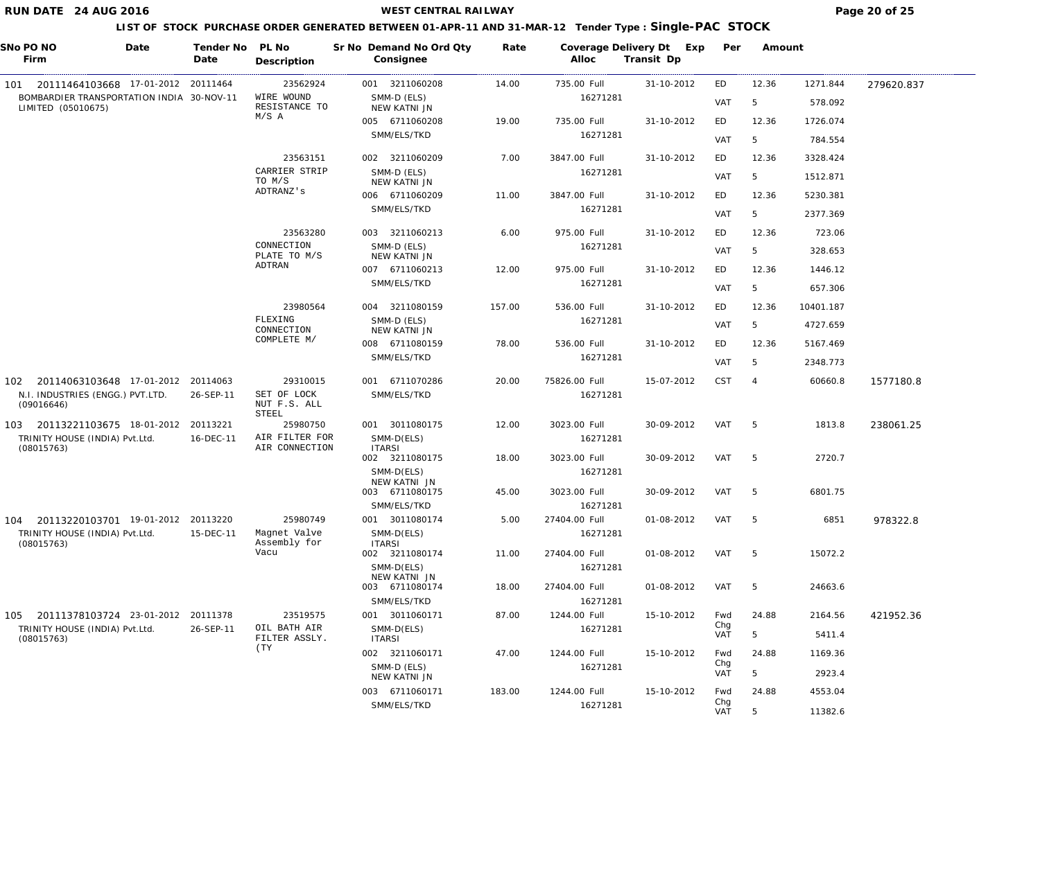**WEST CENTRAL RAILWAY Page 20 of 25** 

|     | SNo PO NO<br>Firm                                               | Date | Tender No<br>Date | PL No<br>Description                 | Sr No Demand No Ord Qty<br>Consignee | Rate   | Coverage Delivery Dt Exp<br>Alloc | Transit Dp | Per               | Amount         |           |            |
|-----|-----------------------------------------------------------------|------|-------------------|--------------------------------------|--------------------------------------|--------|-----------------------------------|------------|-------------------|----------------|-----------|------------|
|     | 101  20111464103668  17-01-2012  20111464                       |      |                   | 23562924                             | 001 3211060208                       | 14.00  | 735.00 Full                       | 31-10-2012 | ED                | 12.36          | 1271.844  | 279620.837 |
|     | BOMBARDIER TRANSPORTATION INDIA 30-NOV-11<br>LIMITED (05010675) |      |                   | WIRE WOUND<br>RESISTANCE TO          | SMM-D (ELS)<br>NEW KATNI JN          |        | 16271281                          |            | <b>VAT</b>        | 5              | 578.092   |            |
|     |                                                                 |      |                   | M/S A                                | 005 6711060208                       | 19.00  | 735.00 Full                       | 31-10-2012 | ED                | 12.36          | 1726.074  |            |
|     |                                                                 |      |                   |                                      | SMM/ELS/TKD                          |        | 16271281                          |            | <b>VAT</b>        | 5              | 784.554   |            |
|     |                                                                 |      |                   | 23563151                             | 002 3211060209                       | 7.00   | 3847.00 Full                      | 31-10-2012 | ED                | 12.36          | 3328.424  |            |
|     |                                                                 |      |                   | CARRIER STRIP<br>TO M/S              | SMM-D (ELS)<br>NEW KATNI JN          |        | 16271281                          |            | <b>VAT</b>        | 5              | 1512.871  |            |
|     |                                                                 |      |                   | ADTRANZ's                            | 006 6711060209                       | 11.00  | 3847.00 Full                      | 31-10-2012 | ED                | 12.36          | 5230.381  |            |
|     |                                                                 |      |                   |                                      | SMM/ELS/TKD                          |        | 16271281                          |            | <b>VAT</b>        | 5              | 2377.369  |            |
|     |                                                                 |      |                   | 23563280                             | 003 3211060213                       | 6.00   | 975.00 Full                       | 31-10-2012 | ED                | 12.36          | 723.06    |            |
|     |                                                                 |      |                   | CONNECTION<br>PLATE TO M/S           | SMM-D (ELS)<br>NEW KATNI JN          |        | 16271281                          |            | <b>VAT</b>        | 5              | 328.653   |            |
|     |                                                                 |      |                   | ADTRAN                               | 007 6711060213                       | 12.00  | 975.00 Full                       | 31-10-2012 | ED                | 12.36          | 1446.12   |            |
|     |                                                                 |      |                   |                                      | SMM/ELS/TKD                          |        | 16271281                          |            | <b>VAT</b>        | 5              | 657.306   |            |
|     |                                                                 |      |                   | 23980564                             | 004 3211080159                       | 157.00 | 536.00 Full                       | 31-10-2012 | ED                | 12.36          | 10401.187 |            |
|     |                                                                 |      |                   | FLEXING<br>CONNECTION                | SMM-D (ELS)<br>NEW KATNI JN          |        | 16271281                          |            | <b>VAT</b>        | 5              | 4727.659  |            |
|     |                                                                 |      |                   | COMPLETE M/                          | 008 6711080159                       | 78.00  | 536.00 Full                       | 31-10-2012 | ED                | 12.36          | 5167.469  |            |
|     |                                                                 |      |                   |                                      | SMM/ELS/TKD                          |        | 16271281                          |            | VAT               | 5              | 2348.773  |            |
| 102 | 20114063103648 17-01-2012 20114063                              |      |                   | 29310015                             | 001 6711070286                       | 20.00  | 75826.00 Full                     | 15-07-2012 | <b>CST</b>        | $\overline{4}$ | 60660.8   | 1577180.8  |
|     | N.I. INDUSTRIES (ENGG.) PVT.LTD.<br>(09016646)                  |      | 26-SEP-11         | SET OF LOCK<br>NUT F.S. ALL<br>STEEL | SMM/ELS/TKD                          |        | 16271281                          |            |                   |                |           |            |
|     | 103 20113221103675 18-01-2012 20113221                          |      |                   | 25980750                             | 001 3011080175                       | 12.00  | 3023.00 Full                      | 30-09-2012 | VAT               | 5              | 1813.8    | 238061.25  |
|     | TRINITY HOUSE (INDIA) Pvt.Ltd.<br>(08015763)                    |      | 16-DEC-11         | AIR FILTER FOR<br>AIR CONNECTION     | SMM-D(ELS)<br><b>ITARSI</b>          |        | 16271281                          |            |                   |                |           |            |
|     |                                                                 |      |                   |                                      | 002 3211080175                       | 18.00  | 3023.00 Full                      | 30-09-2012 | VAT               | -5             | 2720.7    |            |
|     |                                                                 |      |                   |                                      | SMM-D(ELS)<br>NEW KATNI JN           |        | 16271281                          |            |                   |                |           |            |
|     |                                                                 |      |                   |                                      | 003 6711080175<br>SMM/ELS/TKD        | 45.00  | 3023.00 Full<br>16271281          | 30-09-2012 | VAT               | -5             | 6801.75   |            |
| 104 | 20113220103701 19-01-2012 20113220                              |      |                   | 25980749                             | 001 3011080174                       | 5.00   | 27404.00 Full                     | 01-08-2012 | VAT               | 5              | 6851      | 978322.8   |
|     | TRINITY HOUSE (INDIA) Pvt.Ltd.                                  |      | 15-DEC-11         | Magnet Valve                         | SMM-D(ELS)                           |        | 16271281                          |            |                   |                |           |            |
|     | (08015763)                                                      |      |                   | Assembly for<br>Vacu                 | <b>ITARSI</b><br>002 3211080174      | 11.00  | 27404.00 Full                     | 01-08-2012 | VAT               | -5             | 15072.2   |            |
|     |                                                                 |      |                   |                                      | SMM-D(ELS)                           |        | 16271281                          |            |                   |                |           |            |
|     |                                                                 |      |                   |                                      | NEW KATNI JN<br>003 6711080174       | 18.00  | 27404.00 Full                     | 01-08-2012 | VAT               | 5              | 24663.6   |            |
|     |                                                                 |      |                   |                                      | SMM/ELS/TKD                          |        | 16271281                          |            |                   |                |           |            |
| 105 | 20111378103724 23-01-2012 20111378                              |      |                   | 23519575                             | 001 3011060171                       | 87.00  | 1244.00 Full                      | 15-10-2012 | Fwd<br>Chg        | 24.88          | 2164.56   | 421952.36  |
|     | TRINITY HOUSE (INDIA) Pvt.Ltd.<br>(08015763)                    |      | 26-SEP-11         | OIL BATH AIR<br>FILTER ASSLY.        | SMM-D(ELS)<br><b>ITARSI</b>          |        | 16271281                          |            | <b>VAT</b>        | 5              | 5411.4    |            |
|     |                                                                 |      |                   | (TY                                  | 002 3211060171                       | 47.00  | 1244.00 Full                      | 15-10-2012 | Fwd               | 24.88          | 1169.36   |            |
|     |                                                                 |      |                   |                                      | SMM-D (ELS)<br>NEW KATNI JN          |        | 16271281                          |            | Chg<br><b>VAT</b> | 5              | 2923.4    |            |
|     |                                                                 |      |                   |                                      | 003 6711060171                       | 183.00 | 1244.00 Full                      | 15-10-2012 | Fwd               | 24.88          | 4553.04   |            |
|     |                                                                 |      |                   |                                      | SMM/ELS/TKD                          |        | 16271281                          |            | Chg<br><b>VAT</b> | 5              | 11382.6   |            |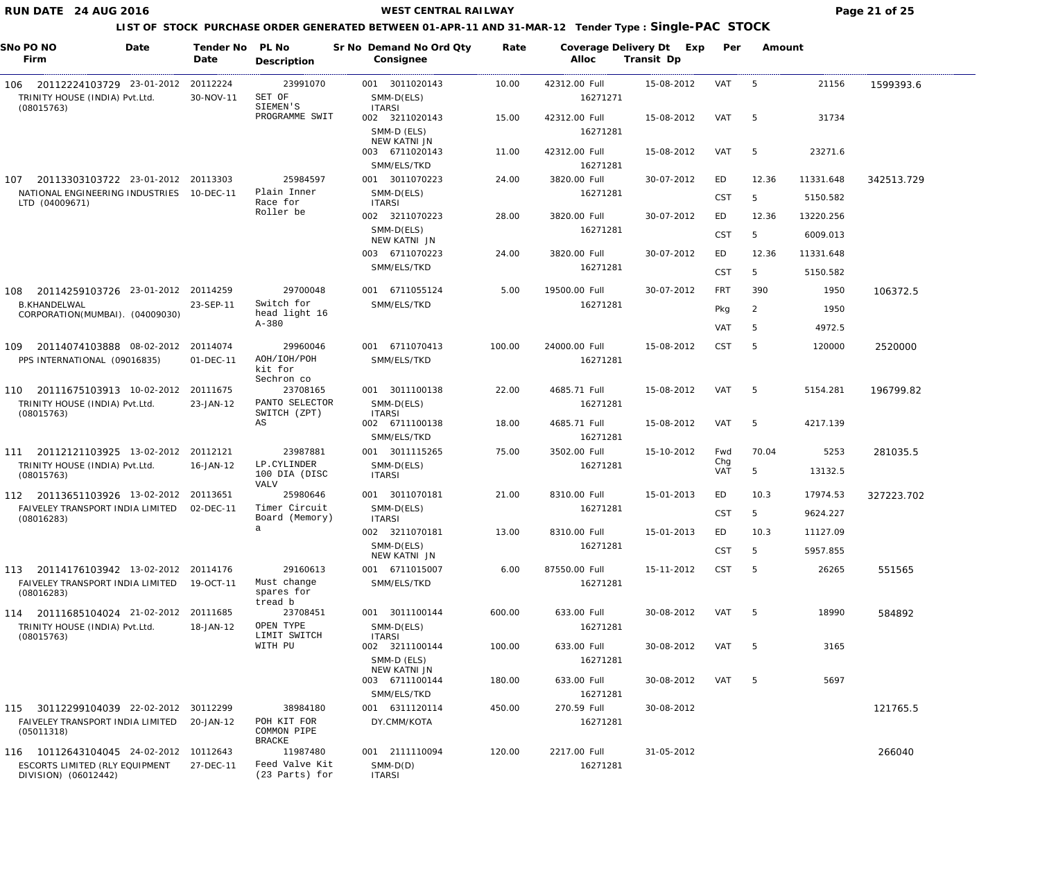**WEST CENTRAL RAILWAY Page 21 of 25** 

| SNo PO NO<br>Date<br>Firm                                                        | Tender No<br>Date     | PL No<br>Description                        | Sr No Demand No Ord Qty<br>Consignee          | Rate   | Alloc                     | Coverage Delivery Dt Exp<br>Transit Dp | Per               | Amount     |                       |            |
|----------------------------------------------------------------------------------|-----------------------|---------------------------------------------|-----------------------------------------------|--------|---------------------------|----------------------------------------|-------------------|------------|-----------------------|------------|
| 20112224103729 23-01-2012<br>106<br>TRINITY HOUSE (INDIA) Pvt.Ltd.<br>(08015763) | 20112224<br>30-NOV-11 | 23991070<br>SET OF<br>SIEMEN'S              | 001 3011020143<br>SMM-D(ELS)<br><b>ITARSI</b> | 10.00  | 42312.00 Full<br>16271271 | 15-08-2012                             | VAT               | - 5        | 21156                 | 1599393.6  |
|                                                                                  |                       | PROGRAMME SWIT                              | 002 3211020143<br>SMM-D (ELS)                 | 15.00  | 42312.00 Full<br>16271281 | 15-08-2012                             | VAT               | -5         | 31734                 |            |
|                                                                                  |                       |                                             | NEW KATNI JN<br>003 6711020143<br>SMM/ELS/TKD | 11.00  | 42312.00 Full<br>16271281 | 15-08-2012                             | VAT               | 5          | 23271.6               |            |
| 20113303103722 23-01-2012 20113303<br>107                                        |                       | 25984597                                    | 001 3011070223                                | 24.00  | 3820.00 Full              | 30-07-2012                             | ED                | 12.36      | 11331.648             | 342513.729 |
| NATIONAL ENGINEERING INDUSTRIES 10-DEC-11<br>LTD (04009671)                      |                       | Plain Inner<br>Race for                     | SMM-D(ELS)<br><b>ITARSI</b>                   |        | 16271281                  |                                        | <b>CST</b>        | 5          | 5150.582              |            |
|                                                                                  |                       | Roller be                                   | 002 3211070223<br>SMM-D(ELS)                  | 28.00  | 3820.00 Full<br>16271281  | 30-07-2012                             | ED<br><b>CST</b>  | 12.36<br>5 | 13220.256<br>6009.013 |            |
|                                                                                  |                       |                                             | NEW KATNI JN                                  |        |                           |                                        |                   |            |                       |            |
|                                                                                  |                       |                                             | 003 6711070223<br>SMM/ELS/TKD                 | 24.00  | 3820.00 Full<br>16271281  | 30-07-2012                             | ED<br><b>CST</b>  | 12.36<br>5 | 11331.648<br>5150.582 |            |
|                                                                                  |                       |                                             |                                               |        |                           |                                        |                   |            |                       |            |
| 20114259103726 23-01-2012<br>108<br><b>B.KHANDELWAL</b>                          | 20114259<br>23-SEP-11 | 29700048<br>Switch for                      | 001 6711055124<br>SMM/ELS/TKD                 | 5.00   | 19500.00 Full<br>16271281 | 30-07-2012                             | <b>FRT</b>        | 390        | 1950                  | 106372.5   |
| CORPORATION(MUMBAI). (04009030)                                                  |                       | head light 16                               |                                               |        |                           |                                        | Pkg               | 2          | 1950                  |            |
|                                                                                  |                       | $A - 380$                                   |                                               |        |                           |                                        | <b>VAT</b>        | 5          | 4972.5                |            |
| 20114074103888 08-02-2012<br>109                                                 | 20114074              | 29960046                                    | 001 6711070413                                | 100.00 | 24000.00 Full             | 15-08-2012                             | <b>CST</b>        | 5          | 120000                | 2520000    |
| PPS INTERNATIONAL (09016835)                                                     | 01-DEC-11             | AOH/IOH/POH<br>kit for                      | SMM/ELS/TKD                                   |        | 16271281                  |                                        |                   |            |                       |            |
| 20111675103913 10-02-2012<br>110                                                 | 20111675              | Sechron co<br>23708165                      | 001 3011100138                                | 22.00  | 4685.71 Full              | 15-08-2012                             | VAT               | -5         | 5154.281              | 196799.82  |
| TRINITY HOUSE (INDIA) Pvt.Ltd.<br>(08015763)                                     | 23-JAN-12             | PANTO SELECTOR<br>SWITCH (ZPT)              | SMM-D(ELS)<br><b>ITARSI</b>                   |        | 16271281                  |                                        |                   |            |                       |            |
|                                                                                  |                       | AS                                          | 002 6711100138<br>SMM/ELS/TKD                 | 18.00  | 4685.71 Full<br>16271281  | 15-08-2012                             | VAT               | 5          | 4217.139              |            |
| 20112121103925 13-02-2012<br>111                                                 | 20112121              | 23987881                                    | 001 3011115265                                | 75.00  | 3502.00 Full              | 15-10-2012                             | Fwd               | 70.04      | 5253                  | 281035.5   |
| TRINITY HOUSE (INDIA) Pvt.Ltd.<br>(08015763)                                     | 16-JAN-12             | LP.CYLINDER<br>100 DIA (DISC                | SMM-D(ELS)<br><b>ITARSI</b>                   |        | 16271281                  |                                        | Chg<br><b>VAT</b> | 5          | 13132.5               |            |
| 112 20113651103926 13-02-2012 20113651                                           |                       | VALV<br>25980646                            | 3011070181<br>001                             | 21.00  | 8310.00 Full              | 15-01-2013                             | ED                | 10.3       | 17974.53              | 327223.702 |
| FAIVELEY TRANSPORT INDIA LIMITED 02-DEC-11<br>(08016283)                         |                       | Timer Circuit<br>Board (Memory)             | SMM-D(ELS)<br><b>ITARSI</b>                   |        | 16271281                  |                                        | <b>CST</b>        | -5         | 9624.227              |            |
|                                                                                  |                       | $\mathsf{a}$                                | 002 3211070181                                | 13.00  | 8310.00 Full              | 15-01-2013                             | ED                | 10.3       | 11127.09              |            |
|                                                                                  |                       |                                             | SMM-D(ELS)<br>NEW KATNI JN                    |        | 16271281                  |                                        | <b>CST</b>        | 5          | 5957.855              |            |
| 113 20114176103942 13-02-2012 20114176                                           |                       | 29160613                                    | 001 6711015007                                | 6.00   | 87550.00 Full             | 15-11-2012                             | <b>CST</b>        | 5          | 26265                 | 551565     |
| FAIVELEY TRANSPORT INDIA LIMITED<br>(08016283)                                   | 19-OCT-11             | Must change<br>spares for<br>tread b        | SMM/ELS/TKD                                   |        | 16271281                  |                                        |                   |            |                       |            |
| 114 20111685104024 21-02-2012                                                    | 20111685              | 23708451                                    | 001 3011100144                                | 600.00 | 633.00 Full               | 30-08-2012                             | VAT               | - 5        | 18990                 | 584892     |
| TRINITY HOUSE (INDIA) Pvt.Ltd.<br>(08015763)                                     | 18-JAN-12             | OPEN TYPE<br>LIMIT SWITCH                   | SMM-D(ELS)<br><b>ITARSI</b>                   |        | 16271281                  |                                        |                   |            |                       |            |
|                                                                                  |                       | WITH PU                                     | 002 3211100144                                | 100.00 | 633.00 Full               | 30-08-2012                             | VAT               | - 5        | 3165                  |            |
|                                                                                  |                       |                                             | SMM-D (ELS)<br>NEW KATNI JN<br>003 6711100144 | 180.00 | 16271281<br>633.00 Full   | 30-08-2012                             | VAT               | - 5        | 5697                  |            |
|                                                                                  |                       |                                             | SMM/ELS/TKD                                   |        | 16271281                  |                                        |                   |            |                       |            |
| 115 30112299104039 22-02-2012 30112299                                           |                       | 38984180                                    | 001 6311120114                                | 450.00 | 270.59 Full               | 30-08-2012                             |                   |            |                       | 121765.5   |
| FAIVELEY TRANSPORT INDIA LIMITED<br>(05011318)                                   | 20-JAN-12             | POH KIT FOR<br>COMMON PIPE<br><b>BRACKE</b> | DY.CMM/KOTA                                   |        | 16271281                  |                                        |                   |            |                       |            |
| 116 10112643104045 24-02-2012                                                    | 10112643              | 11987480                                    | 001 2111110094                                | 120.00 | 2217.00 Full              | 31-05-2012                             |                   |            |                       | 266040     |
| ESCORTS LIMITED (RLY EQUIPMENT<br>DIVISION) (06012442)                           | 27-DEC-11             | Feed Valve Kit<br>(23 Parts) for            | $SMM-D(D)$<br><b>ITARSI</b>                   |        | 16271281                  |                                        |                   |            |                       |            |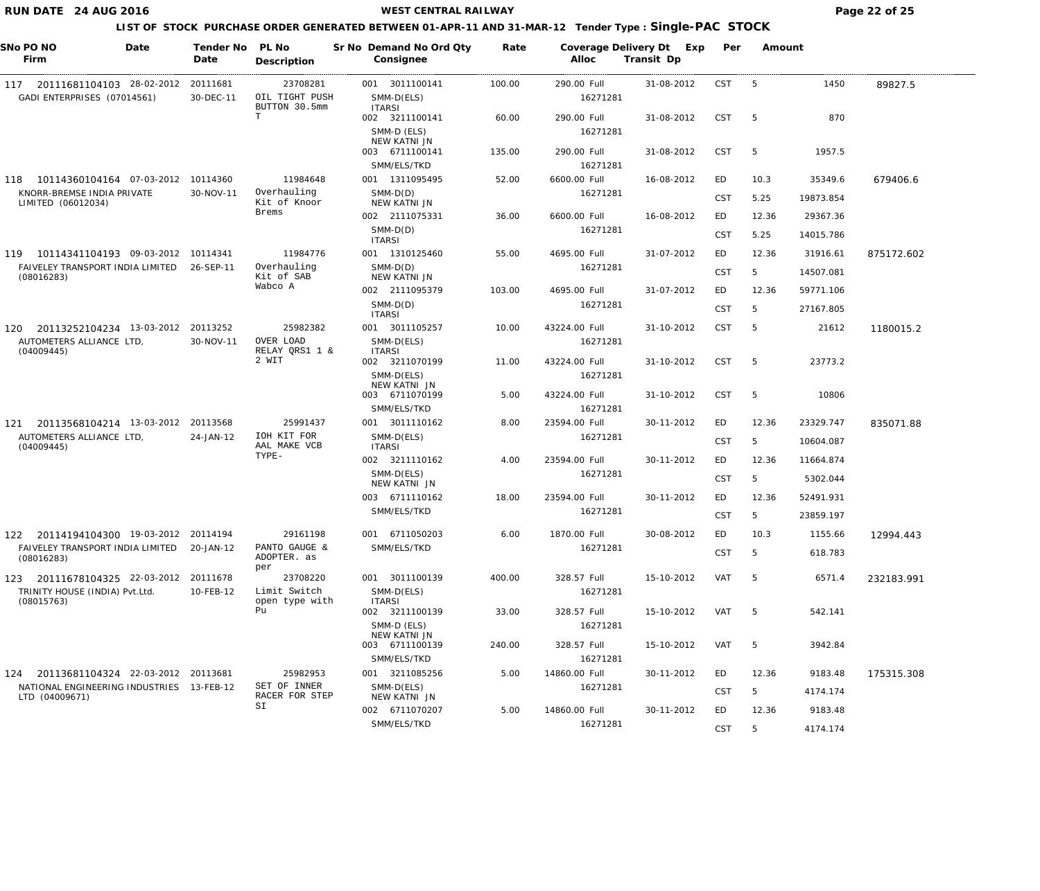**WEST CENTRAL RAILWAY Page 22 of 25** 

| Sr No Demand No Ord Qty<br>Coverage Delivery Dt Exp<br>Alloc<br>Transit Dp<br>Firm<br>Date<br>Consignee<br>Description                                                                                                        |                    |            |
|-------------------------------------------------------------------------------------------------------------------------------------------------------------------------------------------------------------------------------|--------------------|------------|
| 23708281<br>290.00 Full<br><b>CST</b><br>20111681<br>001 3011100141<br>100.00<br>31-08-2012<br>-5<br>20111681104103 28-02-2012<br>117<br>OIL TIGHT PUSH<br>GADI ENTERPRISES (07014561)<br>30-DEC-11<br>SMM-D(ELS)<br>16271281 | 1450               | 89827.5    |
| BUTTON 30.5mm<br><b>ITARSI</b><br>T<br>002 3211100141<br>60.00<br>290.00 Full<br>31-08-2012<br><b>CST</b><br>5                                                                                                                | 870                |            |
| SMM-D (ELS)<br>16271281<br>NEW KATNI JN<br>003 6711100141<br>135.00<br>290.00 Full<br>31-08-2012<br><b>CST</b><br>-5                                                                                                          | 1957.5             |            |
| SMM/ELS/TKD<br>16271281                                                                                                                                                                                                       |                    |            |
| 11984648<br>001 1311095495<br>52.00<br>6600.00 Full<br>16-08-2012<br>10114360104164 07-03-2012 10114360<br>ED<br>10.3<br>118                                                                                                  | 35349.6            | 679406.6   |
| Overhauling<br>KNORR-BREMSE INDIA PRIVATE<br>30-NOV-11<br>$SMM-D(D)$<br>16271281<br><b>CST</b><br>5.25<br>Kit of Knoor<br>NEW KATNI JN<br>LIMITED (06012034)                                                                  | 19873.854          |            |
| Brems<br>002 2111075331<br>36.00<br>16-08-2012<br>ED<br>6600.00 Full                                                                                                                                                          | 12.36<br>29367.36  |            |
| $SMM-D(D)$<br>16271281<br><b>CST</b><br>5.25<br><b>ITARSI</b>                                                                                                                                                                 | 14015.786          |            |
| 11984776<br>001 1310125460<br>55.00<br>4695.00 Full<br>31-07-2012<br>ED.<br>119 10114341104193 09-03-2012 10114341                                                                                                            | 12.36<br>31916.61  | 875172.602 |
| Overhauling<br>FAIVELEY TRANSPORT INDIA LIMITED<br>26-SEP-11<br>$SMM-D(D)$<br>16271281<br><b>CST</b><br>5<br>Kit of SAB<br>NEW KATNI JN<br>(08016283)                                                                         | 14507.081          |            |
| Wabco A<br>002 2111095379<br>103.00<br>4695.00 Full<br>31-07-2012<br>ED                                                                                                                                                       | 12.36<br>59771.106 |            |
| $SMM-D(D)$<br>16271281<br><b>CST</b><br>5<br><b>ITARSI</b>                                                                                                                                                                    | 27167.805          |            |
| 25982382<br>001 3011105257<br>10.00<br><b>CST</b><br>20113252104234 13-03-2012 20113252<br>43224.00 Full<br>31-10-2012<br>5<br>120                                                                                            | 21612              | 1180015.2  |
| OVER LOAD<br>AUTOMETERS ALLIANCE LTD,<br>30-NOV-11<br>SMM-D(ELS)<br>16271281<br>RELAY QRS1 1 &<br><b>ITARSI</b><br>(04009445)                                                                                                 |                    |            |
| 2 WIT<br>002 3211070199<br>11.00<br>43224.00 Full<br>31-10-2012<br><b>CST</b><br>-5<br>SMM-D(ELS)<br>16271281                                                                                                                 | 23773.2            |            |
| NEW KATNI JN<br>003 6711070199<br>5.00<br>43224.00 Full<br><b>CST</b><br>5<br>31-10-2012                                                                                                                                      | 10806              |            |
| SMM/ELS/TKD<br>16271281                                                                                                                                                                                                       |                    |            |
| 25991437<br>001 3011110162<br>8.00<br>23594.00 Full<br>20113568104214 13-03-2012 20113568<br>30-11-2012<br>ED<br>121<br>IOH KIT FOR                                                                                           | 12.36<br>23329.747 | 835071.88  |
| AUTOMETERS ALLIANCE LTD,<br>SMM-D(ELS)<br>16271281<br>24-JAN-12<br><b>CST</b><br>5<br>AAL MAKE VCB<br>(04009445)<br><b>ITARSI</b>                                                                                             | 10604.087          |            |
| TYPE-<br>002 3211110162<br>4.00<br>23594.00 Full<br>30-11-2012<br>ED                                                                                                                                                          | 12.36<br>11664.874 |            |
| SMM-D(ELS)<br>16271281<br><b>CST</b><br>5<br>NEW KATNI JN                                                                                                                                                                     | 5302.044           |            |
| 23594.00 Full<br>30-11-2012<br>003 6711110162<br>18.00<br>ED                                                                                                                                                                  | 52491.931<br>12.36 |            |
| SMM/ELS/TKD<br>16271281<br><b>CST</b><br>5                                                                                                                                                                                    | 23859.197          |            |
| 6.00<br>29161198<br>001 6711050203<br>1870.00 Full<br>30-08-2012<br>ED<br>10.3<br>122 20114194104300 19-03-2012 20114194                                                                                                      | 1155.66            | 12994.443  |
| PANTO GAUGE &<br>16271281<br>FAIVELEY TRANSPORT INDIA LIMITED<br>20-JAN-12<br>SMM/ELS/TKD<br><b>CST</b><br>5<br>ADOPTER. as<br>(08016283)<br>per                                                                              | 618.783            |            |
| 23708220<br>001 3011100139<br>400.00<br>328.57 Full<br>15-10-2012<br>VAT<br>5<br>20111678104325 22-03-2012<br>20111678<br>123                                                                                                 | 6571.4             | 232183.991 |
| Limit Switch<br>TRINITY HOUSE (INDIA) Pvt.Ltd.<br>10-FEB-12<br>SMM-D(ELS)<br>16271281<br>open type with<br><b>ITARSI</b><br>(08015763)                                                                                        |                    |            |
| Pu<br>002 3211100139<br>33.00<br>328.57 Full<br>VAT<br>15-10-2012<br>5                                                                                                                                                        | 542.141            |            |
| SMM-D (ELS)<br>16271281<br>NEW KATNI JN                                                                                                                                                                                       |                    |            |
| 003 6711100139<br>328.57 Full<br>240.00<br>15-10-2012<br>VAT<br>5                                                                                                                                                             | 3942.84            |            |
| SMM/ELS/TKD<br>16271281<br>25982953<br>001 3211085256<br>5.00<br>20113681104324 22-03-2012 20113681<br>14860.00 Full<br>30-11-2012<br>ED<br>124                                                                               | 12.36<br>9183.48   | 175315.308 |
| SET OF INNER<br>NATIONAL ENGINEERING INDUSTRIES 13-FEB-12<br>SMM-D(ELS)<br>16271281<br><b>CST</b><br>5<br>RACER FOR STEP<br>NEW KATNI JN<br>LTD (04009671)                                                                    | 4174.174           |            |
| SI<br>002 6711070207<br>5.00<br>14860.00 Full<br>30-11-2012<br>ED                                                                                                                                                             | 12.36<br>9183.48   |            |
| SMM/ELS/TKD<br>16271281<br><b>CST</b><br>5                                                                                                                                                                                    | 4174.174           |            |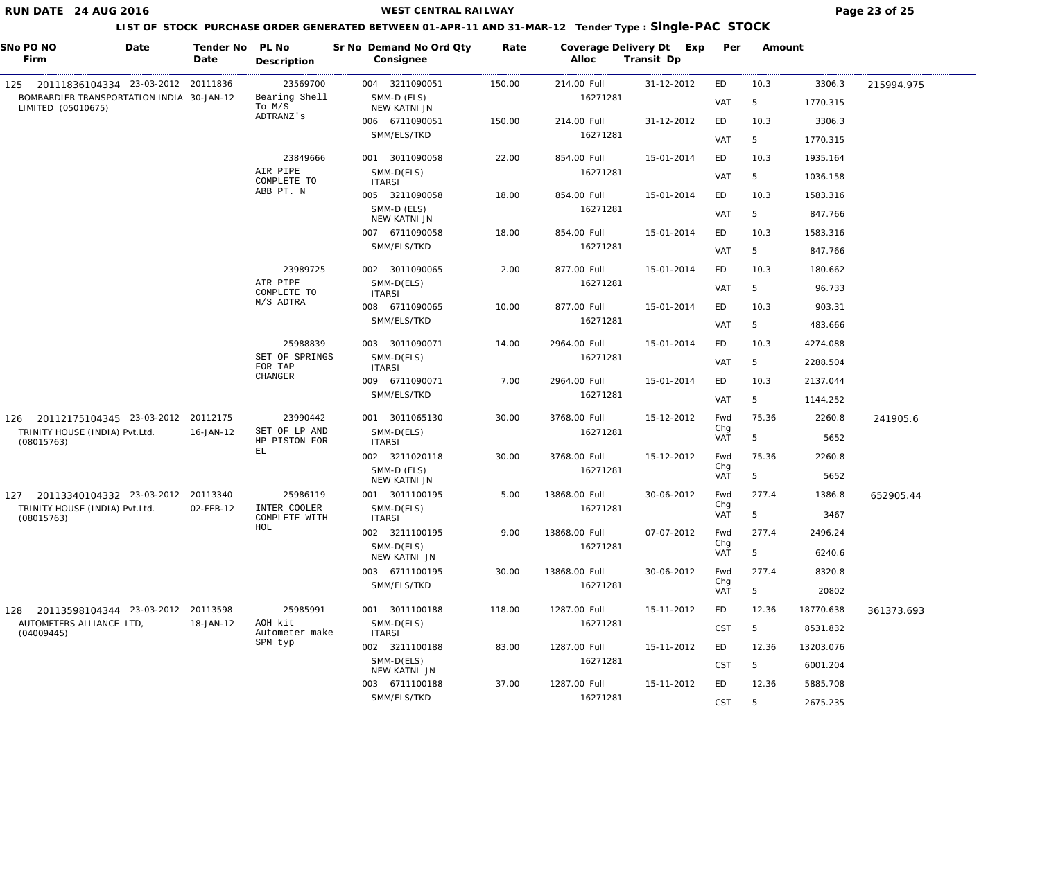**WEST CENTRAL RAILWAY Page 23 of 25** 

| SNo PO NO<br>Firm                                               | Date | Tender No<br>Date | PL No<br>Description           | Sr No Demand No Ord Qty<br>Consignee | Rate   | Coverage Delivery Dt Exp<br>Alloc | Transit Dp | Per               | Amount |           |            |
|-----------------------------------------------------------------|------|-------------------|--------------------------------|--------------------------------------|--------|-----------------------------------|------------|-------------------|--------|-----------|------------|
| 125 20111836104334 23-03-2012 20111836                          |      |                   | 23569700                       | 004 3211090051                       | 150.00 | 214.00 Full                       | 31-12-2012 | ED                | 10.3   | 3306.3    | 215994.975 |
| BOMBARDIER TRANSPORTATION INDIA 30-JAN-12<br>LIMITED (05010675) |      |                   | Bearing Shell<br>To M/S        | SMM-D (ELS)<br>NEW KATNI JN          |        | 16271281                          |            | VAT               | 5      | 1770.315  |            |
|                                                                 |      |                   | ADTRANZ's                      | 006 6711090051                       | 150.00 | 214.00 Full                       | 31-12-2012 | ED                | 10.3   | 3306.3    |            |
|                                                                 |      |                   |                                | SMM/ELS/TKD                          |        | 16271281                          |            | VAT               | 5      | 1770.315  |            |
|                                                                 |      |                   | 23849666                       | 001 3011090058                       | 22.00  | 854.00 Full                       | 15-01-2014 | ED                | 10.3   | 1935.164  |            |
|                                                                 |      |                   | AIR PIPE<br>COMPLETE TO        | SMM-D(ELS)<br><b>ITARSI</b>          |        | 16271281                          |            | VAT               | 5      | 1036.158  |            |
|                                                                 |      |                   | ABB PT. N                      | 005 3211090058                       | 18.00  | 854.00 Full                       | 15-01-2014 | ED                | 10.3   | 1583.316  |            |
|                                                                 |      |                   |                                | SMM-D (ELS)<br>NEW KATNI JN          |        | 16271281                          |            | VAT               | 5      | 847.766   |            |
|                                                                 |      |                   |                                | 007 6711090058                       | 18.00  | 854.00 Full                       | 15-01-2014 | ED                | 10.3   | 1583.316  |            |
|                                                                 |      |                   |                                | SMM/ELS/TKD                          |        | 16271281                          |            | VAT               | 5      | 847.766   |            |
|                                                                 |      |                   | 23989725                       | 002 3011090065                       | 2.00   | 877.00 Full                       | 15-01-2014 | ED                | 10.3   | 180.662   |            |
|                                                                 |      |                   | AIR PIPE                       | SMM-D(ELS)                           |        | 16271281                          |            | VAT               | 5      | 96.733    |            |
|                                                                 |      |                   | COMPLETE TO<br>M/S ADTRA       | <b>ITARSI</b><br>008 6711090065      | 10.00  | 877.00 Full                       | 15-01-2014 | ED                | 10.3   | 903.31    |            |
|                                                                 |      |                   |                                | SMM/ELS/TKD                          |        | 16271281                          |            |                   |        |           |            |
|                                                                 |      |                   |                                |                                      |        |                                   |            | VAT               | 5      | 483.666   |            |
|                                                                 |      |                   | 25988839<br>SET OF SPRINGS     | 003 3011090071<br>SMM-D(ELS)         | 14.00  | 2964.00 Full<br>16271281          | 15-01-2014 | ED                | 10.3   | 4274.088  |            |
|                                                                 |      |                   | FOR TAP<br>CHANGER             | <b>ITARSI</b>                        |        |                                   |            | VAT               | 5      | 2288.504  |            |
|                                                                 |      |                   |                                | 009 6711090071                       | 7.00   | 2964.00 Full                      | 15-01-2014 | ED                | 10.3   | 2137.044  |            |
|                                                                 |      |                   |                                | SMM/ELS/TKD                          |        | 16271281                          |            | VAT               | 5      | 1144.252  |            |
| 126 20112175104345 23-03-2012 20112175                          |      |                   | 23990442                       | 001 3011065130                       | 30.00  | 3768.00 Full                      | 15-12-2012 | Fwd<br>Chg        | 75.36  | 2260.8    | 241905.6   |
| TRINITY HOUSE (INDIA) Pvt.Ltd.<br>(08015763)                    |      | 16-JAN-12         | SET OF LP AND<br>HP PISTON FOR | SMM-D(ELS)<br><b>ITARSI</b>          |        | 16271281                          |            | <b>VAT</b>        | 5      | 5652      |            |
|                                                                 |      |                   | EL                             | 002 3211020118                       | 30.00  | 3768.00 Full                      | 15-12-2012 | Fwd<br>Chg        | 75.36  | 2260.8    |            |
|                                                                 |      |                   |                                | SMM-D (ELS)<br>NEW KATNI JN          |        | 16271281                          |            | <b>VAT</b>        | 5      | 5652      |            |
| 127 20113340104332 23-03-2012 20113340                          |      |                   | 25986119                       | 001 3011100195                       | 5.00   | 13868.00 Full                     | 30-06-2012 | Fwd               | 277.4  | 1386.8    | 652905.44  |
| TRINITY HOUSE (INDIA) Pvt.Ltd.<br>(08015763)                    |      | 02-FEB-12         | INTER COOLER<br>COMPLETE WITH  | SMM-D(ELS)<br><b>ITARSI</b>          |        | 16271281                          |            | Chg<br><b>VAT</b> | 5      | 3467      |            |
|                                                                 |      |                   | HOL                            | 002 3211100195                       | 9.00   | 13868.00 Full                     | 07-07-2012 | Fwd               | 277.4  | 2496.24   |            |
|                                                                 |      |                   |                                | SMM-D(ELS)<br>NEW KATNI JN           |        | 16271281                          |            | Chg<br><b>VAT</b> | 5      | 6240.6    |            |
|                                                                 |      |                   |                                | 003 6711100195                       | 30.00  | 13868.00 Full                     | 30-06-2012 | Fwd               | 277.4  | 8320.8    |            |
|                                                                 |      |                   |                                | SMM/ELS/TKD                          |        | 16271281                          |            | Chg<br><b>VAT</b> | 5      | 20802     |            |
| 128 20113598104344 23-03-2012 20113598                          |      |                   | 25985991                       | 001 3011100188                       | 118.00 | 1287.00 Full                      | 15-11-2012 | ED                | 12.36  | 18770.638 | 361373.693 |
| AUTOMETERS ALLIANCE LTD,<br>(04009445)                          |      | 18-JAN-12         | AOH kit<br>Autometer make      | SMM-D(ELS)<br><b>ITARSI</b>          |        | 16271281                          |            | <b>CST</b>        | 5      | 8531.832  |            |
|                                                                 |      |                   | SPM typ                        | 002 3211100188                       | 83.00  | 1287.00 Full                      | 15-11-2012 | ED                | 12.36  | 13203.076 |            |
|                                                                 |      |                   |                                | SMM-D(ELS)                           |        | 16271281                          |            | <b>CST</b>        | 5      | 6001.204  |            |
|                                                                 |      |                   |                                | NEW KATNI JN<br>003 6711100188       | 37.00  | 1287.00 Full                      | 15-11-2012 | ED                | 12.36  | 5885.708  |            |
|                                                                 |      |                   |                                | SMM/ELS/TKD                          |        | 16271281                          |            | CST               | 5      | 2675.235  |            |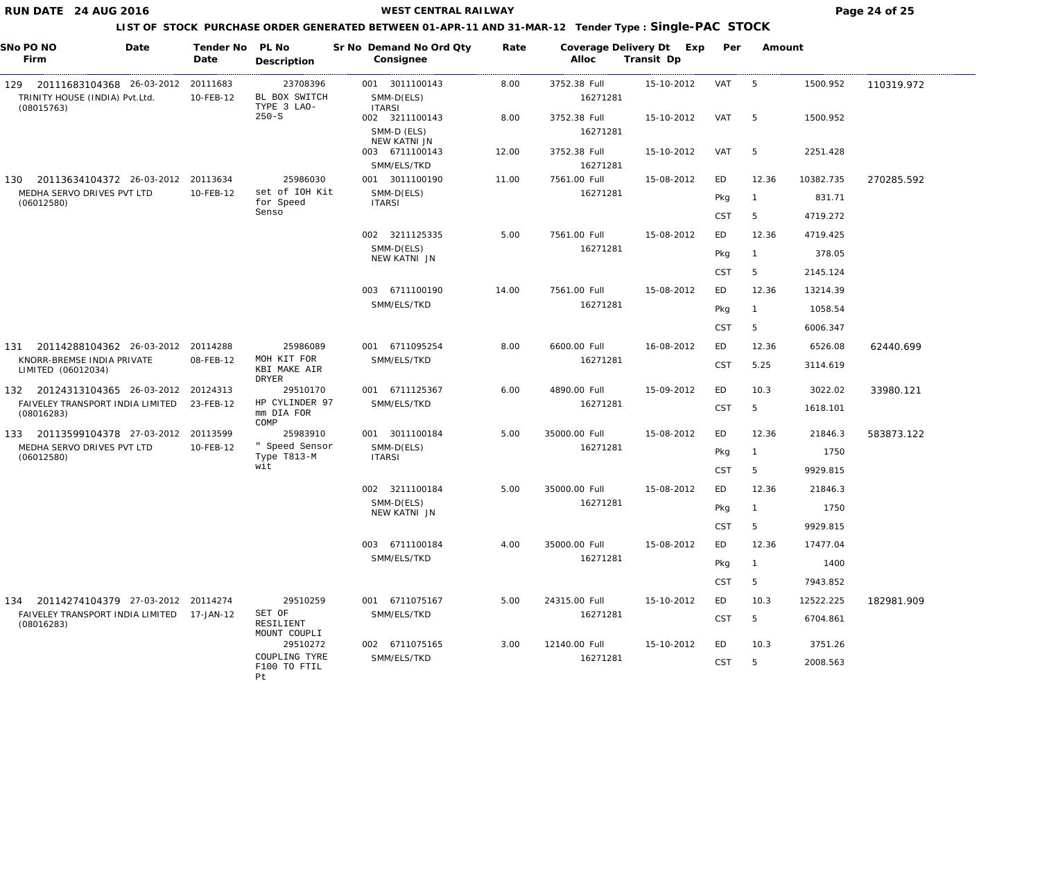**WEST CENTRAL RAILWAY Page 24 of 25** 

| SNo PO NO<br>Firm                                               | Date | Tender No<br>Date     | PL No<br>Description                 | Sr No Demand No Ord Qty<br>Consignee           | Rate  | Coverage Delivery Dt Exp<br>Alloc | Transit Dp | Per        | Amount         |           |            |
|-----------------------------------------------------------------|------|-----------------------|--------------------------------------|------------------------------------------------|-------|-----------------------------------|------------|------------|----------------|-----------|------------|
| 129 20111683104368 26-03-2012<br>TRINITY HOUSE (INDIA) Pvt.Ltd. |      | 20111683<br>10-FEB-12 | 23708396<br>BL BOX SWITCH            | 001 3011100143<br>SMM-D(ELS)                   | 8.00  | 3752.38 Full<br>16271281          | 15-10-2012 | VAT        | - 5            | 1500.952  | 110319.972 |
| (08015763)                                                      |      |                       | TYPE 3 LAO-<br>$250-S$               | <b>ITARSI</b><br>002 3211100143<br>SMM-D (ELS) | 8.00  | 3752.38 Full<br>16271281          | 15-10-2012 | VAT        | - 5            | 1500.952  |            |
|                                                                 |      |                       |                                      | NEW KATNI JN<br>003 6711100143<br>SMM/ELS/TKD  | 12.00 | 3752.38 Full<br>16271281          | 15-10-2012 | VAT        | -5             | 2251.428  |            |
| 20113634104372 26-03-2012<br>130                                |      | 20113634              | 25986030                             | 001 3011100190                                 | 11.00 | 7561.00 Full                      | 15-08-2012 | ED         | 12.36          | 10382.735 | 270285.592 |
| MEDHA SERVO DRIVES PVT LTD<br>(06012580)                        |      | 10-FEB-12             | set of IOH Kit<br>for Speed          | SMM-D(ELS)<br><b>ITARSI</b>                    |       | 16271281                          |            | Pkg        | $\overline{1}$ | 831.71    |            |
|                                                                 |      |                       | Senso                                |                                                |       |                                   |            | <b>CST</b> | 5              | 4719.272  |            |
|                                                                 |      |                       |                                      | 002 3211125335<br>SMM-D(ELS)                   | 5.00  | 7561.00 Full<br>16271281          | 15-08-2012 | ED         | 12.36          | 4719.425  |            |
|                                                                 |      |                       |                                      | NEW KATNI JN                                   |       |                                   |            | Pkg        | $\overline{1}$ | 378.05    |            |
|                                                                 |      |                       |                                      |                                                |       |                                   |            | <b>CST</b> | 5              | 2145.124  |            |
|                                                                 |      |                       |                                      | 003 6711100190                                 | 14.00 | 7561.00 Full                      | 15-08-2012 | ED         | 12.36          | 13214.39  |            |
|                                                                 |      |                       |                                      | SMM/ELS/TKD                                    |       | 16271281                          |            | Pkg        | $\overline{1}$ | 1058.54   |            |
|                                                                 |      |                       |                                      |                                                |       |                                   |            | <b>CST</b> | 5              | 6006.347  |            |
| 20114288104362 26-03-2012<br>131                                |      | 20114288              | 25986089                             | 001 6711095254                                 | 8.00  | 6600.00 Full                      | 16-08-2012 | ED         | 12.36          | 6526.08   | 62440.699  |
| KNORR-BREMSE INDIA PRIVATE<br>LIMITED (06012034)                |      | 08-FEB-12             | MOH KIT FOR<br>KBI MAKE AIR<br>DRYER | SMM/ELS/TKD                                    |       | 16271281                          |            | <b>CST</b> | 5.25           | 3114.619  |            |
| 132 20124313104365 26-03-2012                                   |      | 20124313              | 29510170                             | 001 6711125367                                 | 6.00  | 4890.00 Full                      | 15-09-2012 | ED         | 10.3           | 3022.02   | 33980.121  |
| FAIVELEY TRANSPORT INDIA LIMITED<br>(08016283)                  |      | 23-FEB-12             | HP CYLINDER 97<br>mm DIA FOR<br>COMP | SMM/ELS/TKD                                    |       | 16271281                          |            | <b>CST</b> | 5              | 1618.101  |            |
| 133 20113599104378 27-03-2012                                   |      | 20113599              | 25983910                             | 001 3011100184                                 | 5.00  | 35000.00 Full                     | 15-08-2012 | ED         | 12.36          | 21846.3   | 583873.122 |
| MEDHA SERVO DRIVES PVT LTD<br>(06012580)                        |      | 10-FEB-12             | " Speed Sensor<br>Type T813-M        | SMM-D(ELS)<br><b>ITARSI</b>                    |       | 16271281                          |            | Pkg        | $\overline{1}$ | 1750      |            |
|                                                                 |      |                       | wit                                  |                                                |       |                                   |            | <b>CST</b> | 5              | 9929.815  |            |
|                                                                 |      |                       |                                      | 002 3211100184                                 | 5.00  | 35000.00 Full                     | 15-08-2012 | ED         | 12.36          | 21846.3   |            |
|                                                                 |      |                       |                                      | SMM-D(ELS)<br>NEW KATNI JN                     |       | 16271281                          |            | Pkg        | $\sqrt{1}$     | 1750      |            |
|                                                                 |      |                       |                                      |                                                |       |                                   |            | <b>CST</b> | 5              | 9929.815  |            |
|                                                                 |      |                       |                                      | 003 6711100184                                 | 4.00  | 35000.00 Full                     | 15-08-2012 | ED         | 12.36          | 17477.04  |            |
|                                                                 |      |                       |                                      | SMM/ELS/TKD                                    |       | 16271281                          |            | Pkg        | $\overline{1}$ | 1400      |            |
|                                                                 |      |                       |                                      |                                                |       |                                   |            | <b>CST</b> | 5              | 7943.852  |            |
| 134 20114274104379 27-03-2012 20114274                          |      |                       | 29510259                             | 001 6711075167                                 | 5.00  | 24315.00 Full                     | 15-10-2012 | ED         | 10.3           | 12522.225 | 182981.909 |
| FAIVELEY TRANSPORT INDIA LIMITED 17-JAN-12<br>(08016283)        |      |                       | SET OF<br>RESILIENT                  | SMM/ELS/TKD                                    |       | 16271281                          |            | CST        | 5              | 6704.861  |            |
|                                                                 |      |                       | MOUNT COUPLI<br>29510272             | 002 6711075165                                 | 3.00  | 12140.00 Full                     | 15-10-2012 | ED         | 10.3           | 3751.26   |            |
|                                                                 |      |                       | COUPLING TYRE<br>F100 TO FTIL<br>Pt  | SMM/ELS/TKD                                    |       | 16271281                          |            | CST        | 5              | 2008.563  |            |